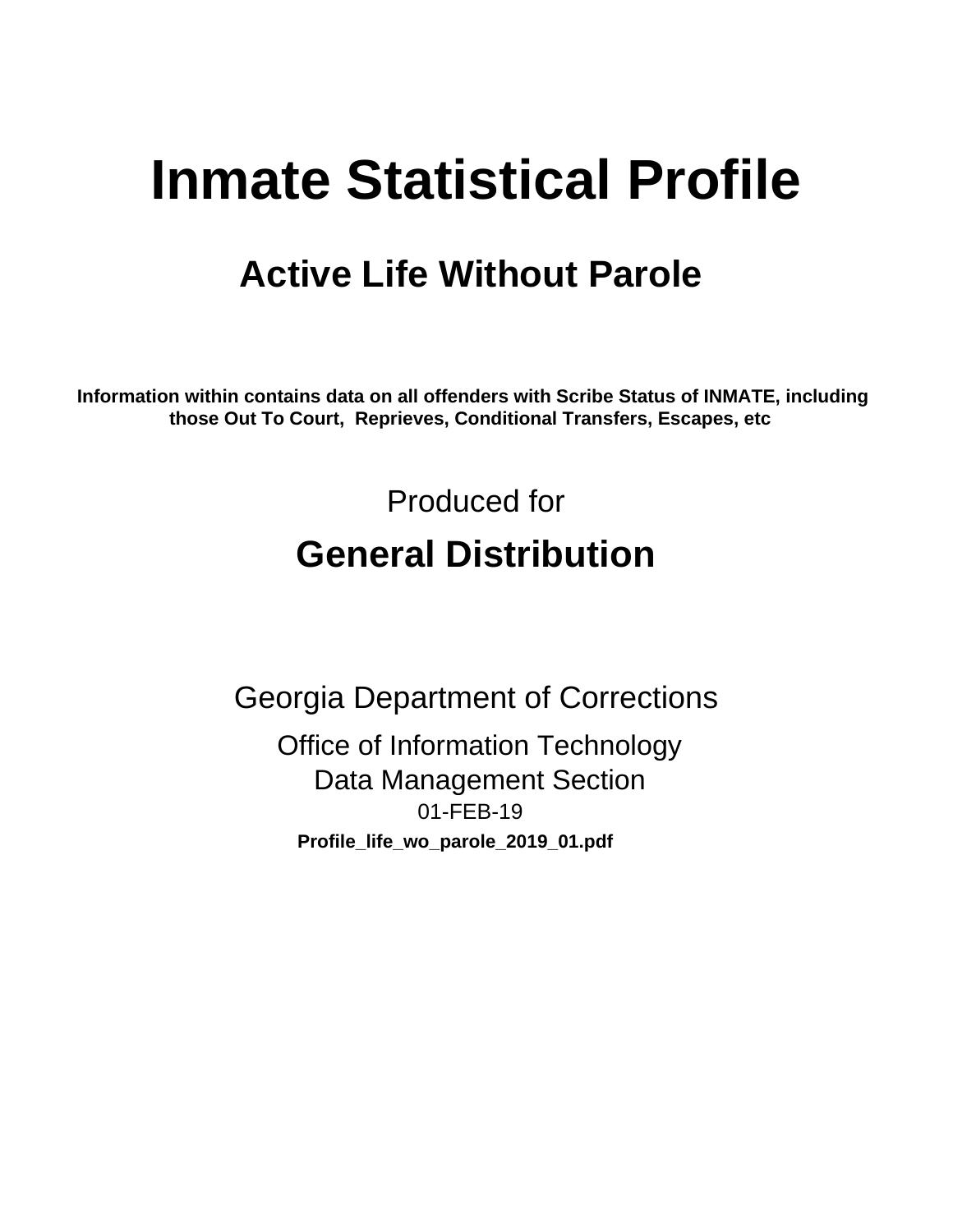# **Inmate Statistical Profile**

## **Active Life Without Parole**

Information within contains data on all offenders with Scribe Status of INMATE, including those Out To Court, Reprieves, Conditional Transfers, Escapes, etc

> Produced for **General Distribution**

**Georgia Department of Corrections Office of Information Technology Data Management Section** 01-FEB-19 Profile\_life\_wo\_parole\_2019\_01.pdf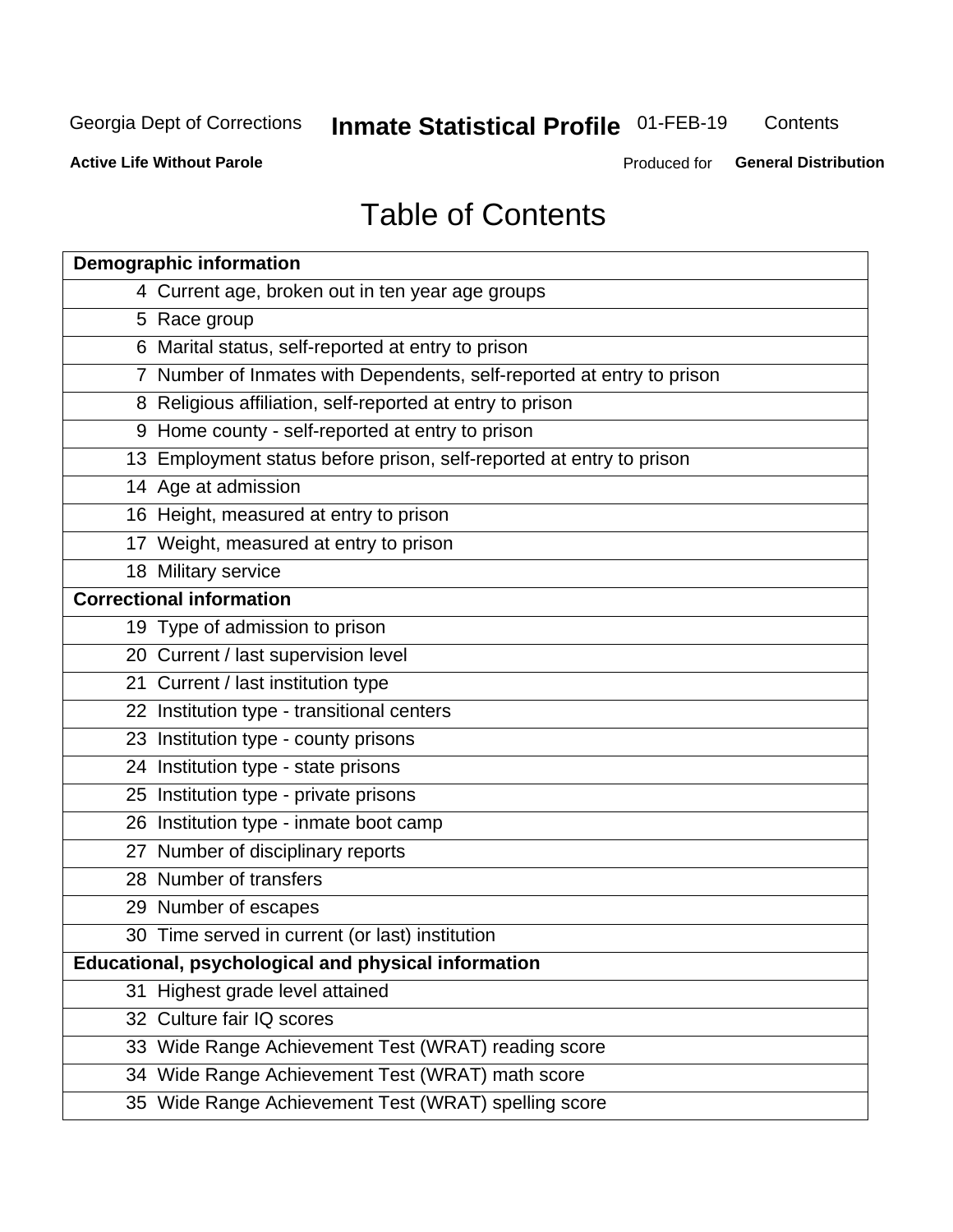## **Inmate Statistical Profile 01-FEB-19**

Contents

**Active Life Without Parole** 

Produced for General Distribution

## **Table of Contents**

|    | <b>Demographic information</b>                                        |
|----|-----------------------------------------------------------------------|
|    | 4 Current age, broken out in ten year age groups                      |
|    | 5 Race group                                                          |
|    | 6 Marital status, self-reported at entry to prison                    |
|    | 7 Number of Inmates with Dependents, self-reported at entry to prison |
|    | 8 Religious affiliation, self-reported at entry to prison             |
|    | 9 Home county - self-reported at entry to prison                      |
|    | 13 Employment status before prison, self-reported at entry to prison  |
|    | 14 Age at admission                                                   |
|    | 16 Height, measured at entry to prison                                |
|    | 17 Weight, measured at entry to prison                                |
|    | 18 Military service                                                   |
|    | <b>Correctional information</b>                                       |
|    | 19 Type of admission to prison                                        |
|    | 20 Current / last supervision level                                   |
|    | 21 Current / last institution type                                    |
|    | 22 Institution type - transitional centers                            |
|    | 23 Institution type - county prisons                                  |
|    | 24 Institution type - state prisons                                   |
|    | 25 Institution type - private prisons                                 |
|    | 26 Institution type - inmate boot camp                                |
|    | 27 Number of disciplinary reports                                     |
|    | 28 Number of transfers                                                |
|    | 29 Number of escapes                                                  |
|    | 30 Time served in current (or last) institution                       |
|    | Educational, psychological and physical information                   |
| 31 | Highest grade level attained                                          |
|    | 32 Culture fair IQ scores                                             |
|    | 33 Wide Range Achievement Test (WRAT) reading score                   |
|    | 34 Wide Range Achievement Test (WRAT) math score                      |
|    | 35 Wide Range Achievement Test (WRAT) spelling score                  |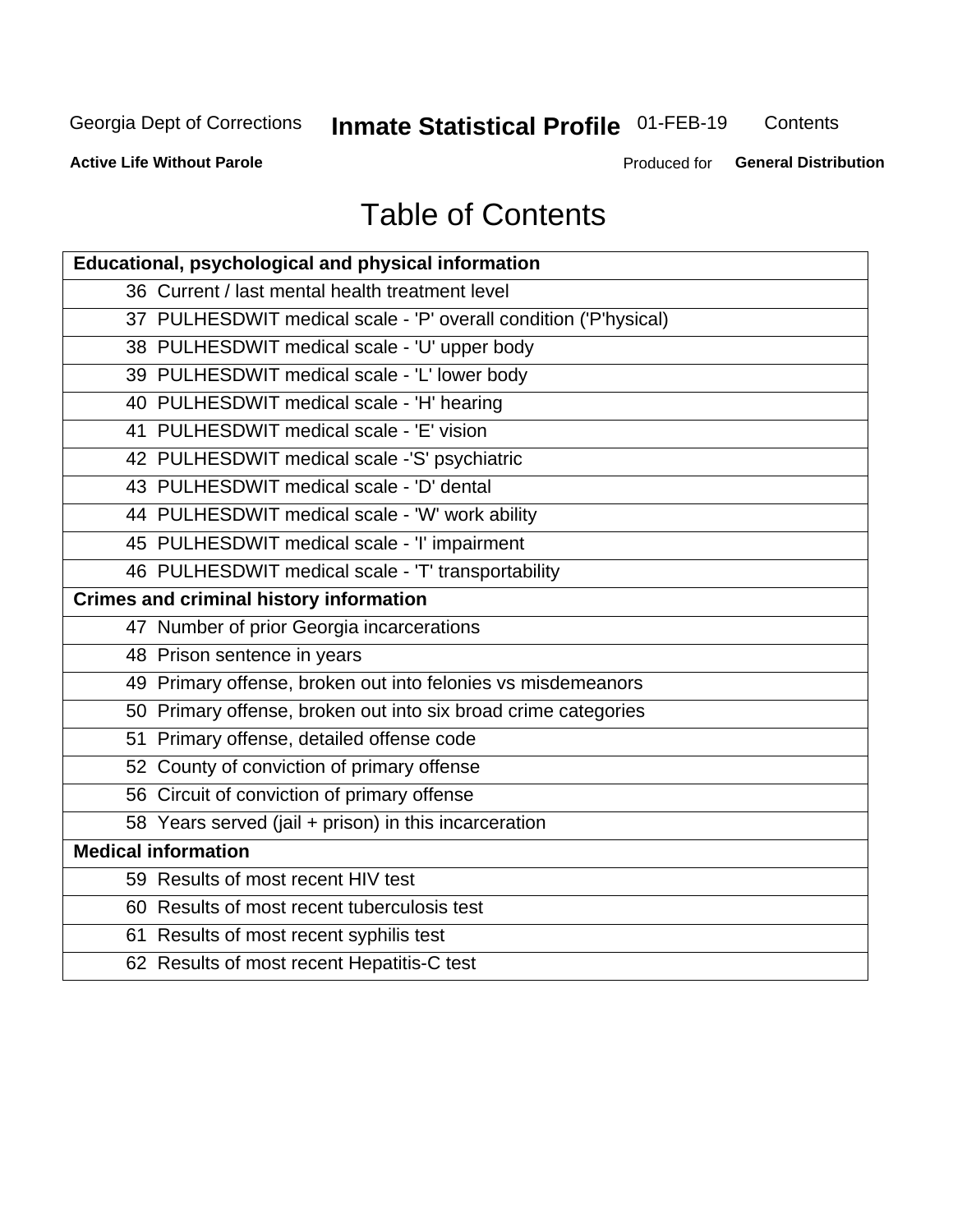## **Inmate Statistical Profile 01-FEB-19**

Contents

**Active Life Without Parole** 

Produced for General Distribution

## **Table of Contents**

| Educational, psychological and physical information              |
|------------------------------------------------------------------|
| 36 Current / last mental health treatment level                  |
| 37 PULHESDWIT medical scale - 'P' overall condition ('P'hysical) |
| 38 PULHESDWIT medical scale - 'U' upper body                     |
| 39 PULHESDWIT medical scale - 'L' lower body                     |
| 40 PULHESDWIT medical scale - 'H' hearing                        |
| 41 PULHESDWIT medical scale - 'E' vision                         |
| 42 PULHESDWIT medical scale -'S' psychiatric                     |
| 43 PULHESDWIT medical scale - 'D' dental                         |
| 44 PULHESDWIT medical scale - 'W' work ability                   |
| 45 PULHESDWIT medical scale - 'I' impairment                     |
| 46 PULHESDWIT medical scale - 'T' transportability               |
| <b>Crimes and criminal history information</b>                   |
| 47 Number of prior Georgia incarcerations                        |
| 48 Prison sentence in years                                      |
| 49 Primary offense, broken out into felonies vs misdemeanors     |
| 50 Primary offense, broken out into six broad crime categories   |
| 51 Primary offense, detailed offense code                        |
| 52 County of conviction of primary offense                       |
| 56 Circuit of conviction of primary offense                      |
| 58 Years served (jail + prison) in this incarceration            |
| <b>Medical information</b>                                       |
| 59 Results of most recent HIV test                               |
| 60 Results of most recent tuberculosis test                      |
| 61 Results of most recent syphilis test                          |
| 62 Results of most recent Hepatitis-C test                       |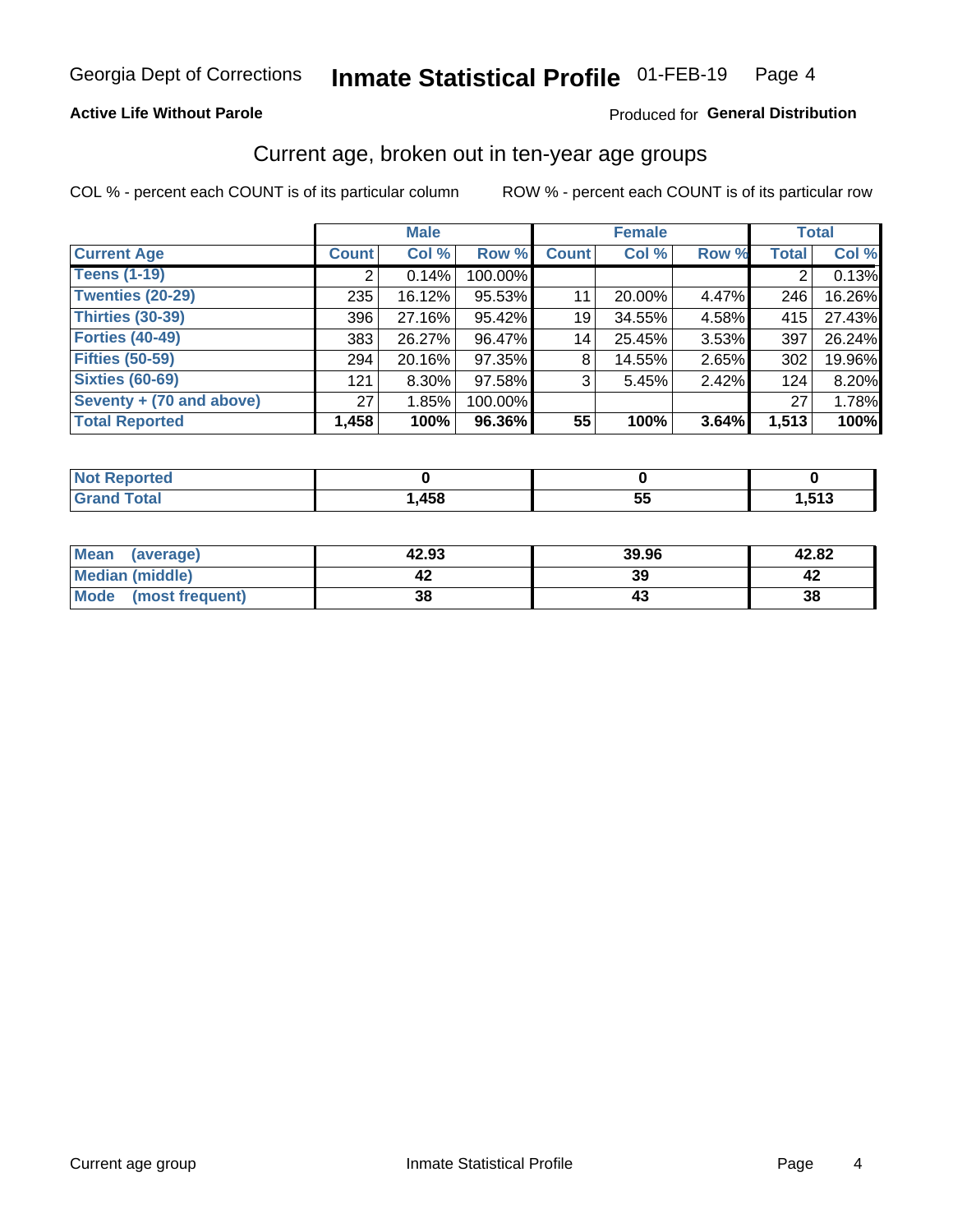### **Active Life Without Parole**

#### Produced for General Distribution

### Current age, broken out in ten-year age groups

COL % - percent each COUNT is of its particular column

|                          | <b>Male</b>  |          |         | <b>Female</b> |        |       | <b>Total</b> |        |
|--------------------------|--------------|----------|---------|---------------|--------|-------|--------------|--------|
| <b>Current Age</b>       | <b>Count</b> | Col %    | Row %   | <b>Count</b>  | Col %  | Row % | <b>Total</b> | Col %  |
| <b>Teens (1-19)</b>      | ⌒            | 0.14%    | 100.00% |               |        |       | 2            | 0.13%  |
| <b>Twenties (20-29)</b>  | 235          | 16.12%   | 95.53%  | 11            | 20.00% | 4.47% | 246          | 16.26% |
| Thirties (30-39)         | 396          | 27.16%   | 95.42%  | 19            | 34.55% | 4.58% | 415          | 27.43% |
| <b>Forties (40-49)</b>   | 383          | 26.27%   | 96.47%  | 14            | 25.45% | 3.53% | 397          | 26.24% |
| <b>Fifties (50-59)</b>   | 294          | 20.16%   | 97.35%  | 8             | 14.55% | 2.65% | 302          | 19.96% |
| <b>Sixties (60-69)</b>   | 121          | $8.30\%$ | 97.58%  | 3             | 5.45%  | 2.42% | 124          | 8.20%  |
| Seventy + (70 and above) | 27           | 1.85%    | 100.00% |               |        |       | 27           | 1.78%  |
| <b>Total Reported</b>    | 1,458        | 100%     | 96.36%  | 55            | 100%   | 3.64% | 1,513        | 100%   |

| Reported<br>NOT.<br>. |      |                 |                        |
|-----------------------|------|-----------------|------------------------|
| <b>Total</b>          | ,458 | --<br><u>Ju</u> | <b>E49</b><br>7. J I J |

| <b>Mean</b><br>(average) | 42.93 | 39.96 | 42.82 |
|--------------------------|-------|-------|-------|
| Median (middle)          |       | 39    |       |
| Mode<br>(most frequent)  | 38    |       | 38    |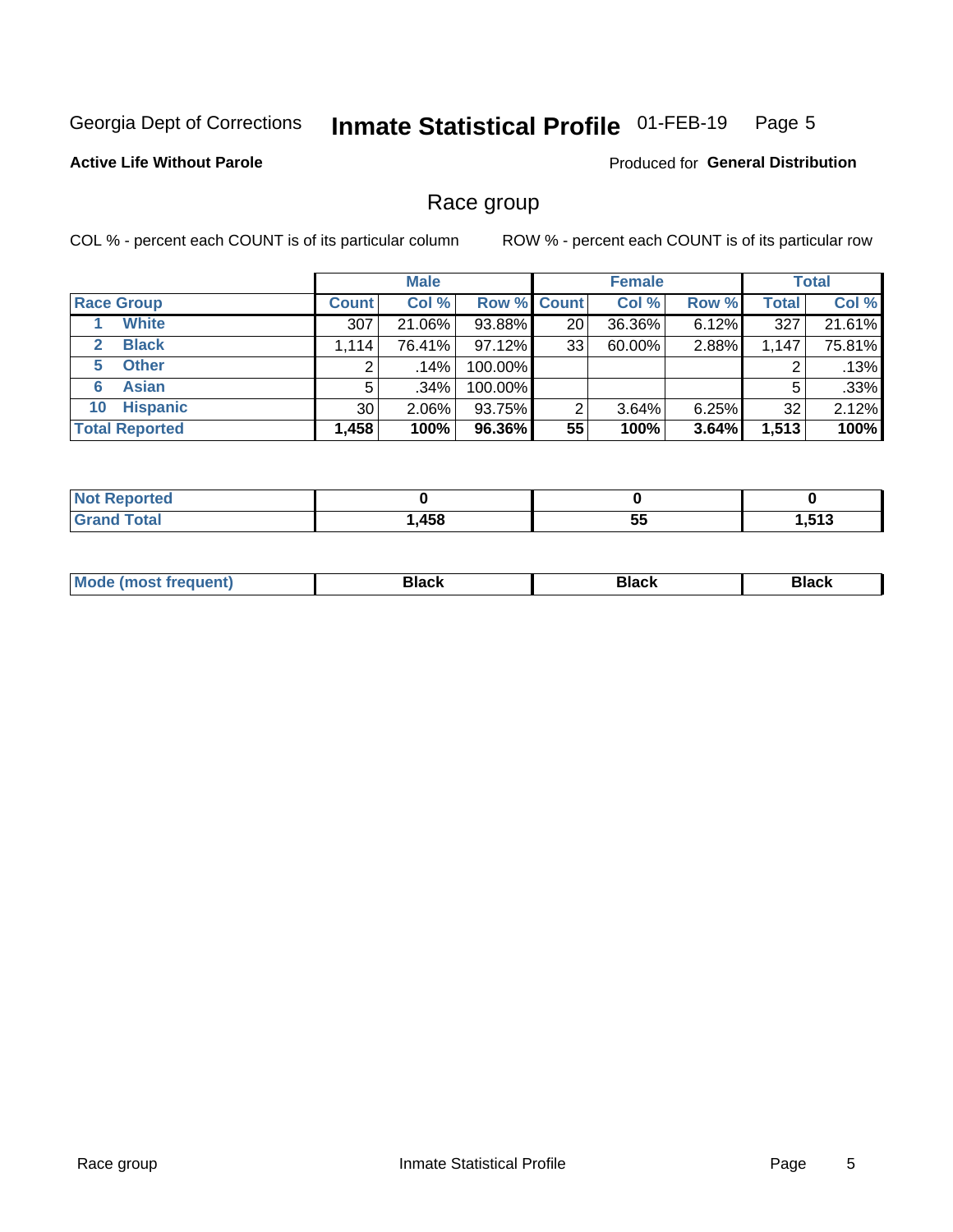#### Inmate Statistical Profile 01-FEB-19 Page 5

### **Active Life Without Parole**

Produced for General Distribution

### Race group

COL % - percent each COUNT is of its particular column

|                              |              | <b>Male</b> |                    |    | <b>Female</b> |       |              | <b>Total</b> |  |
|------------------------------|--------------|-------------|--------------------|----|---------------|-------|--------------|--------------|--|
| <b>Race Group</b>            | <b>Count</b> | Col %       | <b>Row % Count</b> |    | Col %         | Row % | <b>Total</b> | Col %        |  |
| <b>White</b>                 | 307          | 21.06%      | 93.88%             | 20 | 36.36%        | 6.12% | 327          | 21.61%       |  |
| <b>Black</b><br>$\mathbf{2}$ | 1,114        | 76.41%      | 97.12%             | 33 | 60.00%        | 2.88% | 1,147        | 75.81%       |  |
| <b>Other</b><br>5.           |              | $.14\%$     | 100.00%            |    |               |       | 2            | .13%         |  |
| <b>Asian</b><br>6            | 5            | $.34\%$     | 100.00%            |    |               |       | 5            | .33%         |  |
| <b>Hispanic</b><br>10        | 30           | $2.06\%$    | 93.75%             | 2  | 3.64%         | 6.25% | 32           | 2.12%        |  |
| <b>Total Reported</b>        | 1,458        | 100%        | 96.36%             | 55 | 100%          | 3.64% | 1,513        | 100%         |  |

| <b><i>College College</i></b><br>тео |      |         |            |
|--------------------------------------|------|---------|------------|
| <b>Total</b>                         | ,458 | --<br>ು | <b>E49</b> |

| маст |  | M |  |  |  |
|------|--|---|--|--|--|
|------|--|---|--|--|--|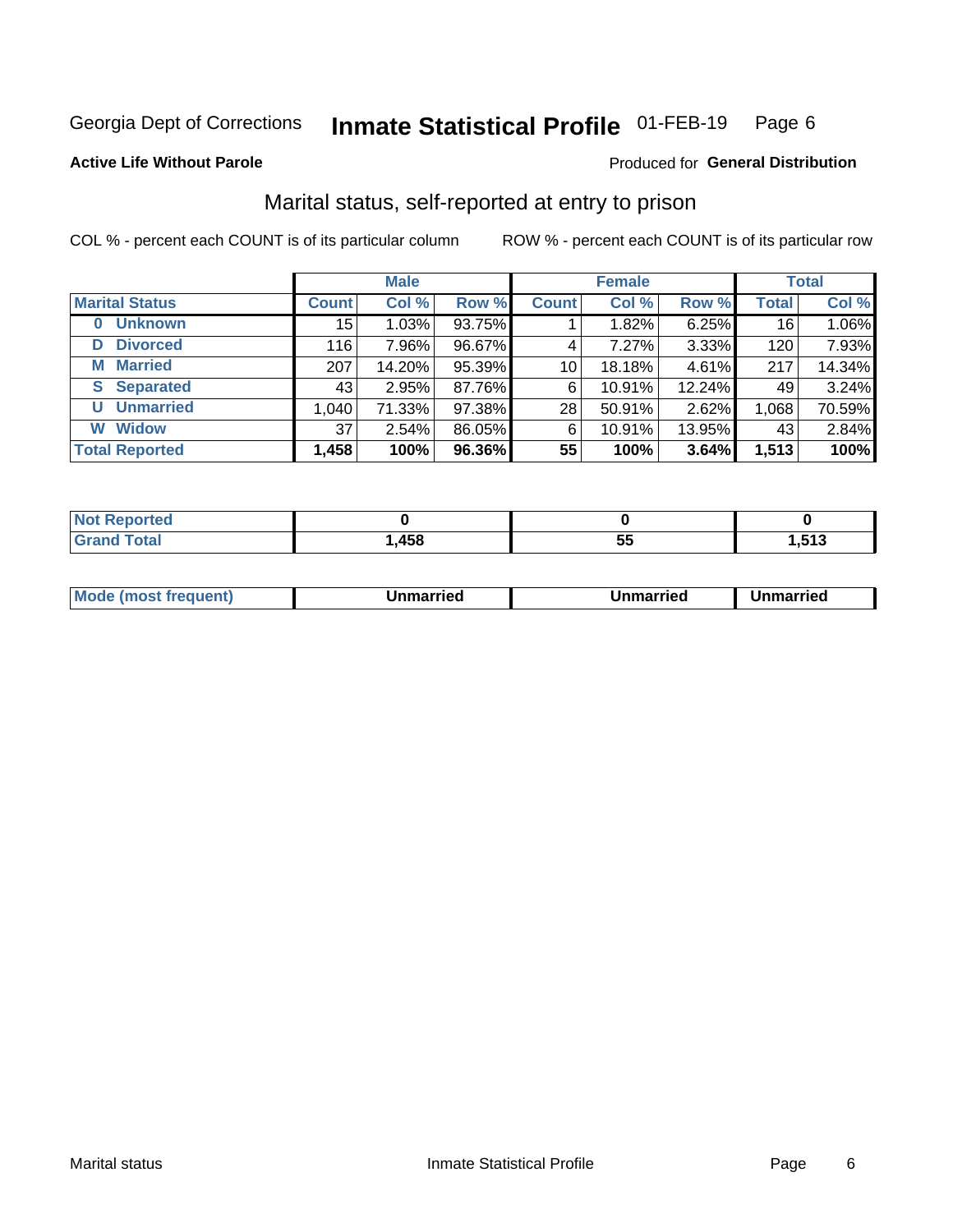#### Inmate Statistical Profile 01-FEB-19 Page 6

#### **Active Life Without Parole**

### Produced for General Distribution

## Marital status, self-reported at entry to prison

COL % - percent each COUNT is of its particular column

|                            | <b>Male</b>  |        |        |                 | <b>Female</b> | <b>Total</b> |                 |        |
|----------------------------|--------------|--------|--------|-----------------|---------------|--------------|-----------------|--------|
| <b>Marital Status</b>      | <b>Count</b> | Col %  | Row %  | <b>Count</b>    | Col %         | Row %        | <b>Total</b>    | Col %  |
| <b>Unknown</b><br>$\bf{0}$ | 15           | 1.03%  | 93.75% |                 | 1.82%         | 6.25%        | 16 <sub>1</sub> | 1.06%  |
| <b>Divorced</b><br>D       | 116          | 7.96%  | 96.67% | 4               | 7.27%         | 3.33%        | 120             | 7.93%  |
| <b>Married</b><br>М        | 207          | 14.20% | 95.39% | 10 <sup>1</sup> | 18.18%        | 4.61%        | 217             | 14.34% |
| <b>Separated</b><br>S.     | 43           | 2.95%  | 87.76% | 6               | 10.91%        | 12.24%       | 49              | 3.24%  |
| <b>Unmarried</b><br>U      | 1,040        | 71.33% | 97.38% | 28              | 50.91%        | 2.62%        | 1,068           | 70.59% |
| <b>Widow</b><br>W          | 37           | 2.54%  | 86.05% | 6               | 10.91%        | 13.95%       | 43              | 2.84%  |
| <b>Total Reported</b>      | 1,458        | 100%   | 96.36% | 55              | 100%          | 3.64%        | 1,513           | 100%   |

| Reported<br>$\cdot$ Not $\cdot$<br>. <b>.</b> |      |   |                |
|-----------------------------------------------|------|---|----------------|
| <b>Total</b>                                  | ,458 | w | 513<br>. J I J |

|--|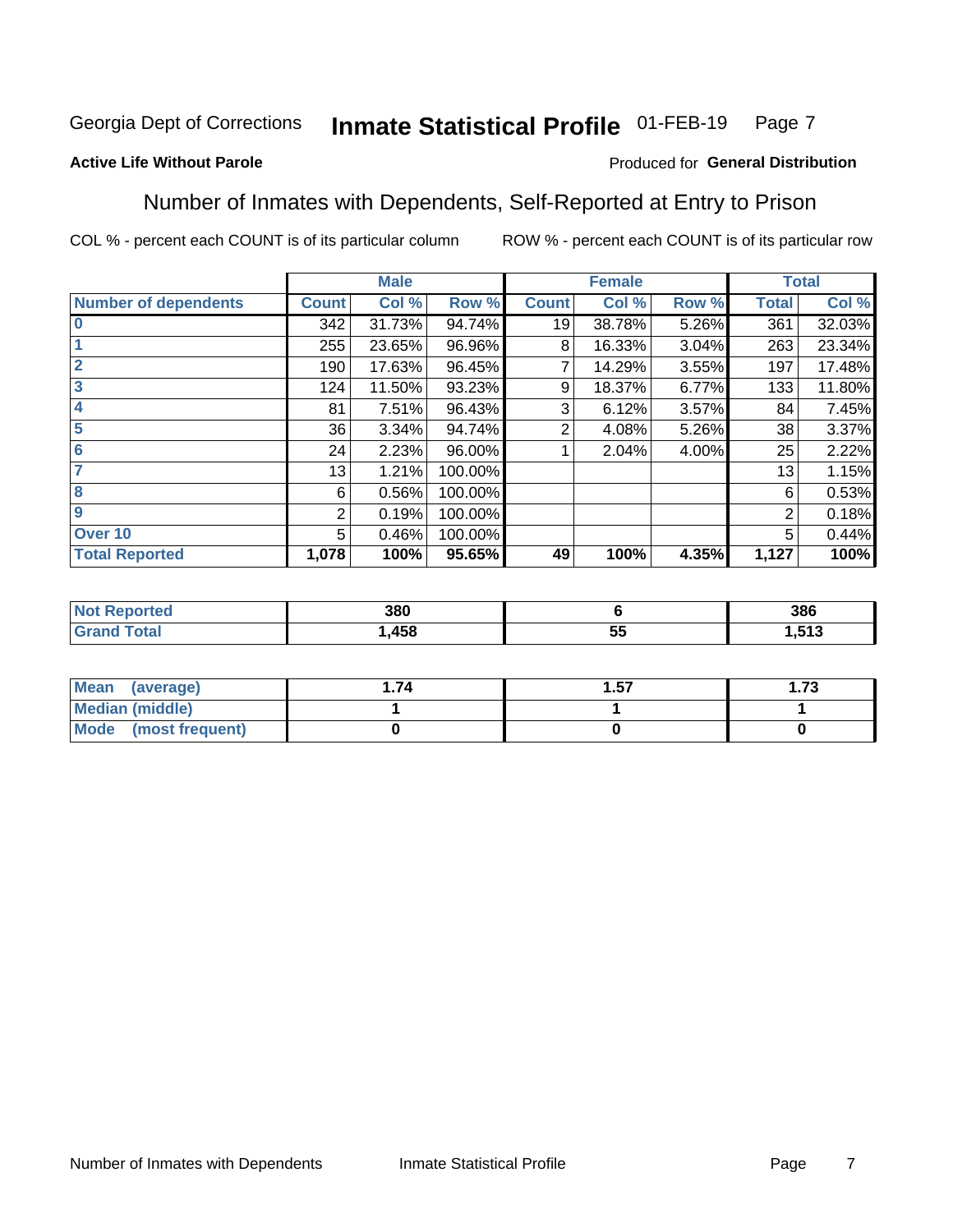#### **Inmate Statistical Profile 01-FEB-19** Page 7

### **Active Life Without Parole**

### Produced for General Distribution

### Number of Inmates with Dependents, Self-Reported at Entry to Prison

COL % - percent each COUNT is of its particular column

|                             |              | <b>Male</b> |         |              | <b>Female</b> |       |              | <b>Total</b> |
|-----------------------------|--------------|-------------|---------|--------------|---------------|-------|--------------|--------------|
| <b>Number of dependents</b> | <b>Count</b> | Col %       | Row %   | <b>Count</b> | Col %         | Row % | <b>Total</b> | Col %        |
| $\bf{0}$                    | 342          | 31.73%      | 94.74%  | 19           | 38.78%        | 5.26% | 361          | 32.03%       |
|                             | 255          | 23.65%      | 96.96%  | 8            | 16.33%        | 3.04% | 263          | 23.34%       |
| $\overline{2}$              | 190          | 17.63%      | 96.45%  |              | 14.29%        | 3.55% | 197          | 17.48%       |
| 3                           | 124          | 11.50%      | 93.23%  | 9            | 18.37%        | 6.77% | 133          | 11.80%       |
| 4                           | 81           | 7.51%       | 96.43%  | 3            | 6.12%         | 3.57% | 84           | 7.45%        |
| 5                           | 36           | 3.34%       | 94.74%  | 2            | 4.08%         | 5.26% | 38           | 3.37%        |
| $6\phantom{1}6$             | 24           | 2.23%       | 96.00%  |              | 2.04%         | 4.00% | 25           | 2.22%        |
| 7                           | 13           | 1.21%       | 100.00% |              |               |       | 13           | 1.15%        |
| 8                           | 6            | 0.56%       | 100.00% |              |               |       | 6            | 0.53%        |
| $\boldsymbol{9}$            | 2            | 0.19%       | 100.00% |              |               |       | 2            | 0.18%        |
| Over 10                     | 5            | 0.46%       | 100.00% |              |               |       | 5            | 0.44%        |
| <b>Total Reported</b>       | 1,078        | 100%        | 95.65%  | 49           | 100%          | 4.35% | 1,127        | 100%         |

| 380 |                 | 386        |
|-----|-----------------|------------|
| 458 | --<br>. .<br>J. | E49<br>טוכ |

| Mean<br>(average)      | . 57 | l.73 |
|------------------------|------|------|
| <b>Median (middle)</b> |      |      |
| Mode (most frequent)   |      |      |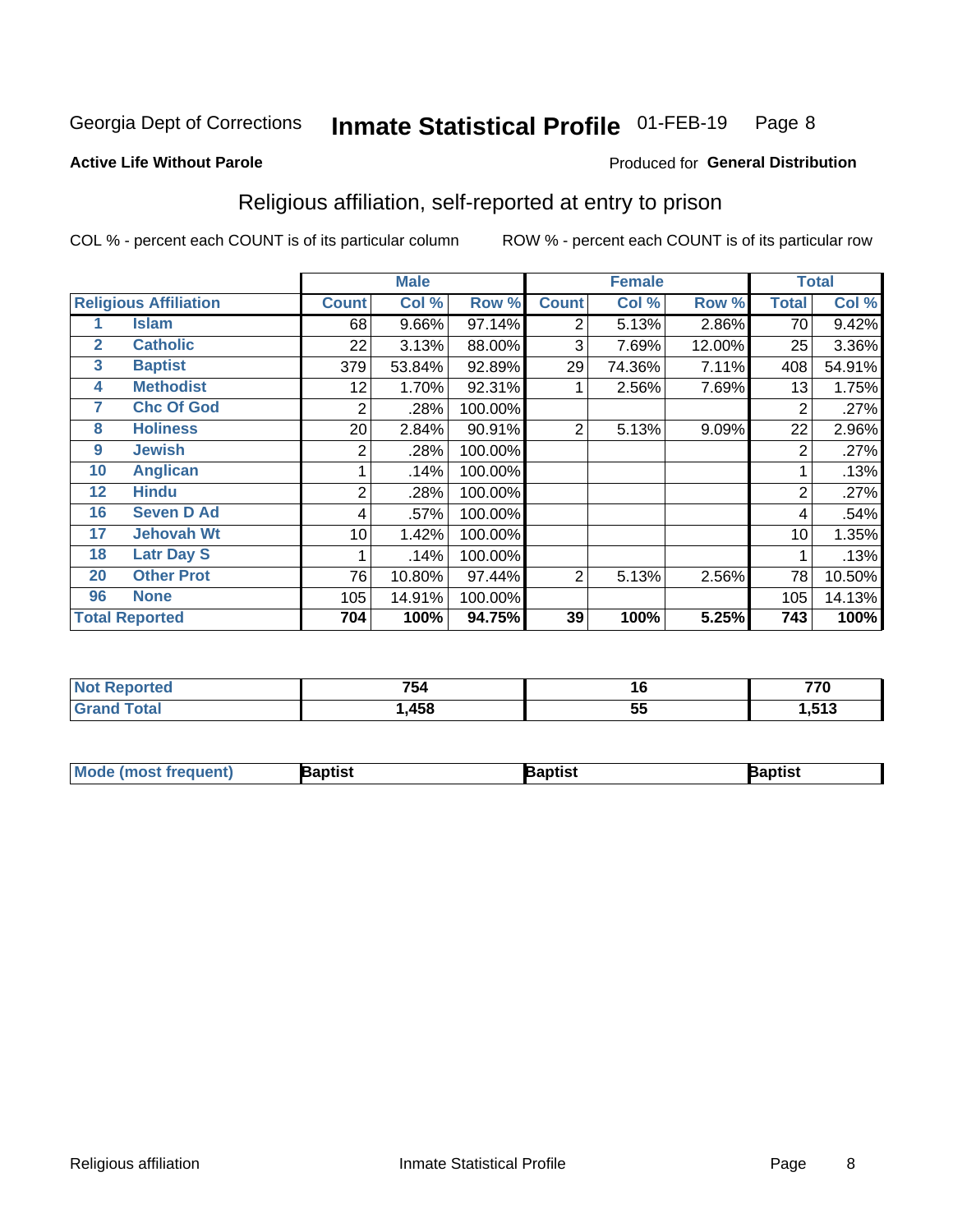#### Inmate Statistical Profile 01-FEB-19 Page 8

#### **Active Life Without Parole**

## Produced for General Distribution

## Religious affiliation, self-reported at entry to prison

COL % - percent each COUNT is of its particular column

|              |                              |              | <b>Male</b> |         |                | <b>Female</b> |        |       | <b>Total</b> |
|--------------|------------------------------|--------------|-------------|---------|----------------|---------------|--------|-------|--------------|
|              | <b>Religious Affiliation</b> | <b>Count</b> | Col %       | Row %   | <b>Count</b>   | Col %         | Row %  | Total | Col %        |
|              | <b>Islam</b>                 | 68           | 9.66%       | 97.14%  | 2              | 5.13%         | 2.86%  | 70    | 9.42%        |
| $\mathbf{2}$ | <b>Catholic</b>              | 22           | 3.13%       | 88.00%  | 3              | 7.69%         | 12.00% | 25    | 3.36%        |
| 3            | <b>Baptist</b>               | 379          | 53.84%      | 92.89%  | 29             | 74.36%        | 7.11%  | 408   | 54.91%       |
| 4            | <b>Methodist</b>             | 12           | 1.70%       | 92.31%  |                | 2.56%         | 7.69%  | 13    | 1.75%        |
| 7            | <b>Chc Of God</b>            | 2            | .28%        | 100.00% |                |               |        | 2     | .27%         |
| 8            | <b>Holiness</b>              | 20           | 2.84%       | 90.91%  | $\overline{2}$ | 5.13%         | 9.09%  | 22    | 2.96%        |
| 9            | <b>Jewish</b>                | 2            | .28%        | 100.00% |                |               |        | 2     | .27%         |
| 10           | <b>Anglican</b>              |              | .14%        | 100.00% |                |               |        |       | .13%         |
| 12           | <b>Hindu</b>                 | 2            | .28%        | 100.00% |                |               |        | 2     | .27%         |
| 16           | <b>Seven D Ad</b>            | 4            | .57%        | 100.00% |                |               |        | 4     | .54%         |
| 17           | <b>Jehovah Wt</b>            | 10           | 1.42%       | 100.00% |                |               |        | 10    | 1.35%        |
| 18           | <b>Latr Day S</b>            |              | .14%        | 100.00% |                |               |        |       | .13%         |
| 20           | <b>Other Prot</b>            | 76           | 10.80%      | 97.44%  | 2              | 5.13%         | 2.56%  | 78    | 10.50%       |
| 96           | <b>None</b>                  | 105          | 14.91%      | 100.00% |                |               |        | 105   | 14.13%       |
|              | <b>Total Reported</b>        | 704          | 100%        | 94.75%  | 39             | 100%          | 5.25%  | 743   | 100%         |

| ı leu<br> | 754               | 10       | 770 |
|-----------|-------------------|----------|-----|
| _______   | <b>A58</b><br>סטו | --<br>v. | E49 |

| <b>Mode (most frequent)</b> | 3aptist | 3aptist | Baptist |
|-----------------------------|---------|---------|---------|
|-----------------------------|---------|---------|---------|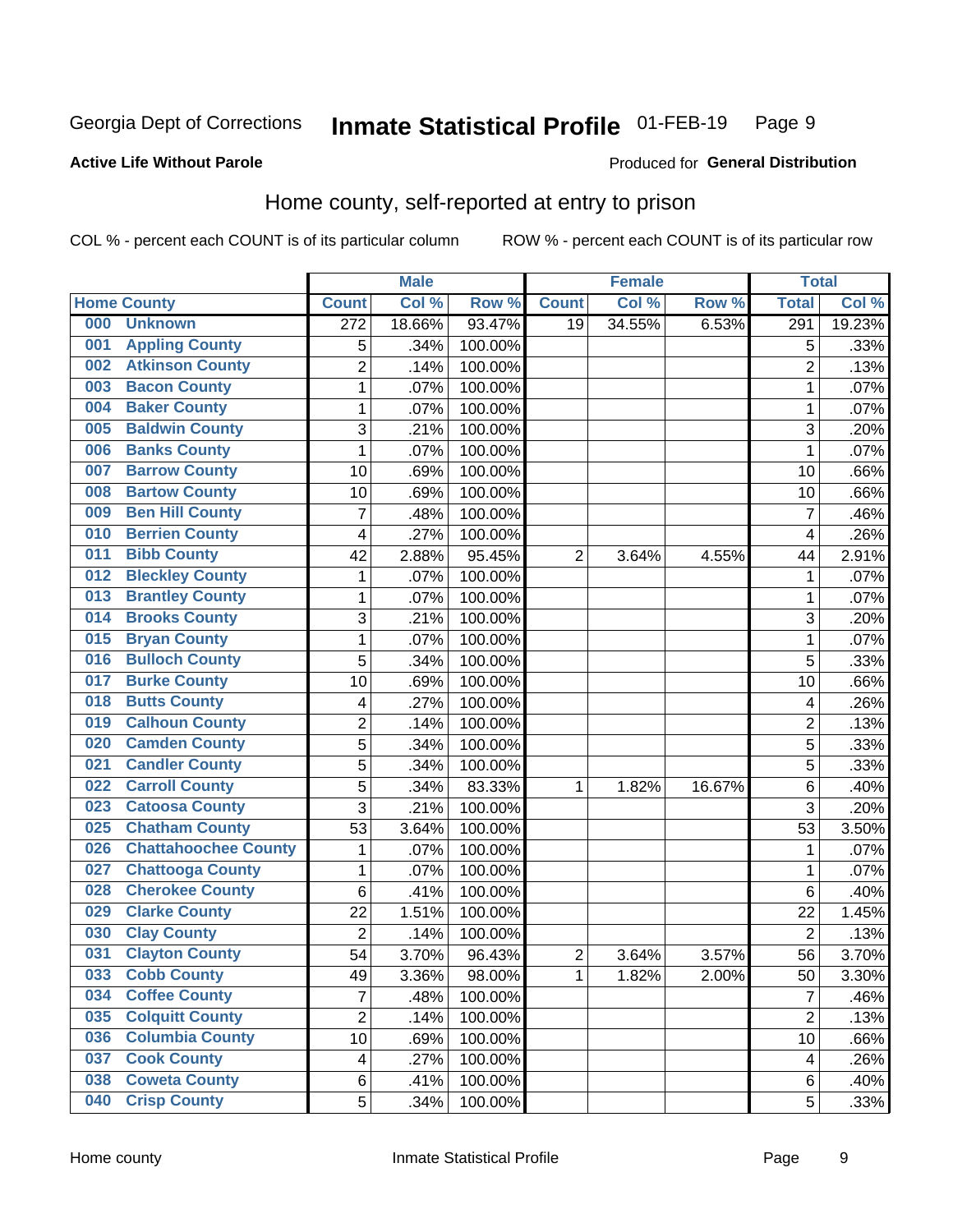#### Inmate Statistical Profile 01-FEB-19 Page 9

### **Active Life Without Parole**

### Produced for General Distribution

## Home county, self-reported at entry to prison

COL % - percent each COUNT is of its particular column

|     |                             |                  | <b>Male</b> |                  |                | <b>Female</b> |        | <b>Total</b>     |        |
|-----|-----------------------------|------------------|-------------|------------------|----------------|---------------|--------|------------------|--------|
|     | <b>Home County</b>          | <b>Count</b>     | Col %       | Row <sup>%</sup> | <b>Count</b>   | Col %         | Row %  | <b>Total</b>     | Col %  |
| 000 | <b>Unknown</b>              | $\overline{272}$ | 18.66%      | 93.47%           | 19             | 34.55%        | 6.53%  | $\overline{291}$ | 19.23% |
| 001 | <b>Appling County</b>       | 5                | .34%        | 100.00%          |                |               |        | 5                | .33%   |
| 002 | <b>Atkinson County</b>      | $\overline{2}$   | .14%        | 100.00%          |                |               |        | $\overline{2}$   | .13%   |
| 003 | <b>Bacon County</b>         | 1                | .07%        | 100.00%          |                |               |        | 1                | .07%   |
| 004 | <b>Baker County</b>         | $\mathbf 1$      | .07%        | 100.00%          |                |               |        | 1                | .07%   |
| 005 | <b>Baldwin County</b>       | 3                | .21%        | 100.00%          |                |               |        | 3                | .20%   |
| 006 | <b>Banks County</b>         | $\mathbf{1}$     | .07%        | 100.00%          |                |               |        | 1                | .07%   |
| 007 | <b>Barrow County</b>        | 10               | .69%        | 100.00%          |                |               |        | 10               | .66%   |
| 008 | <b>Bartow County</b>        | 10               | .69%        | 100.00%          |                |               |        | 10               | .66%   |
| 009 | <b>Ben Hill County</b>      | 7                | .48%        | 100.00%          |                |               |        | 7                | .46%   |
| 010 | <b>Berrien County</b>       | 4                | .27%        | 100.00%          |                |               |        | 4                | .26%   |
| 011 | <b>Bibb County</b>          | 42               | 2.88%       | 95.45%           | $\overline{2}$ | 3.64%         | 4.55%  | 44               | 2.91%  |
| 012 | <b>Bleckley County</b>      | 1                | .07%        | 100.00%          |                |               |        | 1                | .07%   |
| 013 | <b>Brantley County</b>      | $\mathbf 1$      | .07%        | 100.00%          |                |               |        | 1                | .07%   |
| 014 | <b>Brooks County</b>        | 3                | .21%        | 100.00%          |                |               |        | 3                | .20%   |
| 015 | <b>Bryan County</b>         | 1                | .07%        | 100.00%          |                |               |        | 1                | .07%   |
| 016 | <b>Bulloch County</b>       | 5                | .34%        | 100.00%          |                |               |        | 5                | .33%   |
| 017 | <b>Burke County</b>         | 10               | .69%        | 100.00%          |                |               |        | 10               | .66%   |
| 018 | <b>Butts County</b>         | 4                | .27%        | 100.00%          |                |               |        | 4                | .26%   |
| 019 | <b>Calhoun County</b>       | $\overline{2}$   | .14%        | 100.00%          |                |               |        | $\overline{2}$   | .13%   |
| 020 | <b>Camden County</b>        | 5                | .34%        | 100.00%          |                |               |        | 5                | .33%   |
| 021 | <b>Candler County</b>       | 5                | .34%        | 100.00%          |                |               |        | 5                | .33%   |
| 022 | <b>Carroll County</b>       | 5                | .34%        | 83.33%           | 1              | 1.82%         | 16.67% | 6                | .40%   |
| 023 | <b>Catoosa County</b>       | 3                | .21%        | 100.00%          |                |               |        | 3                | .20%   |
| 025 | <b>Chatham County</b>       | 53               | 3.64%       | 100.00%          |                |               |        | 53               | 3.50%  |
| 026 | <b>Chattahoochee County</b> | $\mathbf 1$      | .07%        | 100.00%          |                |               |        | 1                | .07%   |
| 027 | <b>Chattooga County</b>     | $\mathbf 1$      | .07%        | 100.00%          |                |               |        | 1                | .07%   |
| 028 | <b>Cherokee County</b>      | 6                | .41%        | 100.00%          |                |               |        | $\,6$            | .40%   |
| 029 | <b>Clarke County</b>        | 22               | 1.51%       | 100.00%          |                |               |        | 22               | 1.45%  |
| 030 | <b>Clay County</b>          | $\overline{2}$   | .14%        | 100.00%          |                |               |        | $\overline{2}$   | .13%   |
| 031 | <b>Clayton County</b>       | 54               | 3.70%       | 96.43%           | $\overline{c}$ | 3.64%         | 3.57%  | 56               | 3.70%  |
| 033 | <b>Cobb County</b>          | 49               | 3.36%       | 98.00%           | 1              | 1.82%         | 2.00%  | 50               | 3.30%  |
| 034 | <b>Coffee County</b>        | $\overline{7}$   | .48%        | 100.00%          |                |               |        | $\overline{7}$   | .46%   |
| 035 | <b>Colquitt County</b>      | $\overline{2}$   | .14%        | 100.00%          |                |               |        | $\overline{2}$   | .13%   |
| 036 | <b>Columbia County</b>      | 10               | .69%        | 100.00%          |                |               |        | 10               | .66%   |
| 037 | <b>Cook County</b>          | 4                | .27%        | 100.00%          |                |               |        | 4                | .26%   |
| 038 | <b>Coweta County</b>        | 6                | .41%        | 100.00%          |                |               |        | 6                | .40%   |
| 040 | <b>Crisp County</b>         | 5                | .34%        | 100.00%          |                |               |        | 5                | .33%   |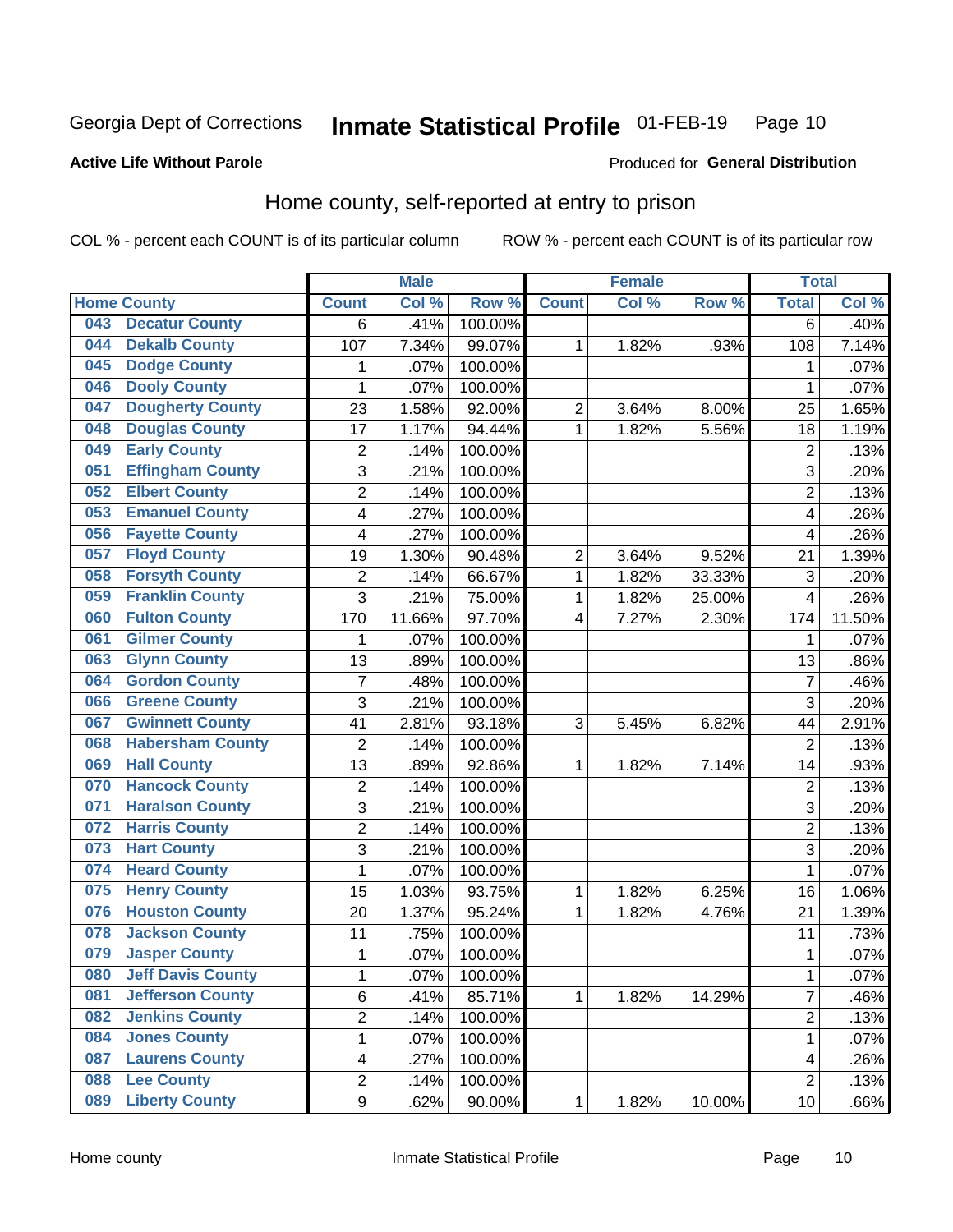#### Inmate Statistical Profile 01-FEB-19 Page 10

#### **Active Life Without Parole**

#### Produced for General Distribution

## Home county, self-reported at entry to prison

COL % - percent each COUNT is of its particular column

|     |                          |                | <b>Male</b> |         |                | <b>Female</b> |        | <b>Total</b>   |        |
|-----|--------------------------|----------------|-------------|---------|----------------|---------------|--------|----------------|--------|
|     | <b>Home County</b>       | <b>Count</b>   | Col %       | Row %   | <b>Count</b>   | Col %         | Row %  | <b>Total</b>   | Col %  |
| 043 | <b>Decatur County</b>    | 6              | .41%        | 100.00% |                |               |        | $\overline{6}$ | .40%   |
| 044 | <b>Dekalb County</b>     | 107            | 7.34%       | 99.07%  | 1              | 1.82%         | .93%   | 108            | 7.14%  |
| 045 | <b>Dodge County</b>      | 1              | .07%        | 100.00% |                |               |        | 1              | .07%   |
| 046 | <b>Dooly County</b>      | 1              | .07%        | 100.00% |                |               |        | 1              | .07%   |
| 047 | <b>Dougherty County</b>  | 23             | 1.58%       | 92.00%  | $\mathbf 2$    | 3.64%         | 8.00%  | 25             | 1.65%  |
| 048 | <b>Douglas County</b>    | 17             | 1.17%       | 94.44%  | $\mathbf 1$    | 1.82%         | 5.56%  | 18             | 1.19%  |
| 049 | <b>Early County</b>      | $\mathbf 2$    | .14%        | 100.00% |                |               |        | $\overline{2}$ | .13%   |
| 051 | <b>Effingham County</b>  | 3              | .21%        | 100.00% |                |               |        | 3              | .20%   |
| 052 | <b>Elbert County</b>     | $\overline{2}$ | .14%        | 100.00% |                |               |        | $\overline{2}$ | .13%   |
| 053 | <b>Emanuel County</b>    | 4              | .27%        | 100.00% |                |               |        | 4              | .26%   |
| 056 | <b>Fayette County</b>    | 4              | .27%        | 100.00% |                |               |        | 4              | .26%   |
| 057 | <b>Floyd County</b>      | 19             | 1.30%       | 90.48%  | $\overline{c}$ | 3.64%         | 9.52%  | 21             | 1.39%  |
| 058 | <b>Forsyth County</b>    | $\mathbf 2$    | .14%        | 66.67%  | $\mathbf 1$    | 1.82%         | 33.33% | $\mathfrak{S}$ | .20%   |
| 059 | <b>Franklin County</b>   | 3              | .21%        | 75.00%  | $\mathbf 1$    | 1.82%         | 25.00% | 4              | .26%   |
| 060 | <b>Fulton County</b>     | 170            | 11.66%      | 97.70%  | 4              | 7.27%         | 2.30%  | 174            | 11.50% |
| 061 | <b>Gilmer County</b>     | 1              | .07%        | 100.00% |                |               |        | 1              | .07%   |
| 063 | <b>Glynn County</b>      | 13             | .89%        | 100.00% |                |               |        | 13             | .86%   |
| 064 | <b>Gordon County</b>     | $\overline{7}$ | .48%        | 100.00% |                |               |        | 7              | .46%   |
| 066 | <b>Greene County</b>     | 3              | .21%        | 100.00% |                |               |        | 3              | .20%   |
| 067 | <b>Gwinnett County</b>   | 41             | 2.81%       | 93.18%  | 3              | 5.45%         | 6.82%  | 44             | 2.91%  |
| 068 | <b>Habersham County</b>  | $\overline{2}$ | .14%        | 100.00% |                |               |        | $\overline{2}$ | .13%   |
| 069 | <b>Hall County</b>       | 13             | .89%        | 92.86%  | 1              | 1.82%         | 7.14%  | 14             | .93%   |
| 070 | <b>Hancock County</b>    | $\mathbf 2$    | .14%        | 100.00% |                |               |        | 2              | .13%   |
| 071 | <b>Haralson County</b>   | 3              | .21%        | 100.00% |                |               |        | 3              | .20%   |
| 072 | <b>Harris County</b>     | $\overline{c}$ | .14%        | 100.00% |                |               |        | $\overline{c}$ | .13%   |
| 073 | <b>Hart County</b>       | 3              | .21%        | 100.00% |                |               |        | 3              | .20%   |
| 074 | <b>Heard County</b>      | 1              | .07%        | 100.00% |                |               |        | 1              | .07%   |
| 075 | <b>Henry County</b>      | 15             | 1.03%       | 93.75%  | 1              | 1.82%         | 6.25%  | 16             | 1.06%  |
| 076 | <b>Houston County</b>    | 20             | 1.37%       | 95.24%  | 1              | 1.82%         | 4.76%  | 21             | 1.39%  |
| 078 | <b>Jackson County</b>    | 11             | .75%        | 100.00% |                |               |        | 11             | .73%   |
| 079 | <b>Jasper County</b>     | 1              | .07%        | 100.00% |                |               |        | 1              | .07%   |
| 080 | <b>Jeff Davis County</b> | 1              | .07%        | 100.00% |                |               |        | 1              | .07%   |
| 081 | <b>Jefferson County</b>  | 6              | .41%        | 85.71%  | 1              | 1.82%         | 14.29% | 7              | .46%   |
| 082 | <b>Jenkins County</b>    | $\overline{c}$ | .14%        | 100.00% |                |               |        | 2              | .13%   |
| 084 | <b>Jones County</b>      | $\mathbf 1$    | .07%        | 100.00% |                |               |        | 1              | .07%   |
| 087 | <b>Laurens County</b>    | 4              | .27%        | 100.00% |                |               |        | 4              | .26%   |
| 088 | <b>Lee County</b>        | $\overline{c}$ | .14%        | 100.00% |                |               |        | $\overline{2}$ | .13%   |
| 089 | <b>Liberty County</b>    | 9              | .62%        | 90.00%  | 1              | 1.82%         | 10.00% | 10             | .66%   |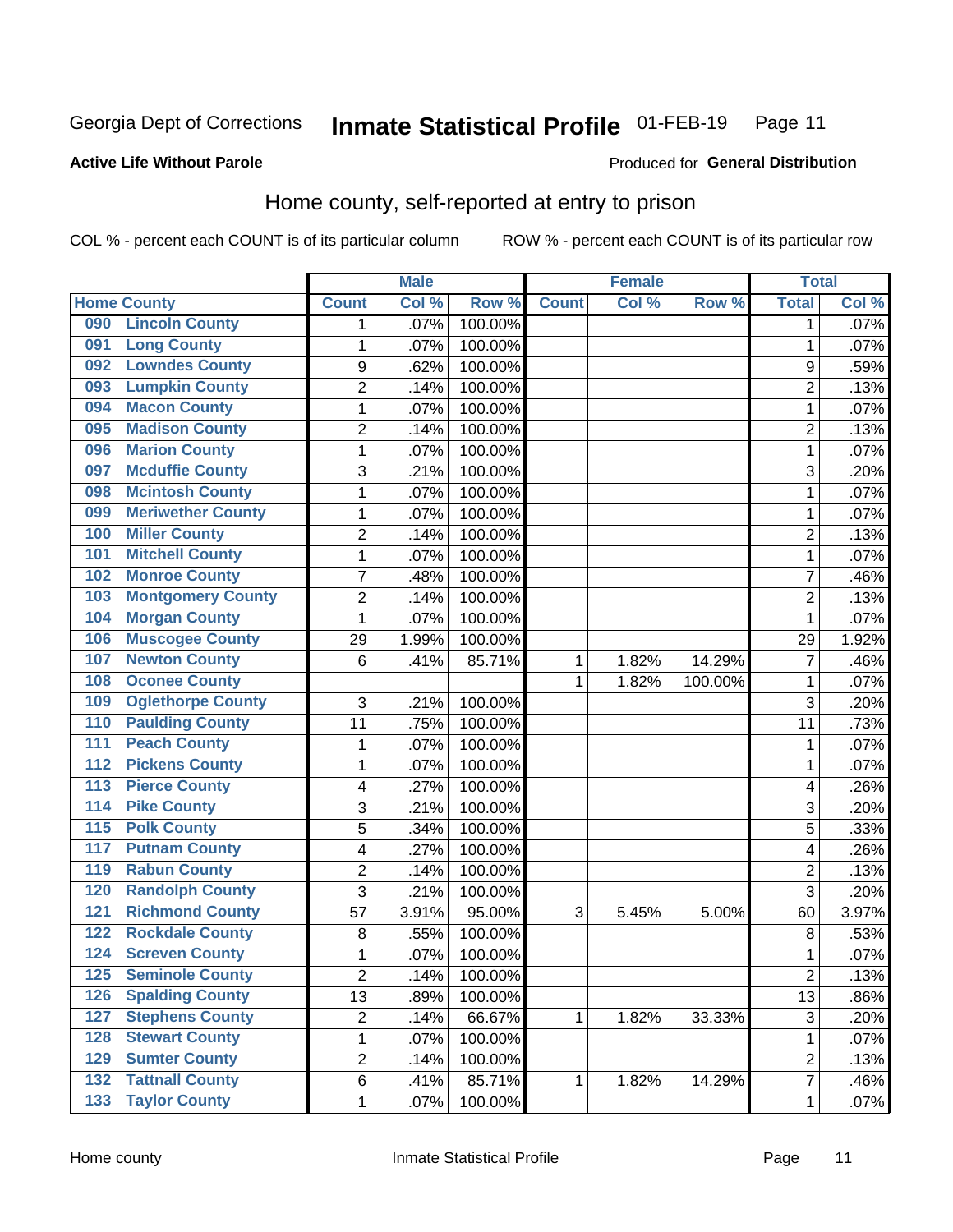#### Inmate Statistical Profile 01-FEB-19 Page 11

**Active Life Without Parole** 

#### Produced for General Distribution

## Home county, self-reported at entry to prison

COL % - percent each COUNT is of its particular column

|                  |                          |                  | <b>Male</b> |         |              | <b>Female</b> |         | <b>Total</b>     |       |
|------------------|--------------------------|------------------|-------------|---------|--------------|---------------|---------|------------------|-------|
|                  | <b>Home County</b>       | <b>Count</b>     | Col %       | Row %   | <b>Count</b> | Col%          | Row %   | <b>Total</b>     | Col % |
| 090              | <b>Lincoln County</b>    | 1                | .07%        | 100.00% |              |               |         | 1                | .07%  |
| 091              | <b>Long County</b>       | $\mathbf{1}$     | .07%        | 100.00% |              |               |         | 1                | .07%  |
| 092              | <b>Lowndes County</b>    | $\boldsymbol{9}$ | .62%        | 100.00% |              |               |         | 9                | .59%  |
| 093              | <b>Lumpkin County</b>    | $\overline{c}$   | .14%        | 100.00% |              |               |         | $\overline{2}$   | .13%  |
| 094              | <b>Macon County</b>      | $\mathbf 1$      | .07%        | 100.00% |              |               |         | 1                | .07%  |
| 095              | <b>Madison County</b>    | $\overline{2}$   | .14%        | 100.00% |              |               |         | $\overline{2}$   | .13%  |
| 096              | <b>Marion County</b>     | $\mathbf 1$      | .07%        | 100.00% |              |               |         | 1                | .07%  |
| 097              | <b>Mcduffie County</b>   | 3                | .21%        | 100.00% |              |               |         | 3                | .20%  |
| 098              | <b>Mcintosh County</b>   | $\mathbf 1$      | .07%        | 100.00% |              |               |         | 1                | .07%  |
| 099              | <b>Meriwether County</b> | $\mathbf 1$      | .07%        | 100.00% |              |               |         | 1                | .07%  |
| 100              | <b>Miller County</b>     | $\overline{c}$   | .14%        | 100.00% |              |               |         | $\overline{c}$   | .13%  |
| 101              | <b>Mitchell County</b>   | $\mathbf 1$      | .07%        | 100.00% |              |               |         | 1                | .07%  |
| 102              | <b>Monroe County</b>     | 7                | .48%        | 100.00% |              |               |         | 7                | .46%  |
| 103              | <b>Montgomery County</b> | $\overline{c}$   | .14%        | 100.00% |              |               |         | $\overline{2}$   | .13%  |
| 104              | <b>Morgan County</b>     | $\mathbf{1}$     | .07%        | 100.00% |              |               |         | 1                | .07%  |
| 106              | <b>Muscogee County</b>   | 29               | 1.99%       | 100.00% |              |               |         | 29               | 1.92% |
| 107              | <b>Newton County</b>     | 6                | .41%        | 85.71%  | 1            | 1.82%         | 14.29%  | $\overline{7}$   | .46%  |
| 108              | <b>Oconee County</b>     |                  |             |         | 1            | 1.82%         | 100.00% | 1                | .07%  |
| 109              | <b>Oglethorpe County</b> | 3                | .21%        | 100.00% |              |               |         | 3                | .20%  |
| 110              | <b>Paulding County</b>   | 11               | .75%        | 100.00% |              |               |         | 11               | .73%  |
| 111              | <b>Peach County</b>      | $\mathbf 1$      | .07%        | 100.00% |              |               |         | 1                | .07%  |
| $\overline{112}$ | <b>Pickens County</b>    | $\mathbf 1$      | .07%        | 100.00% |              |               |         | 1                | .07%  |
| 113              | <b>Pierce County</b>     | 4                | .27%        | 100.00% |              |               |         | 4                | .26%  |
| 114              | <b>Pike County</b>       | 3                | .21%        | 100.00% |              |               |         | 3                | .20%  |
| $\overline{115}$ | <b>Polk County</b>       | 5                | .34%        | 100.00% |              |               |         | 5                | .33%  |
| 117              | <b>Putnam County</b>     | 4                | .27%        | 100.00% |              |               |         | 4                | .26%  |
| 119              | <b>Rabun County</b>      | $\overline{2}$   | .14%        | 100.00% |              |               |         | $\overline{2}$   | .13%  |
| 120              | <b>Randolph County</b>   | 3                | .21%        | 100.00% |              |               |         | 3                | .20%  |
| 121              | <b>Richmond County</b>   | 57               | 3.91%       | 95.00%  | 3            | 5.45%         | 5.00%   | 60               | 3.97% |
| 122              | <b>Rockdale County</b>   | 8                | .55%        | 100.00% |              |               |         | 8                | .53%  |
| 124              | <b>Screven County</b>    | $\mathbf{1}$     | .07%        | 100.00% |              |               |         | 1                | .07%  |
| 125              | <b>Seminole County</b>   | 2                | .14%        | 100.00% |              |               |         | 2                | .13%  |
| 126              | <b>Spalding County</b>   | 13               | .89%        | 100.00% |              |               |         | 13               | .86%  |
| 127              | <b>Stephens County</b>   | $\overline{c}$   | .14%        | 66.67%  | 1            | 1.82%         | 33.33%  | $\sqrt{3}$       | .20%  |
| 128              | <b>Stewart County</b>    | $\mathbf{1}$     | .07%        | 100.00% |              |               |         | 1                | .07%  |
| 129              | <b>Sumter County</b>     | $\overline{c}$   | .14%        | 100.00% |              |               |         | $\boldsymbol{2}$ | .13%  |
| $\overline{132}$ | <b>Tattnall County</b>   | 6                | .41%        | 85.71%  | 1            | 1.82%         | 14.29%  | 7                | .46%  |
| $\overline{133}$ | <b>Taylor County</b>     | $\mathbf 1$      | .07%        | 100.00% |              |               |         | 1                | .07%  |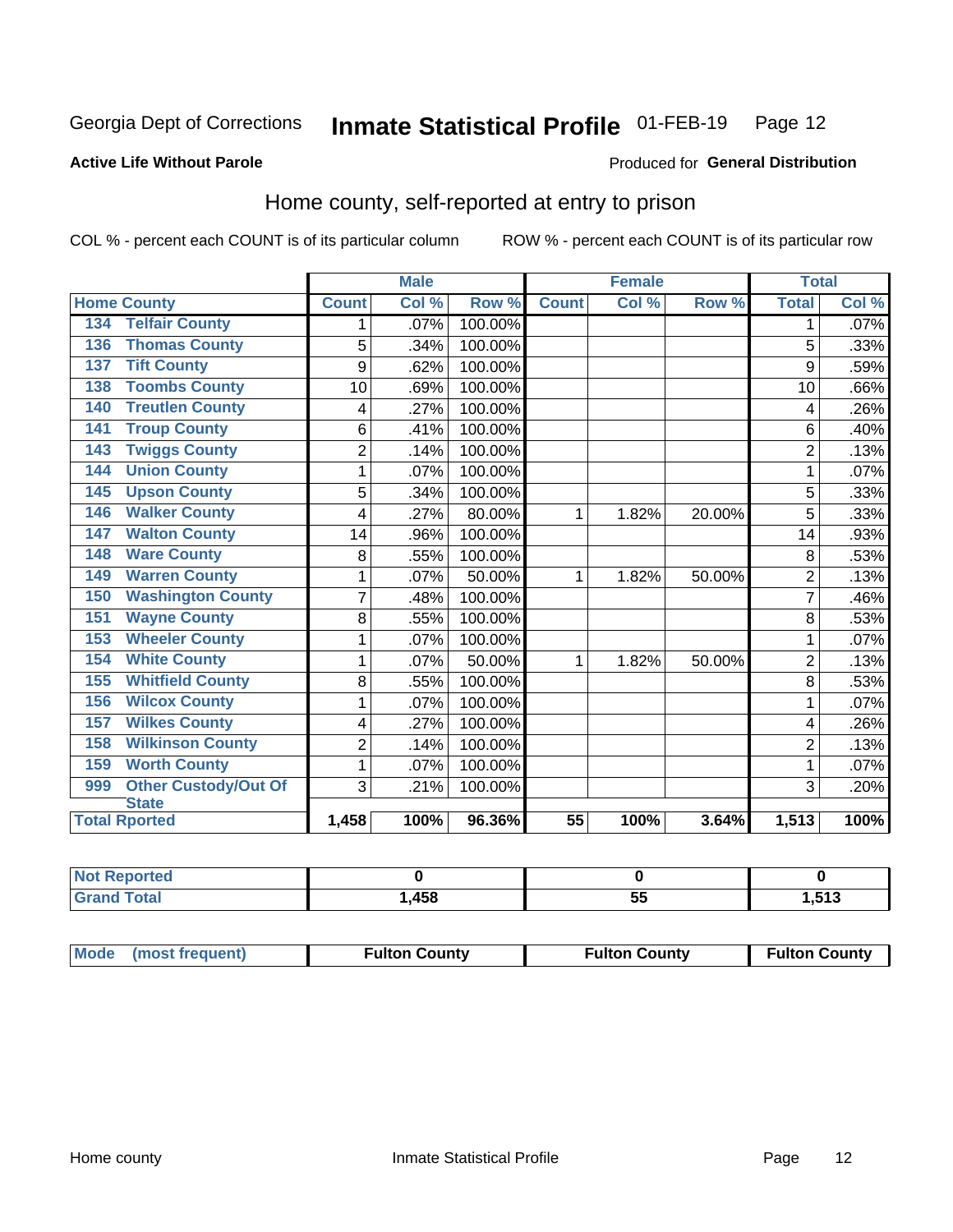#### Inmate Statistical Profile 01-FEB-19 Page 12

#### **Active Life Without Parole**

#### Produced for General Distribution

### Home county, self-reported at entry to prison

COL % - percent each COUNT is of its particular column

|                                    |                | <b>Male</b> |         | <b>Female</b>   |       | <b>Total</b> |                |         |
|------------------------------------|----------------|-------------|---------|-----------------|-------|--------------|----------------|---------|
| <b>Home County</b>                 | <b>Count</b>   | Col %       | Row %   | <b>Count</b>    | Col % | Row %        | <b>Total</b>   | Col %   |
| <b>Telfair County</b><br>134       | 1              | .07%        | 100.00% |                 |       |              | 1              | $.07\%$ |
| <b>Thomas County</b><br>136        | 5              | .34%        | 100.00% |                 |       |              | 5              | .33%    |
| <b>Tift County</b><br>137          | 9              | .62%        | 100.00% |                 |       |              | 9              | .59%    |
| <b>Toombs County</b><br>138        | 10             | .69%        | 100.00% |                 |       |              | 10             | .66%    |
| <b>Treutlen County</b><br>140      | 4              | .27%        | 100.00% |                 |       |              | 4              | .26%    |
| <b>Troup County</b><br>141         | 6              | .41%        | 100.00% |                 |       |              | 6              | .40%    |
| <b>Twiggs County</b><br>143        | $\overline{2}$ | .14%        | 100.00% |                 |       |              | $\overline{2}$ | .13%    |
| <b>Union County</b><br>144         | 1              | .07%        | 100.00% |                 |       |              | 1              | .07%    |
| <b>Upson County</b><br>145         | 5              | .34%        | 100.00% |                 |       |              | 5              | .33%    |
| <b>Walker County</b><br>146        | 4              | .27%        | 80.00%  | 1               | 1.82% | 20.00%       | 5              | .33%    |
| <b>Walton County</b><br>147        | 14             | .96%        | 100.00% |                 |       |              | 14             | .93%    |
| <b>Ware County</b><br>148          | 8              | .55%        | 100.00% |                 |       |              | 8              | .53%    |
| <b>Warren County</b><br>149        | 1              | .07%        | 50.00%  | 1               | 1.82% | 50.00%       | $\overline{2}$ | .13%    |
| <b>Washington County</b><br>150    | 7              | .48%        | 100.00% |                 |       |              | 7              | .46%    |
| <b>Wayne County</b><br>151         | 8              | .55%        | 100.00% |                 |       |              | 8              | .53%    |
| <b>Wheeler County</b><br>153       | 1              | .07%        | 100.00% |                 |       |              | 1              | .07%    |
| <b>White County</b><br>154         | 1              | .07%        | 50.00%  | 1               | 1.82% | 50.00%       | $\overline{2}$ | .13%    |
| <b>Whitfield County</b><br>155     | 8              | .55%        | 100.00% |                 |       |              | 8              | .53%    |
| <b>Wilcox County</b><br>156        | 1              | .07%        | 100.00% |                 |       |              |                | .07%    |
| <b>Wilkes County</b><br>157        | 4              | .27%        | 100.00% |                 |       |              | 4              | .26%    |
| <b>Wilkinson County</b><br>158     | $\overline{2}$ | .14%        | 100.00% |                 |       |              | $\overline{2}$ | .13%    |
| <b>Worth County</b><br>159         | 1              | .07%        | 100.00% |                 |       |              | 1              | .07%    |
| <b>Other Custody/Out Of</b><br>999 | 3              | .21%        | 100.00% |                 |       |              | 3              | .20%    |
| <b>State</b>                       |                |             |         |                 |       |              |                |         |
| <b>Total Rported</b>               | 1,458          | 100%        | 96.36%  | $\overline{55}$ | 100%  | 3.64%        | 1,513          | 100%    |

| <b>Not Reported</b> |      |    |        |
|---------------------|------|----|--------|
| `otal               | ,458 | ັບ | 513. ا |

| Mode (most frequent) | <b>Fulton County</b> | <b>Fulton County</b> | <b>Fulton County</b> |
|----------------------|----------------------|----------------------|----------------------|
|----------------------|----------------------|----------------------|----------------------|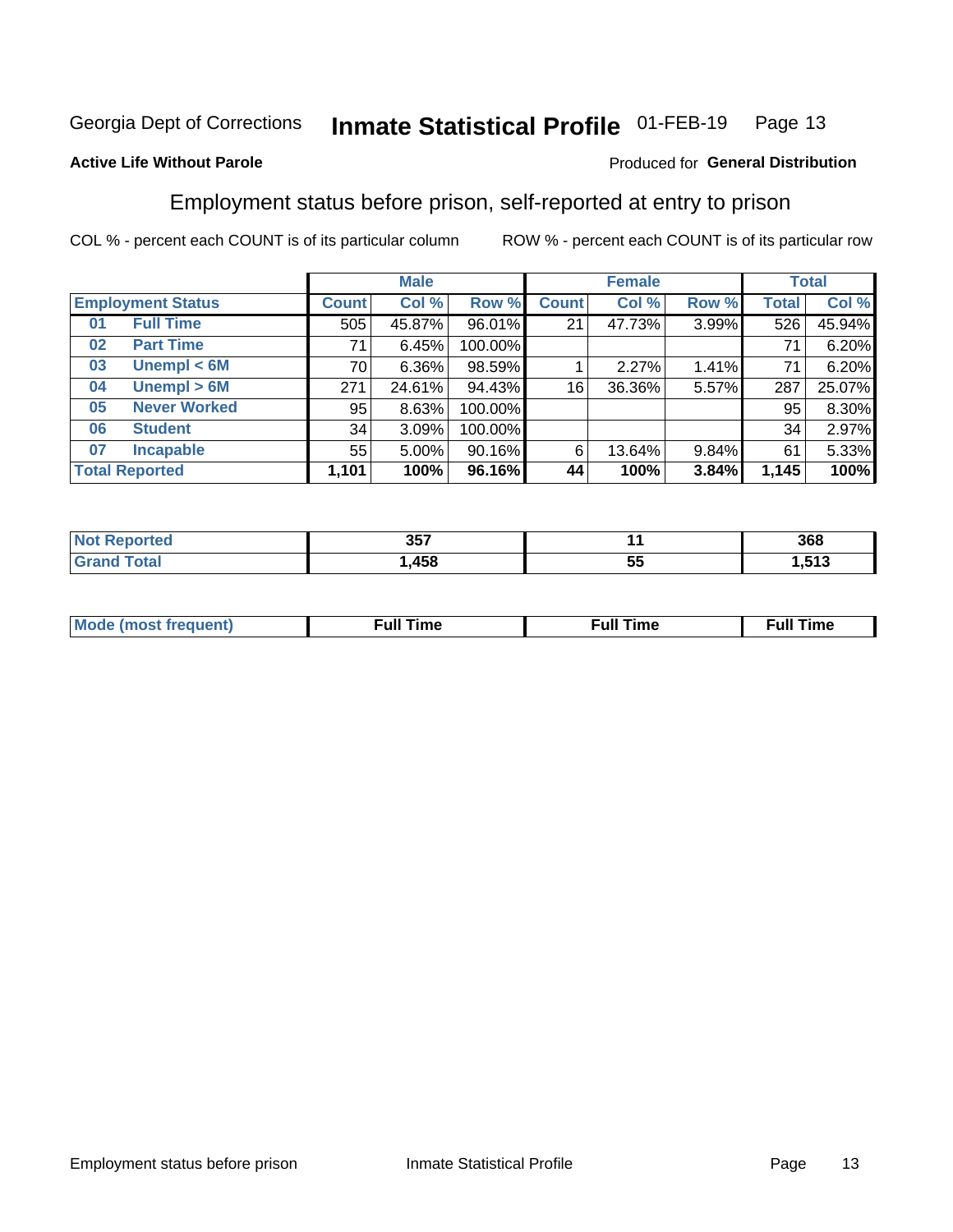#### Inmate Statistical Profile 01-FEB-19 Page 13

### **Active Life Without Parole**

#### Produced for General Distribution

### Employment status before prison, self-reported at entry to prison

COL % - percent each COUNT is of its particular column

|                           |              | <b>Male</b> |         |              | <b>Female</b> |       |       | <b>Total</b> |
|---------------------------|--------------|-------------|---------|--------------|---------------|-------|-------|--------------|
| <b>Employment Status</b>  | <b>Count</b> | Col %       | Row %   | <b>Count</b> | Col %         | Row % | Total | Col %        |
| <b>Full Time</b><br>01    | 505          | 45.87%      | 96.01%  | 21           | 47.73%        | 3.99% | 526   | 45.94%       |
| <b>Part Time</b><br>02    | 71           | 6.45%       | 100.00% |              |               |       | 71    | 6.20%        |
| Unempl $<$ 6M<br>03       | 70           | $6.36\%$    | 98.59%  |              | 2.27%         | 1.41% | 71    | 6.20%        |
| Unempl > 6M<br>04         | 271          | 24.61%      | 94.43%  | 16           | 36.36%        | 5.57% | 287   | 25.07%       |
| <b>Never Worked</b><br>05 | 95           | 8.63%       | 100.00% |              |               |       | 95    | 8.30%        |
| <b>Student</b><br>06      | 34           | 3.09%       | 100.00% |              |               |       | 34    | 2.97%        |
| <b>Incapable</b><br>07    | 55           | $5.00\%$    | 90.16%  | 6            | 13.64%        | 9.84% | 61    | 5.33%        |
| <b>Total Reported</b>     | 1,101        | 100%        | 96.16%  | 44           | 100%          | 3.84% | 1,145 | 100%         |

| 357 |    | 368             |
|-----|----|-----------------|
| 458 | ວະ | <b>E42</b><br>. |

| Mc | ∙u∥<br>----<br>ıme | ίuΙ<br>Πmε |
|----|--------------------|------------|
|    |                    |            |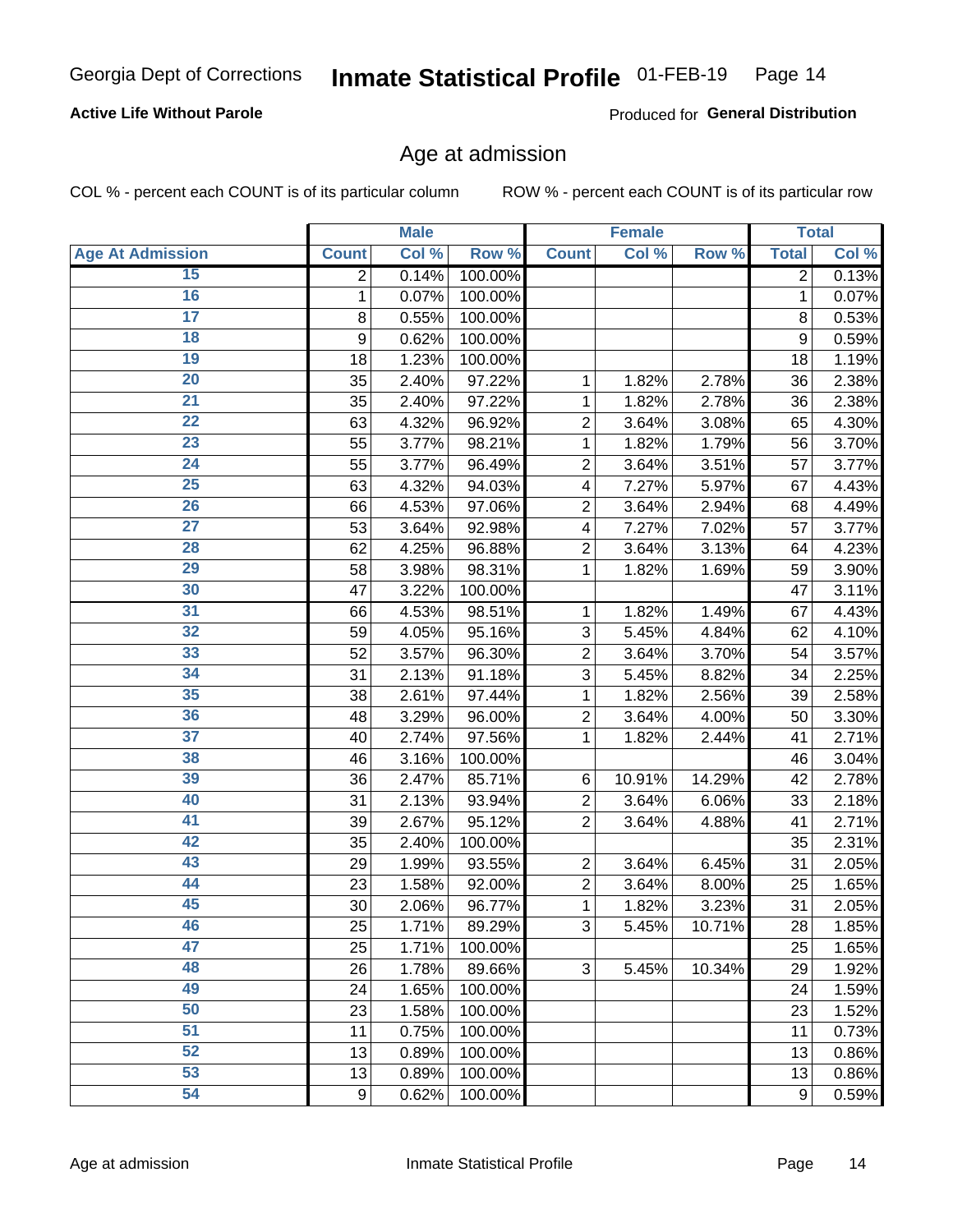### **Active Life Without Parole**

Produced for General Distribution

### Age at admission

COL % - percent each COUNT is of its particular column

|                         |                | <b>Male</b> |         |                         | <b>Female</b> |        |                | <b>Total</b> |
|-------------------------|----------------|-------------|---------|-------------------------|---------------|--------|----------------|--------------|
| <b>Age At Admission</b> | <b>Count</b>   | Col %       | Row %   | <b>Count</b>            | Col %         | Row %  | <b>Total</b>   | Col %        |
| 15                      | $\overline{2}$ | 0.14%       | 100.00% |                         |               |        | $\overline{2}$ | 0.13%        |
| 16                      | 1              | 0.07%       | 100.00% |                         |               |        | $\mathbf{1}$   | 0.07%        |
| $\overline{17}$         | 8              | 0.55%       | 100.00% |                         |               |        | 8              | 0.53%        |
| 18                      | 9              | 0.62%       | 100.00% |                         |               |        | 9              | 0.59%        |
| 19                      | 18             | 1.23%       | 100.00% |                         |               |        | 18             | 1.19%        |
| $\overline{20}$         | 35             | 2.40%       | 97.22%  | 1                       | 1.82%         | 2.78%  | 36             | 2.38%        |
| 21                      | 35             | 2.40%       | 97.22%  | 1                       | 1.82%         | 2.78%  | 36             | 2.38%        |
| 22                      | 63             | 4.32%       | 96.92%  | $\overline{c}$          | 3.64%         | 3.08%  | 65             | 4.30%        |
| 23                      | 55             | 3.77%       | 98.21%  | 1                       | 1.82%         | 1.79%  | 56             | 3.70%        |
| 24                      | 55             | 3.77%       | 96.49%  | $\overline{2}$          | 3.64%         | 3.51%  | 57             | 3.77%        |
| $\overline{25}$         | 63             | 4.32%       | 94.03%  | $\overline{\mathbf{4}}$ | 7.27%         | 5.97%  | 67             | 4.43%        |
| 26                      | 66             | 4.53%       | 97.06%  | $\overline{2}$          | 3.64%         | 2.94%  | 68             | 4.49%        |
| $\overline{27}$         | 53             | 3.64%       | 92.98%  | 4                       | 7.27%         | 7.02%  | 57             | 3.77%        |
| 28                      | 62             | 4.25%       | 96.88%  | $\overline{2}$          | 3.64%         | 3.13%  | 64             | 4.23%        |
| 29                      | 58             | 3.98%       | 98.31%  | 1                       | 1.82%         | 1.69%  | 59             | 3.90%        |
| 30                      | 47             | 3.22%       | 100.00% |                         |               |        | 47             | 3.11%        |
| 31                      | 66             | 4.53%       | 98.51%  | 1                       | 1.82%         | 1.49%  | 67             | 4.43%        |
| 32                      | 59             | 4.05%       | 95.16%  | 3                       | 5.45%         | 4.84%  | 62             | 4.10%        |
| 33                      | 52             | 3.57%       | 96.30%  | $\overline{2}$          | 3.64%         | 3.70%  | 54             | 3.57%        |
| 34                      | 31             | 2.13%       | 91.18%  | 3                       | 5.45%         | 8.82%  | 34             | 2.25%        |
| 35                      | 38             | 2.61%       | 97.44%  | 1                       | 1.82%         | 2.56%  | 39             | 2.58%        |
| 36                      | 48             | 3.29%       | 96.00%  | $\overline{c}$          | 3.64%         | 4.00%  | 50             | 3.30%        |
| $\overline{37}$         | 40             | 2.74%       | 97.56%  | 1                       | 1.82%         | 2.44%  | 41             | 2.71%        |
| 38                      | 46             | 3.16%       | 100.00% |                         |               |        | 46             | 3.04%        |
| 39                      | 36             | 2.47%       | 85.71%  | 6                       | 10.91%        | 14.29% | 42             | 2.78%        |
| 40                      | 31             | 2.13%       | 93.94%  | $\overline{c}$          | 3.64%         | 6.06%  | 33             | 2.18%        |
| 41                      | 39             | 2.67%       | 95.12%  | $\overline{2}$          | 3.64%         | 4.88%  | 41             | 2.71%        |
| 42                      | 35             | 2.40%       | 100.00% |                         |               |        | 35             | 2.31%        |
| 43                      | 29             | 1.99%       | 93.55%  | $\overline{2}$          | 3.64%         | 6.45%  | 31             | 2.05%        |
| 44                      | 23             | 1.58%       | 92.00%  | $\overline{c}$          | 3.64%         | 8.00%  | 25             | 1.65%        |
| 45                      | 30             | 2.06%       | 96.77%  | 1                       | 1.82%         | 3.23%  | 31             | 2.05%        |
| 46                      | 25             | 1.71%       | 89.29%  | 3                       | 5.45%         | 10.71% | 28             | 1.85%        |
| 47                      | 25             | 1.71%       | 100.00% |                         |               |        | 25             | 1.65%        |
| 48                      | 26             | 1.78%       | 89.66%  | 3                       | 5.45%         | 10.34% | 29             | 1.92%        |
| 49                      | 24             | 1.65%       | 100.00% |                         |               |        | 24             | 1.59%        |
| 50                      | 23             | 1.58%       | 100.00% |                         |               |        | 23             | 1.52%        |
| $\overline{51}$         | 11             | 0.75%       | 100.00% |                         |               |        | 11             | 0.73%        |
| 52                      | 13             | 0.89%       | 100.00% |                         |               |        | 13             | 0.86%        |
| 53                      | 13             | 0.89%       | 100.00% |                         |               |        | 13             | 0.86%        |
| 54                      | $9\,$          | 0.62%       | 100.00% |                         |               |        | 9              | 0.59%        |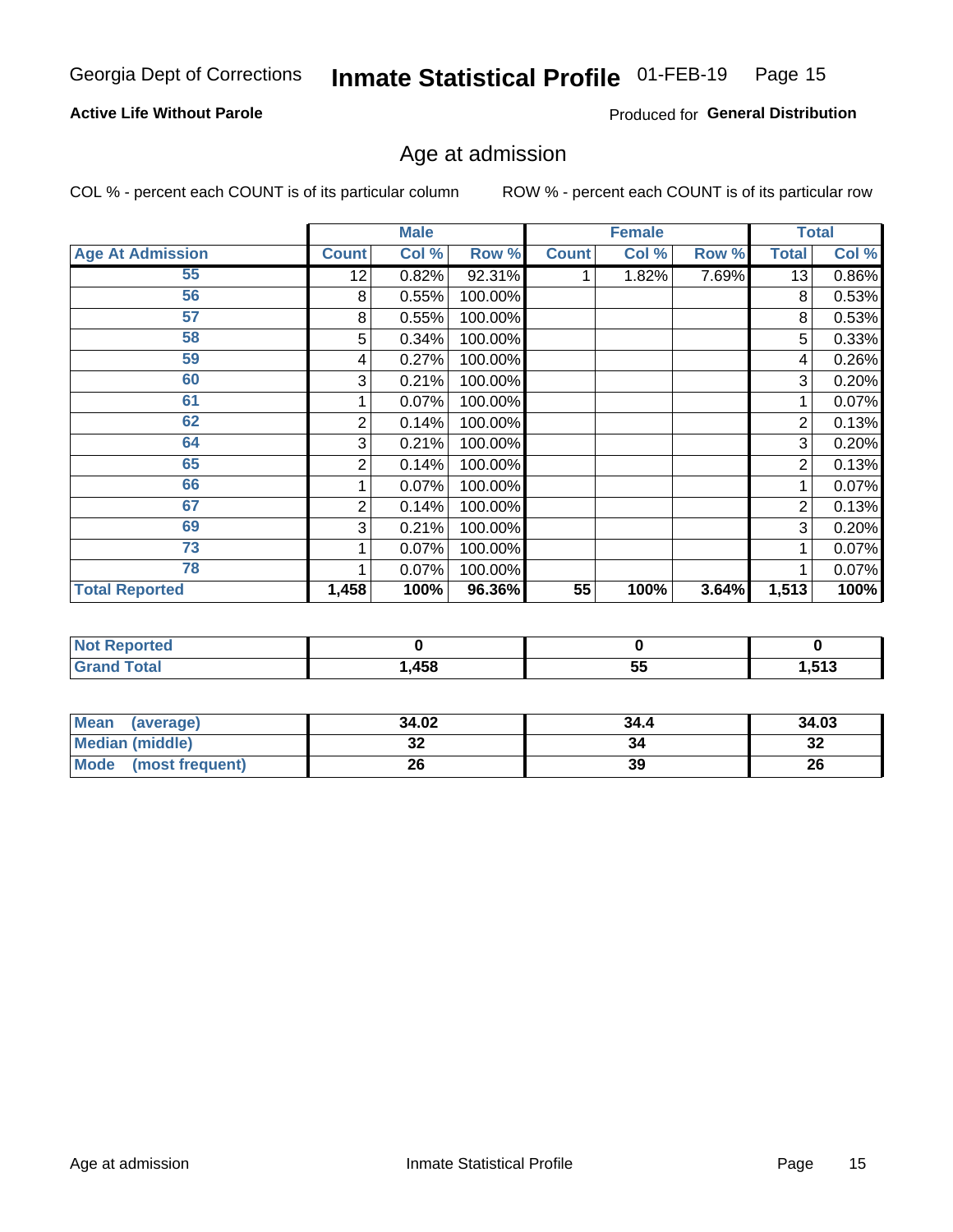### **Active Life Without Parole**

Produced for General Distribution

## Age at admission

COL % - percent each COUNT is of its particular column

|                         |              | <b>Male</b> |         |              | <b>Female</b> |       |              | <b>Total</b> |
|-------------------------|--------------|-------------|---------|--------------|---------------|-------|--------------|--------------|
| <b>Age At Admission</b> | <b>Count</b> | Col %       | Row %   | <b>Count</b> | Col %         | Row % | <b>Total</b> | Col %        |
| 55                      | 12           | 0.82%       | 92.31%  |              | 1.82%         | 7.69% | 13           | 0.86%        |
| 56                      | 8            | 0.55%       | 100.00% |              |               |       | 8            | 0.53%        |
| 57                      | 8            | 0.55%       | 100.00% |              |               |       | 8            | 0.53%        |
| 58                      | 5            | 0.34%       | 100.00% |              |               |       | 5            | 0.33%        |
| 59                      | 4            | 0.27%       | 100.00% |              |               |       | 4            | 0.26%        |
| 60                      | 3            | 0.21%       | 100.00% |              |               |       | 3            | 0.20%        |
| 61                      |              | 0.07%       | 100.00% |              |               |       |              | 0.07%        |
| 62                      | 2            | 0.14%       | 100.00% |              |               |       | 2            | 0.13%        |
| 64                      | 3            | 0.21%       | 100.00% |              |               |       | 3            | 0.20%        |
| 65                      | 2            | 0.14%       | 100.00% |              |               |       | 2            | 0.13%        |
| 66                      |              | 0.07%       | 100.00% |              |               |       |              | 0.07%        |
| 67                      | 2            | 0.14%       | 100.00% |              |               |       | 2            | 0.13%        |
| 69                      | 3            | 0.21%       | 100.00% |              |               |       | 3            | 0.20%        |
| 73                      |              | 0.07%       | 100.00% |              |               |       |              | 0.07%        |
| 78                      |              | 0.07%       | 100.00% |              |               |       |              | 0.07%        |
| <b>Total Reported</b>   | 1,458        | 100%        | 96.36%  | 55           | 100%          | 3.64% | 1,513        | 100%         |

| <b>Reported</b><br>' NOT<br>$\sim$ |      |           |                 |
|------------------------------------|------|-----------|-----------------|
| <b>otal</b>                        | ,458 | --<br>ັບພ | 542<br>L .J I J |

| Mean (average)         | 34.02 | 34.4 | 34.03    |
|------------------------|-------|------|----------|
| <b>Median (middle)</b> | JZ    |      | ົ<br>-52 |
| Mode (most frequent)   | 26    | 39   | 26       |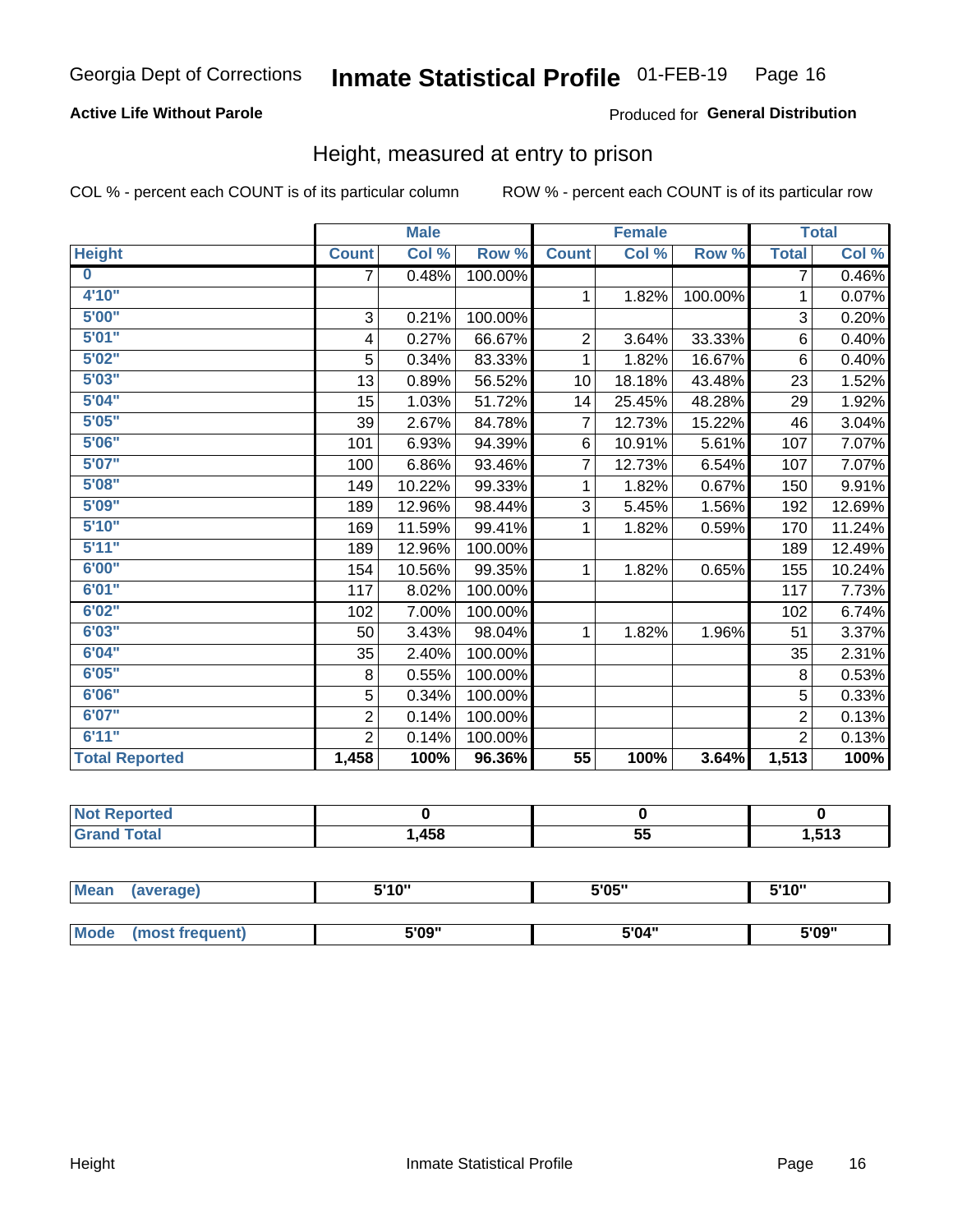### **Active Life Without Parole**

### Produced for General Distribution

### Height, measured at entry to prison

COL % - percent each COUNT is of its particular column

|                       |                           | <b>Male</b> |         |                | <b>Female</b> |         |                | <b>Total</b> |
|-----------------------|---------------------------|-------------|---------|----------------|---------------|---------|----------------|--------------|
| <b>Height</b>         | <b>Count</b>              | Col %       | Row %   | <b>Count</b>   | Col %         | Row %   | <b>Total</b>   | Col %        |
| $\bf{0}$              | $\overline{7}$            | 0.48%       | 100.00% |                |               |         | 7              | 0.46%        |
| 4'10''                |                           |             |         | $\mathbf{1}$   | 1.82%         | 100.00% | 1              | 0.07%        |
| 5'00''                | $\ensuremath{\mathsf{3}}$ | 0.21%       | 100.00% |                |               |         | 3              | 0.20%        |
| 5'01"                 | 4                         | 0.27%       | 66.67%  | $\overline{2}$ | 3.64%         | 33.33%  | 6              | 0.40%        |
| 5'02"                 | 5                         | 0.34%       | 83.33%  | 1              | 1.82%         | 16.67%  | $6\phantom{1}$ | 0.40%        |
| 5'03''                | 13                        | 0.89%       | 56.52%  | 10             | 18.18%        | 43.48%  | 23             | 1.52%        |
| 5'04"                 | 15                        | 1.03%       | 51.72%  | 14             | 25.45%        | 48.28%  | 29             | 1.92%        |
| 5'05"                 | 39                        | 2.67%       | 84.78%  | $\overline{7}$ | 12.73%        | 15.22%  | 46             | 3.04%        |
| 5'06''                | 101                       | 6.93%       | 94.39%  | 6              | 10.91%        | 5.61%   | 107            | 7.07%        |
| 5'07"                 | 100                       | 6.86%       | 93.46%  | 7              | 12.73%        | 6.54%   | 107            | 7.07%        |
| 5'08''                | 149                       | 10.22%      | 99.33%  | 1              | 1.82%         | 0.67%   | 150            | 9.91%        |
| 5'09''                | 189                       | 12.96%      | 98.44%  | 3              | 5.45%         | 1.56%   | 192            | 12.69%       |
| 5'10''                | 169                       | 11.59%      | 99.41%  | 1              | 1.82%         | 0.59%   | 170            | 11.24%       |
| 5'11"                 | 189                       | 12.96%      | 100.00% |                |               |         | 189            | 12.49%       |
| 6'00''                | 154                       | 10.56%      | 99.35%  | 1.             | 1.82%         | 0.65%   | 155            | 10.24%       |
| 6'01''                | 117                       | 8.02%       | 100.00% |                |               |         | 117            | 7.73%        |
| 6'02"                 | 102                       | 7.00%       | 100.00% |                |               |         | 102            | 6.74%        |
| 6'03''                | 50                        | 3.43%       | 98.04%  | $\mathbf{1}$   | 1.82%         | 1.96%   | 51             | 3.37%        |
| 6'04"                 | 35                        | 2.40%       | 100.00% |                |               |         | 35             | 2.31%        |
| 6'05"                 | 8                         | 0.55%       | 100.00% |                |               |         | 8              | 0.53%        |
| 6'06''                | 5                         | 0.34%       | 100.00% |                |               |         | 5              | 0.33%        |
| 6'07''                | $\overline{2}$            | 0.14%       | 100.00% |                |               |         | $\overline{2}$ | 0.13%        |
| 6'11''                | $\overline{2}$            | 0.14%       | 100.00% |                |               |         | $\overline{2}$ | 0.13%        |
| <b>Total Reported</b> | 1,458                     | 100%        | 96.36%  | 55             | 100%          | 3.64%   | 1,513          | 100%         |

| <b>eported</b> |      |                 |      |
|----------------|------|-----------------|------|
| <b>otal</b>    | ,458 | --<br>~*<br>JJ. | ,513 |

| <b>Mean</b> | (average)       | 5'10" | 5'05" | 5'10'' |  |
|-------------|-----------------|-------|-------|--------|--|
|             |                 |       |       |        |  |
| <b>Mode</b> | (most frequent) | 5'09" | 5'04" | 5'09"  |  |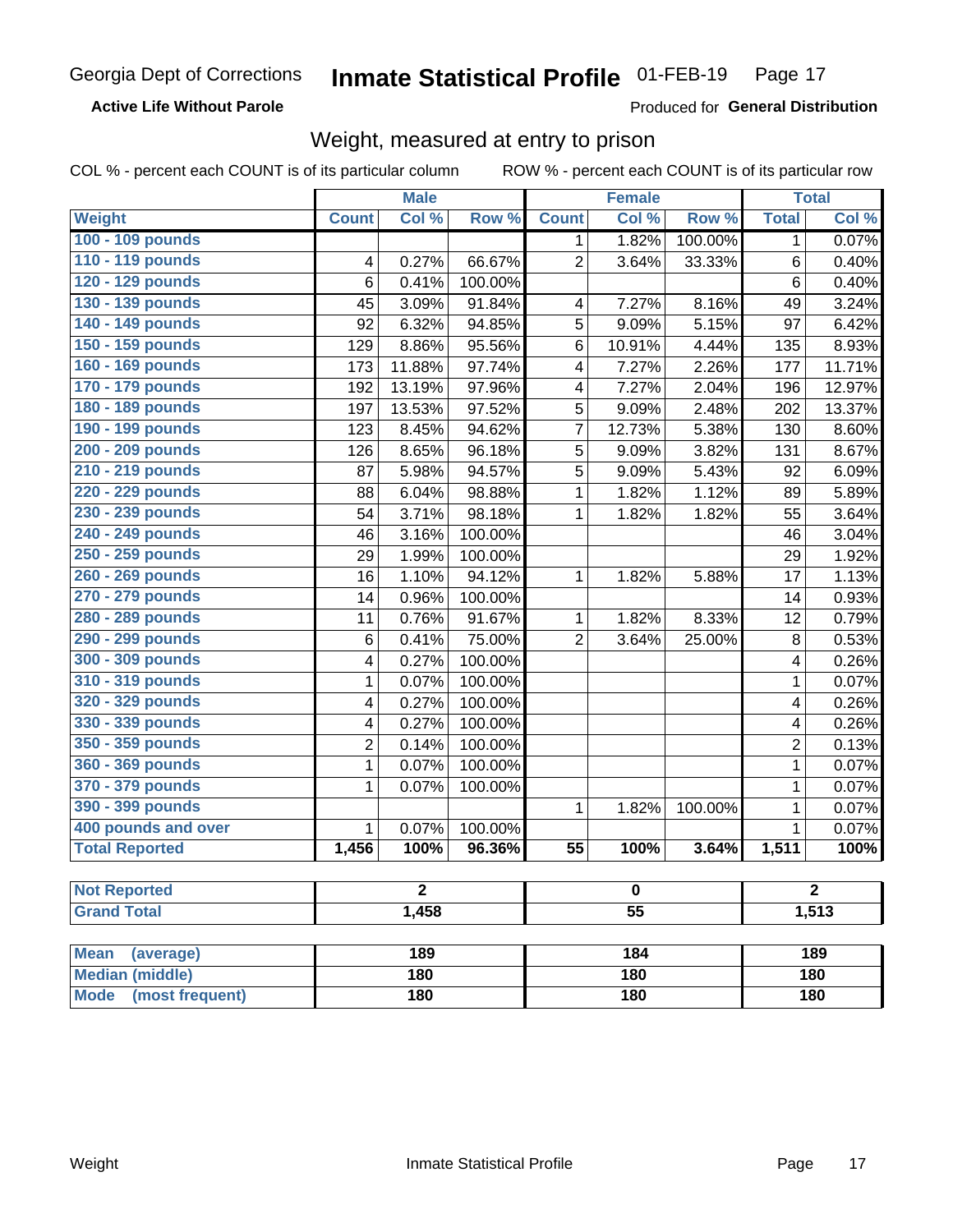**Active Life Without Parole** 

Produced for General Distribution

### Weight, measured at entry to prison

COL % - percent each COUNT is of its particular column

|                                |              | <b>Male</b> |         |                 | <b>Female</b> |         |                | <b>Total</b> |  |
|--------------------------------|--------------|-------------|---------|-----------------|---------------|---------|----------------|--------------|--|
| <b>Weight</b>                  | <b>Count</b> | Col %       | Row %   | <b>Count</b>    | Col %         | Row %   | <b>Total</b>   | Col %        |  |
| 100 - 109 pounds               |              |             |         | 1               | 1.82%         | 100.00% | 1              | 0.07%        |  |
| 110 - 119 pounds               | 4            | 0.27%       | 66.67%  | $\overline{2}$  | 3.64%         | 33.33%  | 6              | 0.40%        |  |
| 120 - 129 pounds               | 6            | 0.41%       | 100.00% |                 |               |         | 6              | 0.40%        |  |
| 130 - 139 pounds               | 45           | 3.09%       | 91.84%  | 4               | 7.27%         | 8.16%   | 49             | 3.24%        |  |
| 140 - 149 pounds               | 92           | 6.32%       | 94.85%  | 5               | 9.09%         | 5.15%   | 97             | 6.42%        |  |
| 150 - 159 pounds               | 129          | 8.86%       | 95.56%  | 6               | 10.91%        | 4.44%   | 135            | 8.93%        |  |
| 160 - 169 pounds               | 173          | 11.88%      | 97.74%  | 4               | 7.27%         | 2.26%   | 177            | 11.71%       |  |
| 170 - 179 pounds               | 192          | 13.19%      | 97.96%  | 4               | 7.27%         | 2.04%   | 196            | 12.97%       |  |
| 180 - 189 pounds               | 197          | 13.53%      | 97.52%  | 5               | 9.09%         | 2.48%   | 202            | 13.37%       |  |
| 190 - 199 pounds               | 123          | 8.45%       | 94.62%  | 7               | 12.73%        | 5.38%   | 130            | 8.60%        |  |
| 200 - 209 pounds               | 126          | 8.65%       | 96.18%  | 5               | 9.09%         | 3.82%   | 131            | 8.67%        |  |
| 210 - 219 pounds               | 87           | 5.98%       | 94.57%  | 5               | 9.09%         | 5.43%   | 92             | 6.09%        |  |
| 220 - 229 pounds               | 88           | 6.04%       | 98.88%  | 1               | 1.82%         | 1.12%   | 89             | 5.89%        |  |
| 230 - 239 pounds               | 54           | 3.71%       | 98.18%  | 1               | 1.82%         | 1.82%   | 55             | 3.64%        |  |
| 240 - 249 pounds               | 46           | 3.16%       | 100.00% |                 |               |         | 46             | 3.04%        |  |
| 250 - 259 pounds               | 29           | 1.99%       | 100.00% |                 |               |         | 29             | 1.92%        |  |
| 260 - 269 pounds               | 16           | 1.10%       | 94.12%  | 1               | 1.82%         | 5.88%   | 17             | 1.13%        |  |
| 270 - 279 pounds               | 14           | 0.96%       | 100.00% |                 |               |         | 14             | 0.93%        |  |
| 280 - 289 pounds               | 11           | 0.76%       | 91.67%  | 1               | 1.82%         | 8.33%   | 12             | 0.79%        |  |
| 290 - 299 pounds               | 6            | 0.41%       | 75.00%  | $\overline{2}$  | 3.64%         | 25.00%  | 8              | 0.53%        |  |
| 300 - 309 pounds               | 4            | 0.27%       | 100.00% |                 |               |         | 4              | 0.26%        |  |
| 310 - 319 pounds               | 1            | 0.07%       | 100.00% |                 |               |         | $\mathbf 1$    | 0.07%        |  |
| 320 - 329 pounds               | 4            | 0.27%       | 100.00% |                 |               |         | 4              | 0.26%        |  |
| 330 - 339 pounds               | 4            | 0.27%       | 100.00% |                 |               |         | 4              | 0.26%        |  |
| 350 - 359 pounds               | 2            | 0.14%       | 100.00% |                 |               |         | $\overline{2}$ | 0.13%        |  |
| 360 - 369 pounds               | 1            | 0.07%       | 100.00% |                 |               |         | $\mathbf{1}$   | 0.07%        |  |
| 370 - 379 pounds               | 1            | 0.07%       | 100.00% |                 |               |         | $\mathbf 1$    | 0.07%        |  |
| 390 - 399 pounds               |              |             |         | 1               | 1.82%         | 100.00% | 1              | 0.07%        |  |
| 400 pounds and over            | $\mathbf{1}$ | 0.07%       | 100.00% |                 |               |         | 1              | 0.07%        |  |
| <b>Total Reported</b>          | 1,456        | 100%        | 96.36%  | $\overline{55}$ | 100%          | 3.64%   | 1,511          | 100%         |  |
|                                |              |             |         |                 |               |         |                |              |  |
| <b>Not Reported</b>            |              | 2           |         |                 | o             |         |                | 2            |  |
| <b>Grand Total</b>             |              | 1,458       |         | $\overline{55}$ |               |         |                | 1,513        |  |
|                                |              |             |         |                 |               |         |                |              |  |
| <b>Mean</b><br>(average)       |              | 189         |         |                 | 184           |         |                | 189          |  |
| <b>Median (middle)</b>         |              | 180         |         |                 | 180           |         |                | 180          |  |
| <b>Mode</b><br>(most frequent) |              | 180         |         | 180             |               |         | <b>180</b>     |              |  |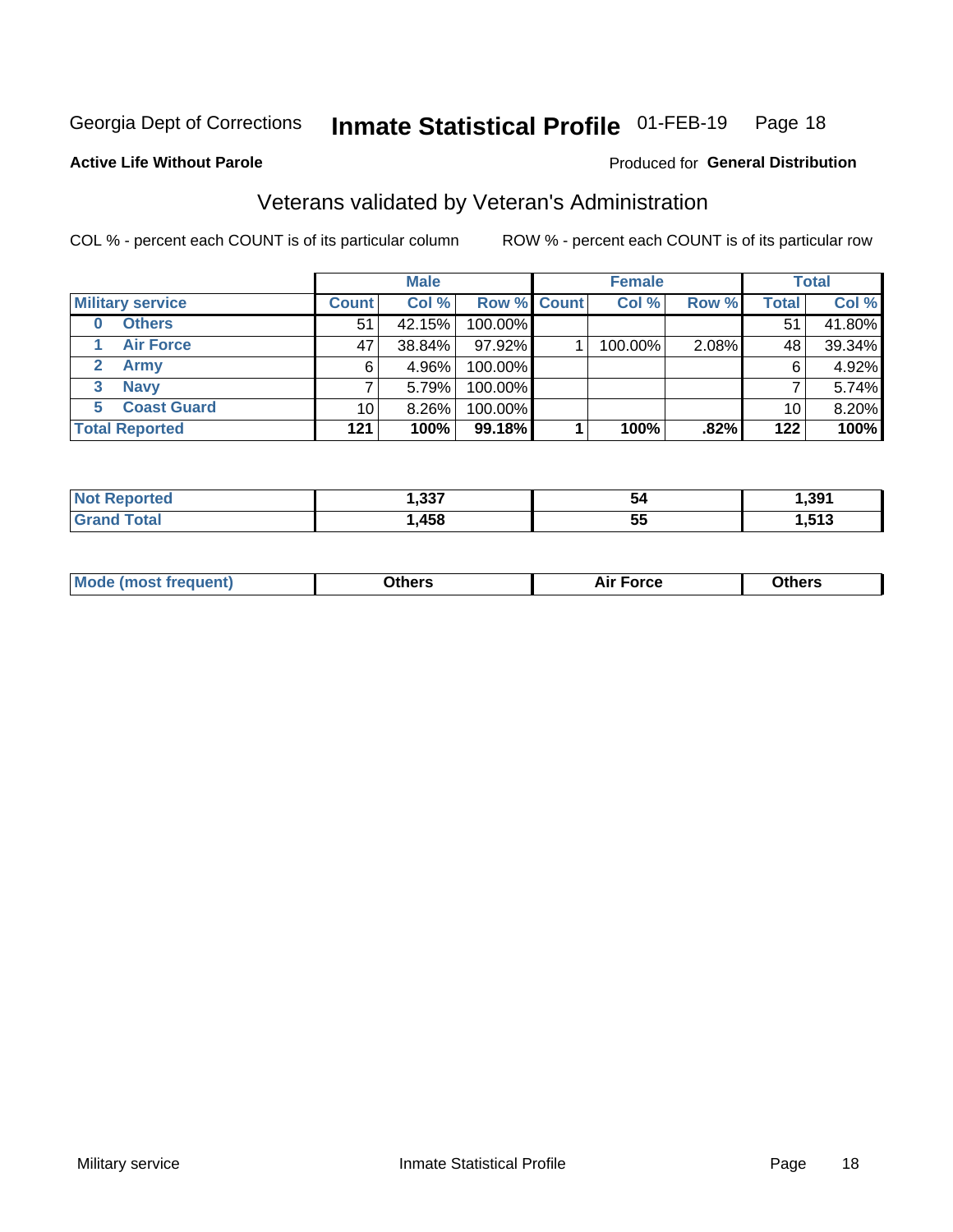#### Inmate Statistical Profile 01-FEB-19 Page 18

**Active Life Without Parole** 

#### Produced for General Distribution

## Veterans validated by Veteran's Administration

COL % - percent each COUNT is of its particular column

|                         |              | <b>Male</b> |                    | <b>Female</b> |       |              | <b>Total</b> |
|-------------------------|--------------|-------------|--------------------|---------------|-------|--------------|--------------|
| <b>Military service</b> | <b>Count</b> | Col %       | <b>Row % Count</b> | Col %         | Row % | <b>Total</b> | Col %        |
| <b>Others</b><br>0      | 51           | 42.15%      | 100.00%            |               |       | 51           | 41.80%       |
| <b>Air Force</b>        | 47           | 38.84%      | 97.92%             | 100.00%       | 2.08% | 48           | 39.34%       |
| Army                    | 6            | 4.96%       | 100.00%            |               |       | 6            | 4.92%        |
| <b>Navy</b><br>3        |              | 5.79%       | 100.00%            |               |       |              | 5.74%        |
| <b>Coast Guard</b><br>5 | 10           | $8.26\%$    | 100.00%            |               |       | 10           | 8.20%        |
| <b>Total Reported</b>   | $121$        | 100%        | 99.18%             | 100%          | .82%  | 122          | 100%         |

| TAL. | $\sim$<br>ו ככ | 54              | .391 |
|------|----------------|-----------------|------|
| int  | .458           | --<br><b>bu</b> | E49  |

| <b>Moo.</b> |
|-------------|
|-------------|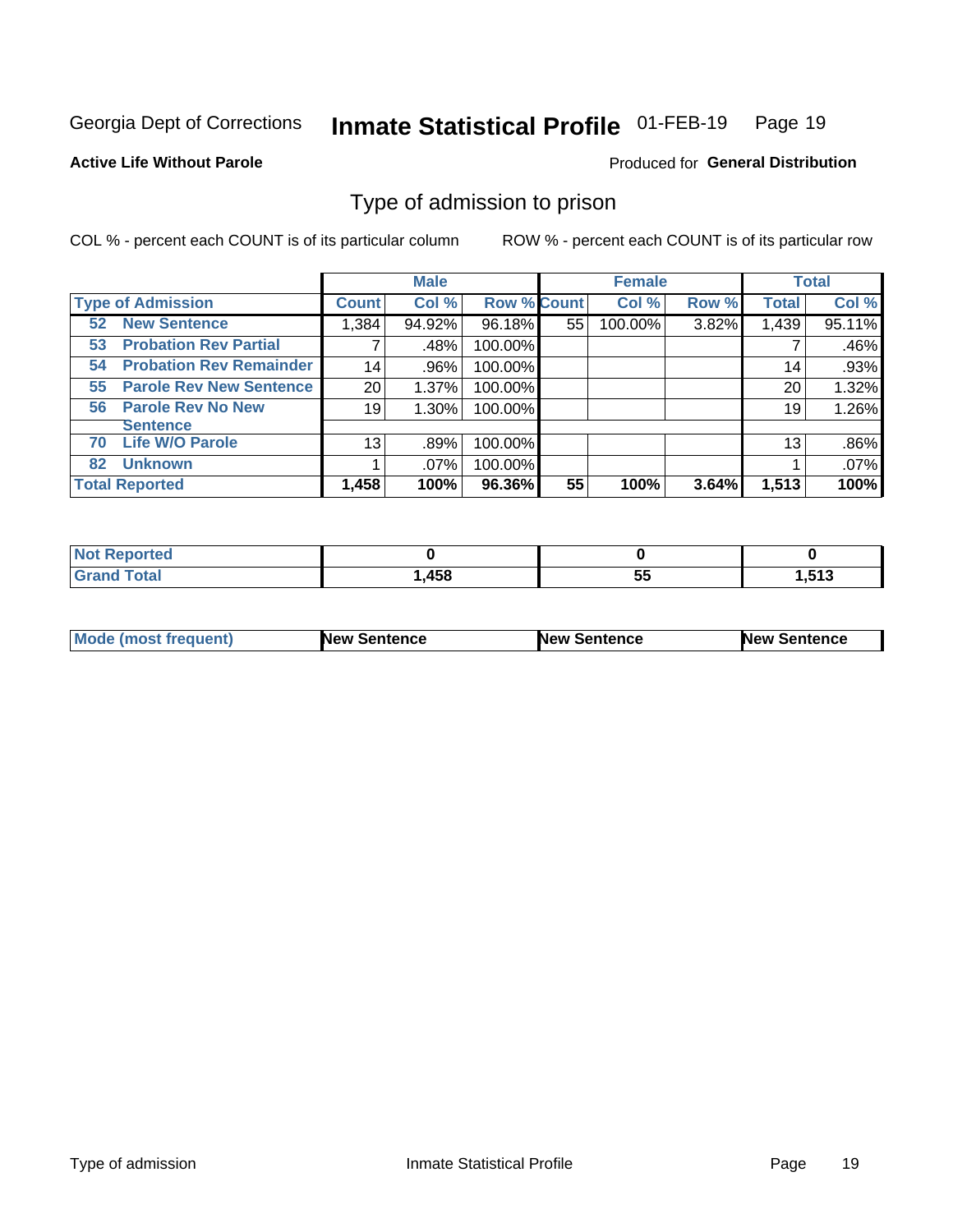#### Inmate Statistical Profile 01-FEB-19 Page 19

**Active Life Without Parole** 

Produced for General Distribution

### Type of admission to prison

COL % - percent each COUNT is of its particular column

|                                      |              | <b>Male</b> |                    |    | <b>Female</b> |       |              | <b>Total</b> |
|--------------------------------------|--------------|-------------|--------------------|----|---------------|-------|--------------|--------------|
| <b>Type of Admission</b>             | <b>Count</b> | Col %       | <b>Row % Count</b> |    | Col %         | Row % | <b>Total</b> | Col %        |
| <b>52 New Sentence</b>               | 1,384        | 94.92%      | 96.18%             | 55 | 100.00%       | 3.82% | 1,439        | 95.11%       |
| <b>Probation Rev Partial</b><br>53   |              | .48%        | 100.00%            |    |               |       |              | .46%         |
| <b>Probation Rev Remainder</b><br>54 | 14           | .96%        | 100.00%            |    |               |       | 14           | .93%         |
| <b>Parole Rev New Sentence</b><br>55 | 20           | 1.37%       | 100.00%            |    |               |       | 20           | 1.32%        |
| <b>Parole Rev No New</b><br>56       | 19           | 1.30%       | 100.00%            |    |               |       | 19           | 1.26%        |
| <b>Sentence</b>                      |              |             |                    |    |               |       |              |              |
| <b>Life W/O Parole</b><br>70         | 13           | .89%        | 100.00%            |    |               |       | 13           | .86%         |
| <b>Unknown</b><br>82                 |              | $.07\%$     | 100.00%            |    |               |       |              | .07%         |
| <b>Total Reported</b>                | 1,458        | 100%        | 96.36%             | 55 | 100%          | 3.64% | 1,513        | 100%         |

| Reported<br><b>NOT</b> |       |    |           |
|------------------------|-------|----|-----------|
| <b>c</b> otal          | 458،، | -- | E49       |
| Gra                    |       | ◡◡ | . . J I J |

| Mode (most frequent) | <b>New Sentence</b> | <b>New Sentence</b> | <b>New Sentence</b> |
|----------------------|---------------------|---------------------|---------------------|
|                      |                     |                     |                     |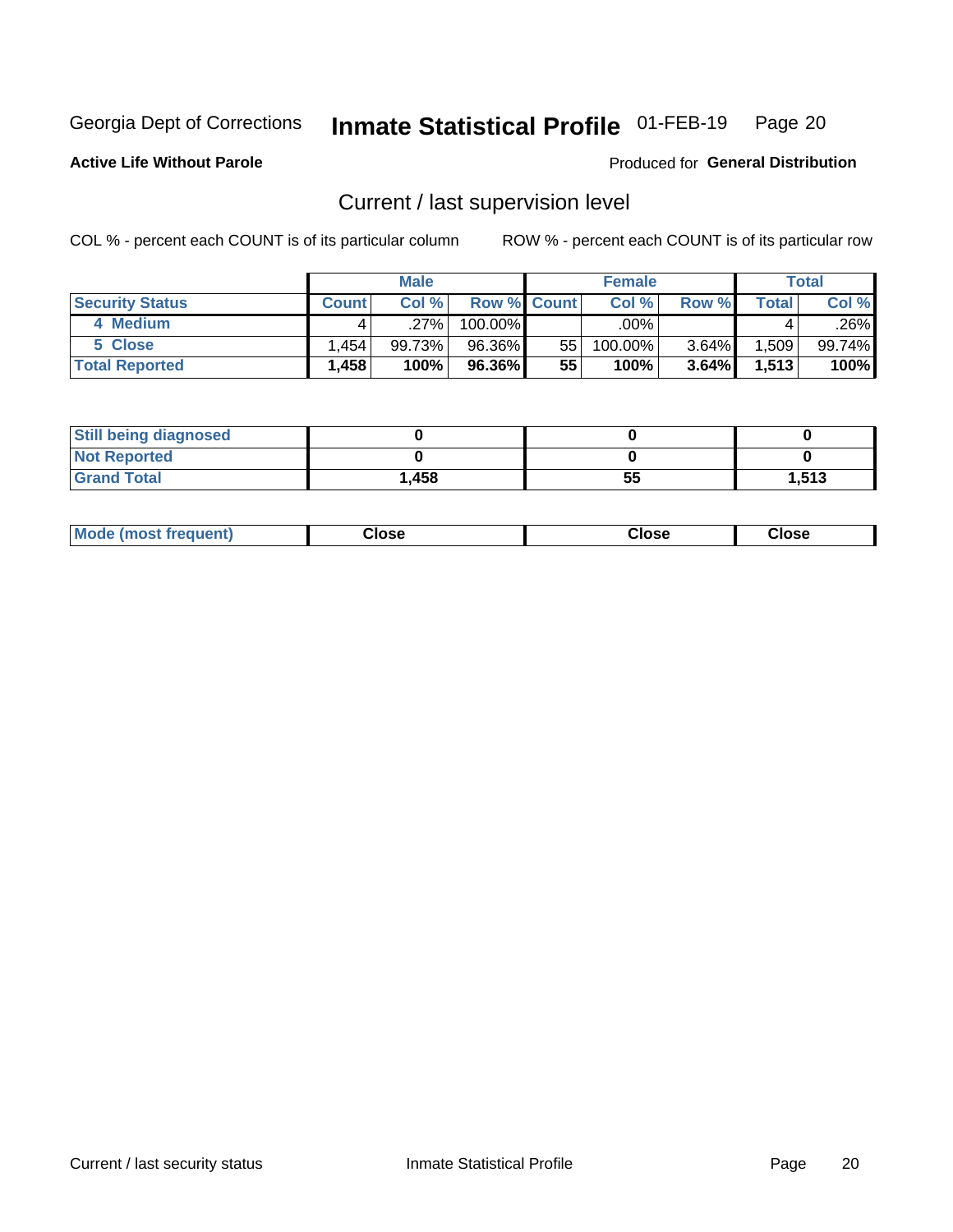## Inmate Statistical Profile 01-FEB-19 Page 20

**Active Life Without Parole** 

Produced for General Distribution

## Current / last supervision level

COL % - percent each COUNT is of its particular column

|                        |                | <b>Male</b> |                    |    | <b>Female</b> |          |       | Total  |
|------------------------|----------------|-------------|--------------------|----|---------------|----------|-------|--------|
| <b>Security Status</b> | <b>Count</b> l | Col%        | <b>Row % Count</b> |    | Col %         | Row %    | Total | Col %  |
| 4 Medium               |                | ل27%.       | $100.00\%$         |    | .00%          |          |       | .26%   |
| 5 Close                | .454           | 99.73%      | 96.36%             | 55 | 100.00%       | $3.64\%$ | .509  | 99.74% |
| <b>Total Reported</b>  | .458           | 100%        | 96.36%             | 55 | 100%          | 3.64%    | 1,513 | 100%   |

| <b>Still being diagnosed</b> |       |    |       |
|------------------------------|-------|----|-------|
| <b>Not Reported</b>          |       |    |       |
| <b>Grand Total</b>           | 1,458 | 55 | 1.513 |

| <b>Mode (most frequent)</b> | Close | ∵lose | Close |
|-----------------------------|-------|-------|-------|
|                             |       |       |       |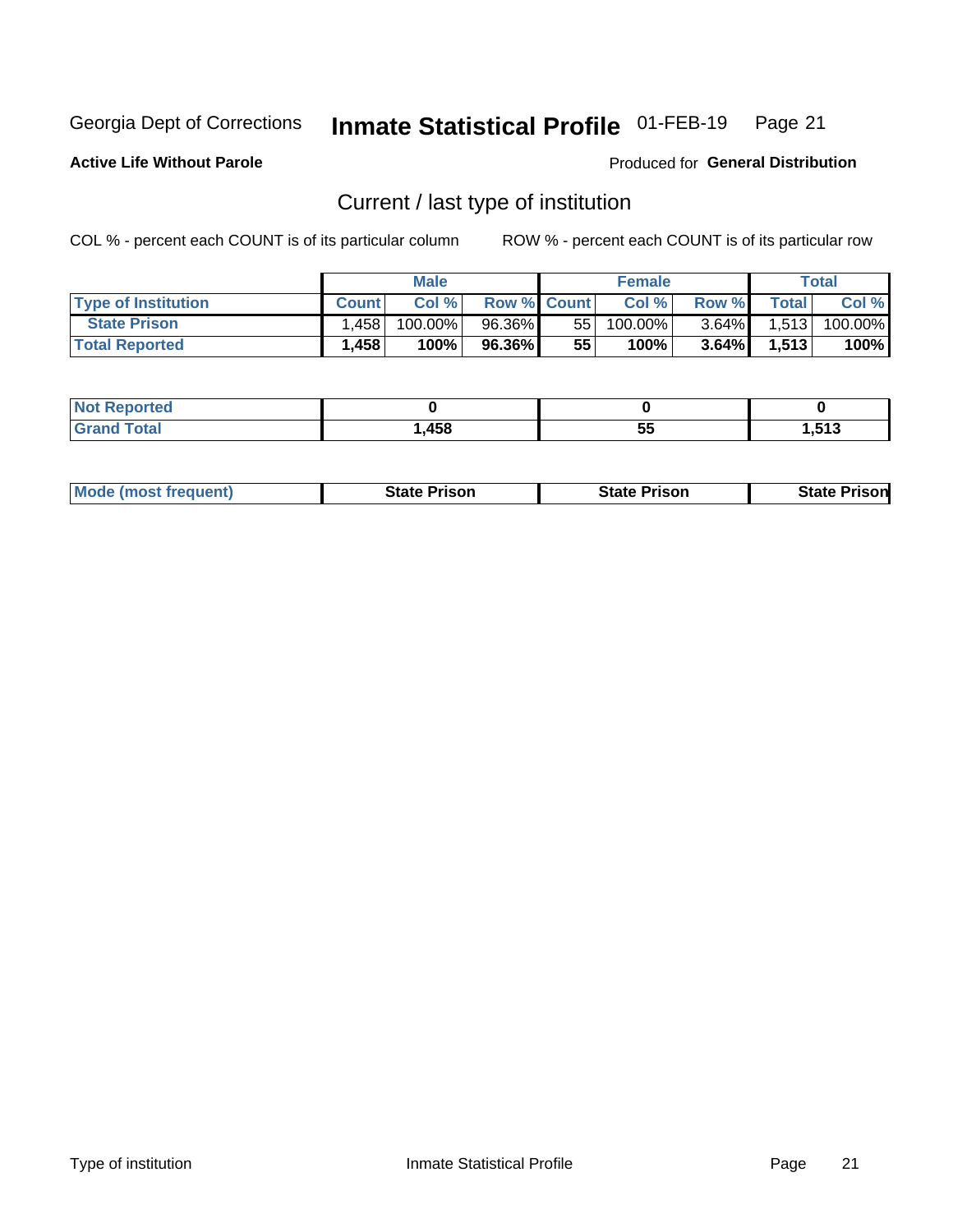#### Inmate Statistical Profile 01-FEB-19 Page 21

**Active Life Without Parole** 

Produced for General Distribution

## Current / last type of institution

COL % - percent each COUNT is of its particular column

|                            |              | <b>Male</b> |                    |    | <b>Female</b> |          |       | <b>Total</b> |
|----------------------------|--------------|-------------|--------------------|----|---------------|----------|-------|--------------|
| <b>Type of Institution</b> | <b>Count</b> | Col %       | <b>Row % Count</b> |    | Col %         | Row %    | Total | Col %        |
| <b>State Prison</b>        | ا 458. ا     | 100.00%     | 96.36%             | 55 | 100.00%       | $3.64\%$ | 1,513 | 100.00%      |
| <b>Total Reported</b>      | 1,458        | 100%        | 96.36%             | 55 | $100\%$ .     | $3.64\%$ | 1.513 | 100%         |

| тео |                   |    |       |
|-----|-------------------|----|-------|
|     | <b>AFQ</b><br>130 | ວະ | 1,513 |

|  | <b>Mode (most frequent)</b> | State Prison | <b>State Prison</b> | <b>State Prison</b> |
|--|-----------------------------|--------------|---------------------|---------------------|
|--|-----------------------------|--------------|---------------------|---------------------|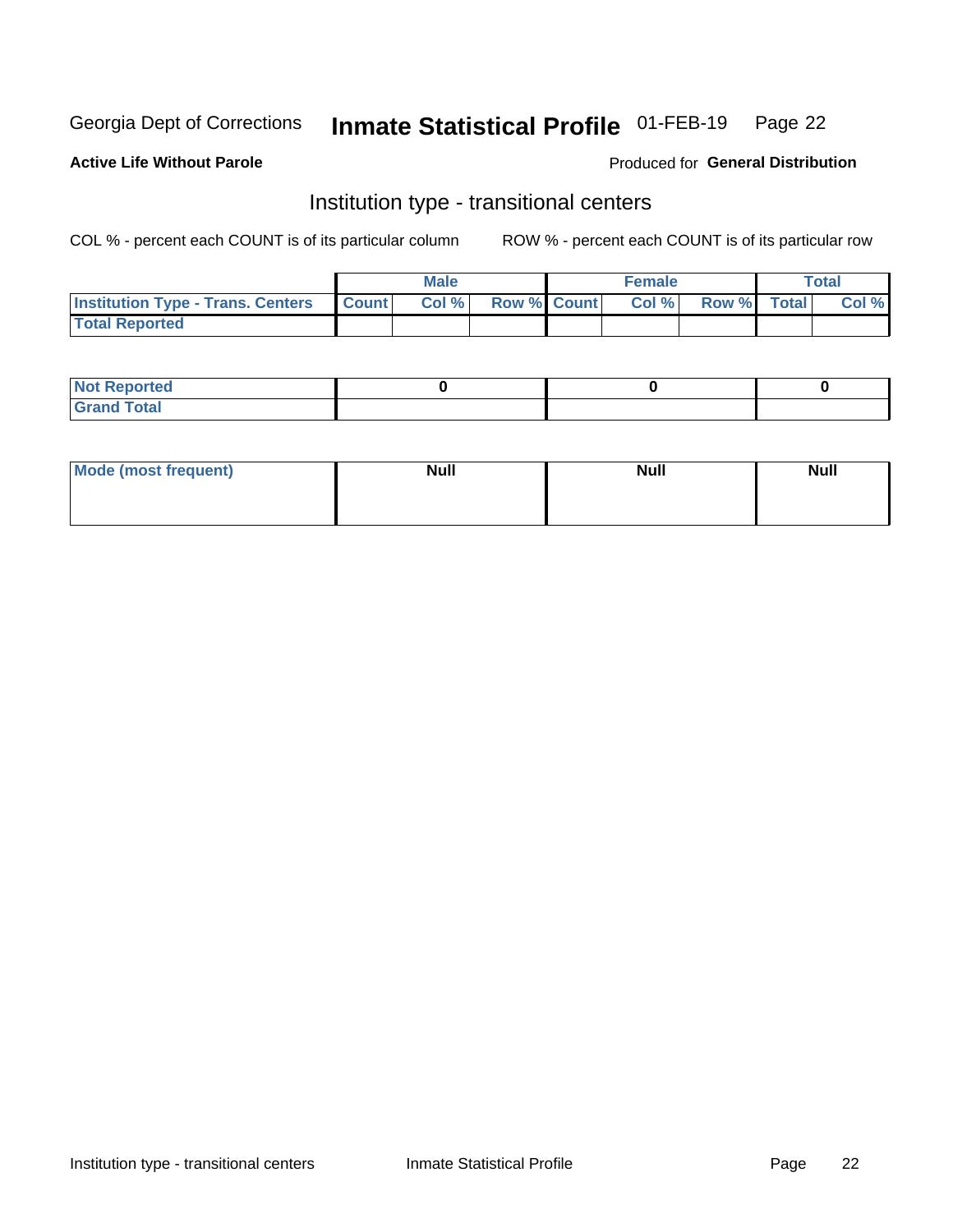#### Inmate Statistical Profile 01-FEB-19 Page 22

**Active Life Without Parole** 

#### Produced for General Distribution

## Institution type - transitional centers

COL % - percent each COUNT is of its particular column

|                                          |              | <b>Male</b> |             | <b>Female</b> |             | <b>Total</b> |
|------------------------------------------|--------------|-------------|-------------|---------------|-------------|--------------|
| <b>Institution Type - Trans. Centers</b> | <b>Count</b> | Col %       | Row % Count | Col %         | Row % Total | Col %        |
| <b>Total Reported</b>                    |              |             |             |               |             |              |

| <b>Not Reported</b>            |  |  |
|--------------------------------|--|--|
| <b>Total</b><br><b>COMMENT</b> |  |  |

| Mode (most frequent) | <b>Null</b> | <b>Null</b> | <b>Null</b> |
|----------------------|-------------|-------------|-------------|
|                      |             |             |             |
|                      |             |             |             |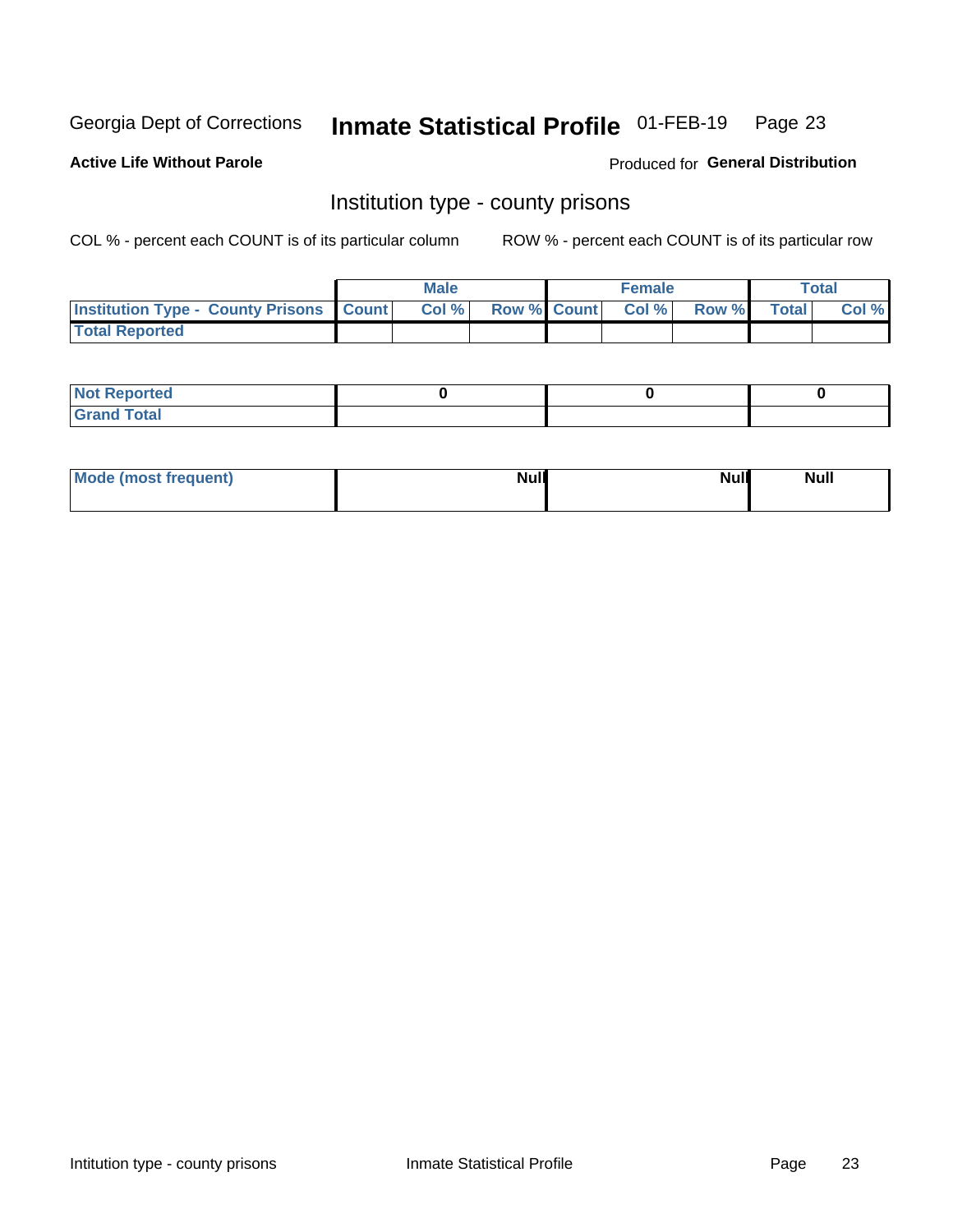## Inmate Statistical Profile 01-FEB-19 Page 23

**Active Life Without Parole** 

Produced for General Distribution

### Institution type - county prisons

COL % - percent each COUNT is of its particular column

|                                                    | <b>Male</b> |       |  | <b>Female</b> |                          |             | <b>Total</b> |       |  |
|----------------------------------------------------|-------------|-------|--|---------------|--------------------------|-------------|--------------|-------|--|
| <b>Institution Type - County Prisons   Count  </b> |             | Col % |  |               | <b>Row % Count Col %</b> | Row % Total |              | Col % |  |
| <b>Total Reported</b>                              |             |       |  |               |                          |             |              |       |  |

| <b>Not</b><br>: Reported<br> |  |  |
|------------------------------|--|--|
| <b>Total</b><br>---          |  |  |

| Mode (most frequent) | <b>Null</b> | <b>Null</b><br><b>Null</b> |
|----------------------|-------------|----------------------------|
|                      |             |                            |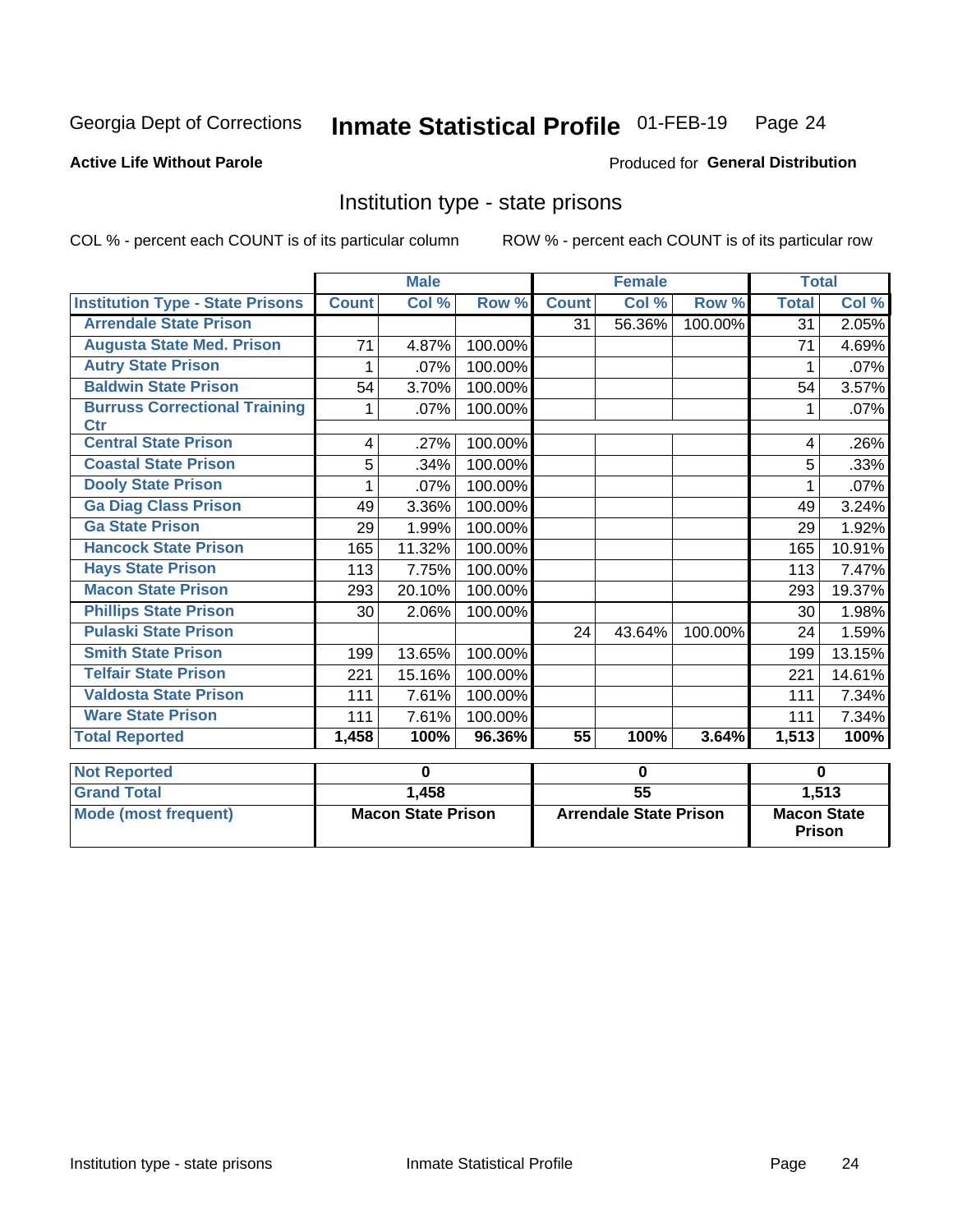#### Inmate Statistical Profile 01-FEB-19 Page 24

### **Active Life Without Parole**

#### Produced for General Distribution

### Institution type - state prisons

COL % - percent each COUNT is of its particular column

|                                                    | <b>Male</b>               |        |                               | <b>Female</b>   |        |                                     | <b>Total</b> |        |
|----------------------------------------------------|---------------------------|--------|-------------------------------|-----------------|--------|-------------------------------------|--------------|--------|
| <b>Institution Type - State Prisons</b>            | <b>Count</b>              | Col %  | Row %                         | <b>Count</b>    | Col %  | Row %                               | <b>Total</b> | Col %  |
| <b>Arrendale State Prison</b>                      |                           |        |                               | 31              | 56.36% | 100.00%                             | 31           | 2.05%  |
| <b>Augusta State Med. Prison</b>                   | 71                        | 4.87%  | 100.00%                       |                 |        |                                     | 71           | 4.69%  |
| <b>Autry State Prison</b>                          | 1                         | .07%   | 100.00%                       |                 |        |                                     |              | .07%   |
| <b>Baldwin State Prison</b>                        | 54                        | 3.70%  | 100.00%                       |                 |        |                                     | 54           | 3.57%  |
| <b>Burruss Correctional Training</b><br><b>Ctr</b> | 1                         | .07%   | 100.00%                       |                 |        |                                     | 1            | .07%   |
| <b>Central State Prison</b>                        | 4                         | .27%   | 100.00%                       |                 |        |                                     | 4            | .26%   |
| <b>Coastal State Prison</b>                        | 5                         | .34%   | 100.00%                       |                 |        |                                     | 5            | .33%   |
| <b>Dooly State Prison</b>                          | 1                         | .07%   | 100.00%                       |                 |        |                                     | 1            | .07%   |
| <b>Ga Diag Class Prison</b>                        | 49                        | 3.36%  | 100.00%                       |                 |        |                                     | 49           | 3.24%  |
| <b>Ga State Prison</b>                             | 29                        | 1.99%  | 100.00%                       |                 |        |                                     | 29           | 1.92%  |
| <b>Hancock State Prison</b>                        | 165                       | 11.32% | 100.00%                       |                 |        |                                     | 165          | 10.91% |
| <b>Hays State Prison</b>                           | 113                       | 7.75%  | 100.00%                       |                 |        |                                     | 113          | 7.47%  |
| <b>Macon State Prison</b>                          | 293                       | 20.10% | 100.00%                       |                 |        |                                     | 293          | 19.37% |
| <b>Phillips State Prison</b>                       | 30                        | 2.06%  | 100.00%                       |                 |        |                                     | 30           | 1.98%  |
| <b>Pulaski State Prison</b>                        |                           |        |                               | 24              | 43.64% | 100.00%                             | 24           | 1.59%  |
| <b>Smith State Prison</b>                          | 199                       | 13.65% | 100.00%                       |                 |        |                                     | 199          | 13.15% |
| <b>Telfair State Prison</b>                        | 221                       | 15.16% | 100.00%                       |                 |        |                                     | 221          | 14.61% |
| <b>Valdosta State Prison</b>                       | 111                       | 7.61%  | 100.00%                       |                 |        |                                     | 111          | 7.34%  |
| <b>Ware State Prison</b>                           | 111                       | 7.61%  | 100.00%                       |                 |        |                                     | 111          | 7.34%  |
| <b>Total Reported</b>                              | 1,458                     | 100%   | 96.36%                        | $\overline{55}$ | 100%   | 3.64%                               | 1,513        | 100%   |
| <b>Not Reported</b>                                | $\bf{0}$                  |        | $\mathbf 0$                   |                 |        | $\bf{0}$                            |              |        |
| <b>Grand Total</b>                                 |                           | 1,458  |                               | $\overline{55}$ |        |                                     | 1,513        |        |
| <b>Mode (most frequent)</b>                        | <b>Macon State Prison</b> |        | <b>Arrendale State Prison</b> |                 |        | <b>Macon State</b><br><b>Prison</b> |              |        |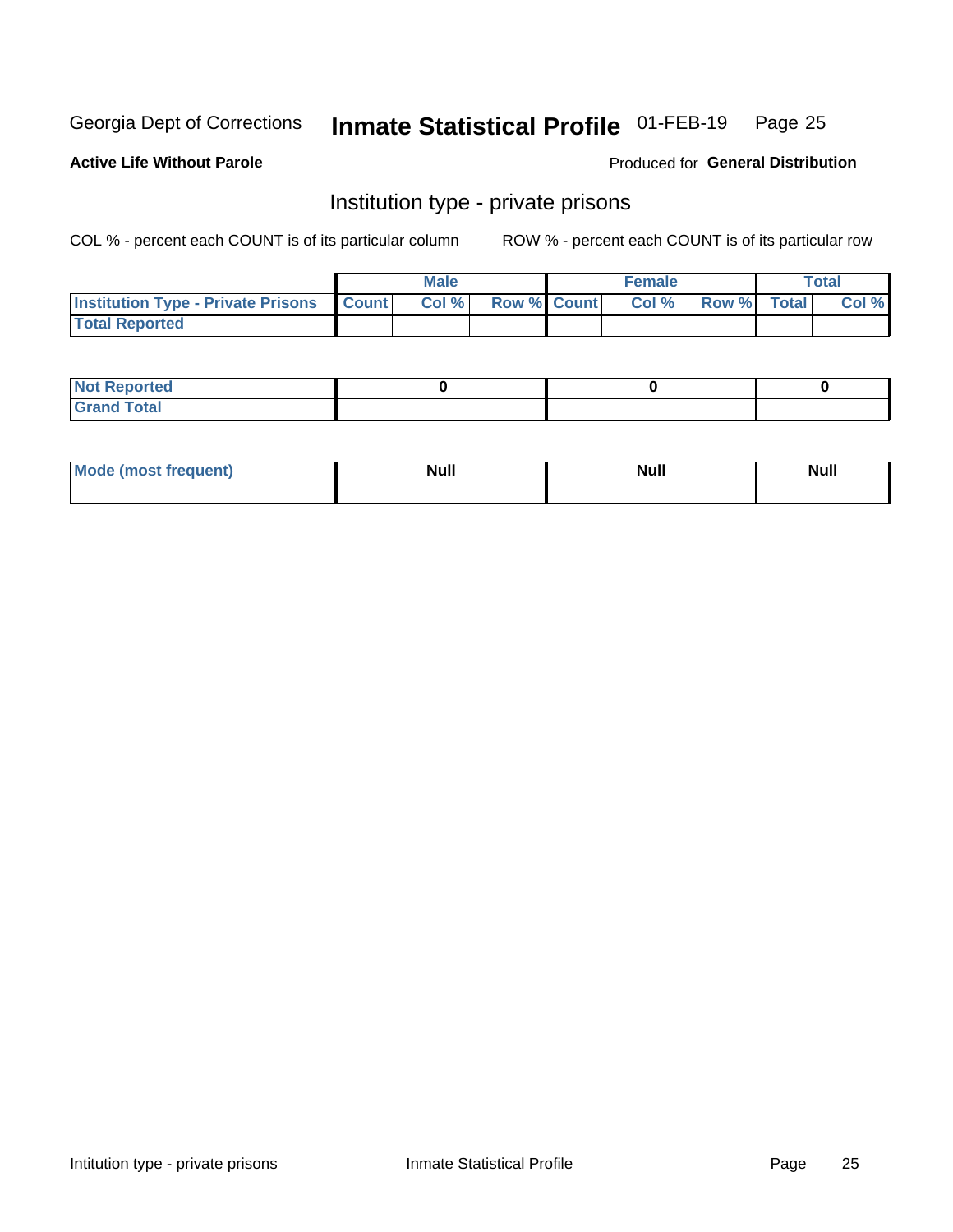## Inmate Statistical Profile 01-FEB-19 Page 25

#### **Active Life Without Parole**

#### Produced for General Distribution

### Institution type - private prisons

COL % - percent each COUNT is of its particular column

|                                                 | <b>Male</b> |       |                    | <b>Female</b> |       |             | Total |       |
|-------------------------------------------------|-------------|-------|--------------------|---------------|-------|-------------|-------|-------|
| <b>Institution Type - Private Prisons Count</b> |             | Col % | <b>Row % Count</b> |               | Col % | Row % Total |       | Col % |
| <b>Total Reported</b>                           |             |       |                    |               |       |             |       |       |

| Not Reported           |  |  |
|------------------------|--|--|
| <b>Cotal</b><br>______ |  |  |

| <b>Mo</b><br>frequent) | <b>Null</b> | <b>Null</b> | . . I *<br><b>IVUII</b> |
|------------------------|-------------|-------------|-------------------------|
|                        |             |             |                         |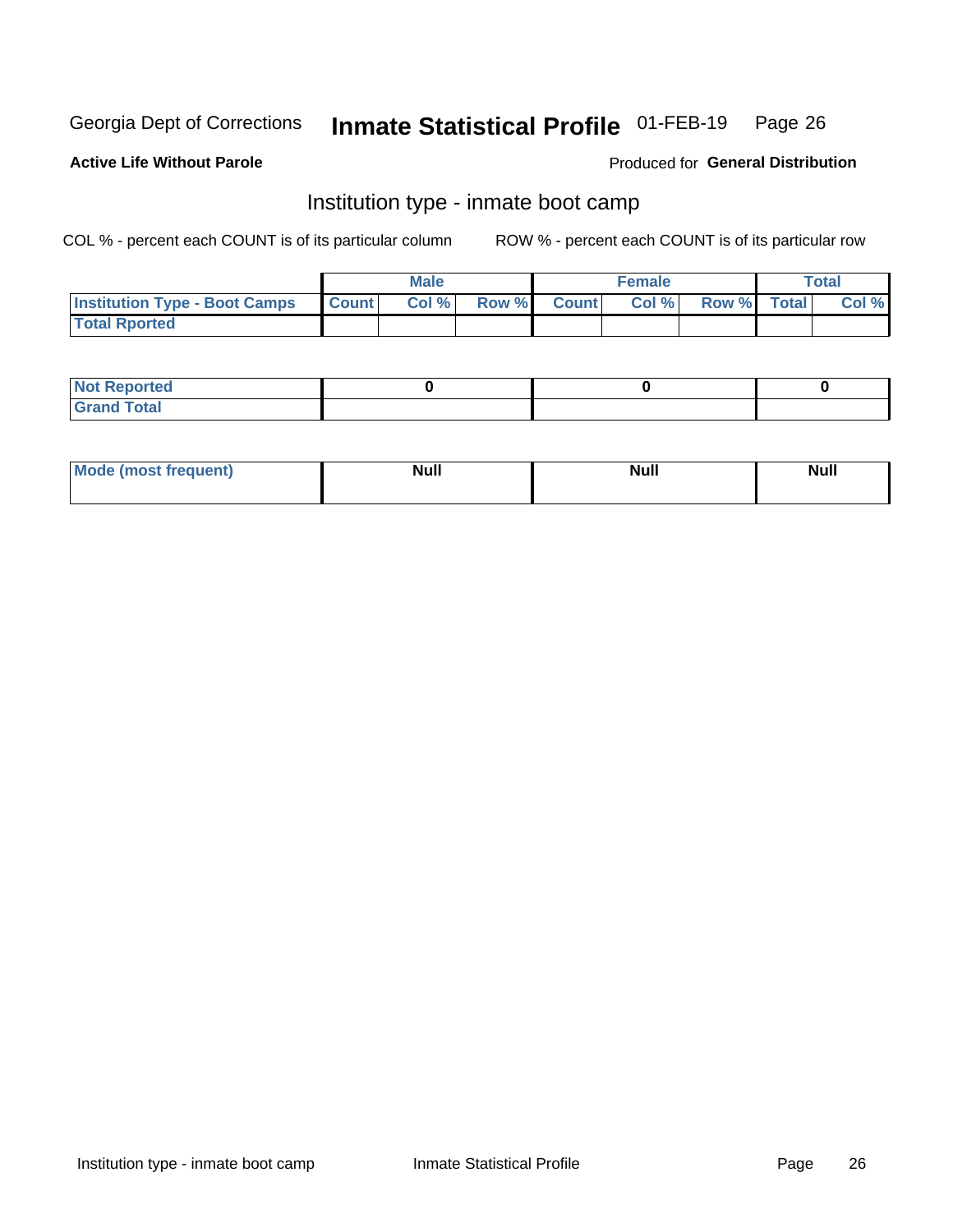#### Inmate Statistical Profile 01-FEB-19 Page 26

### **Active Life Without Parole**

#### Produced for General Distribution

## Institution type - inmate boot camp

COL % - percent each COUNT is of its particular column

|                                      | <b>Male</b>      |       |              | <b>Female</b> |       |             | <b>Total</b> |       |
|--------------------------------------|------------------|-------|--------------|---------------|-------|-------------|--------------|-------|
| <b>Institution Type - Boot Camps</b> | <b>I</b> Count I | Col % | <b>Row %</b> | <b>Count</b>  | Col % | Row % Total |              | Col % |
| <b>Total Rported</b>                 |                  |       |              |               |       |             |              |       |

| <b>Not Reported</b>            |  |  |
|--------------------------------|--|--|
| <b>Total</b><br>C <sub>r</sub> |  |  |

| Mod<br>uamo | Nul.<br>$- - - - - -$ | <b>Null</b> | . .<br>uu.<br>------ |
|-------------|-----------------------|-------------|----------------------|
|             |                       |             |                      |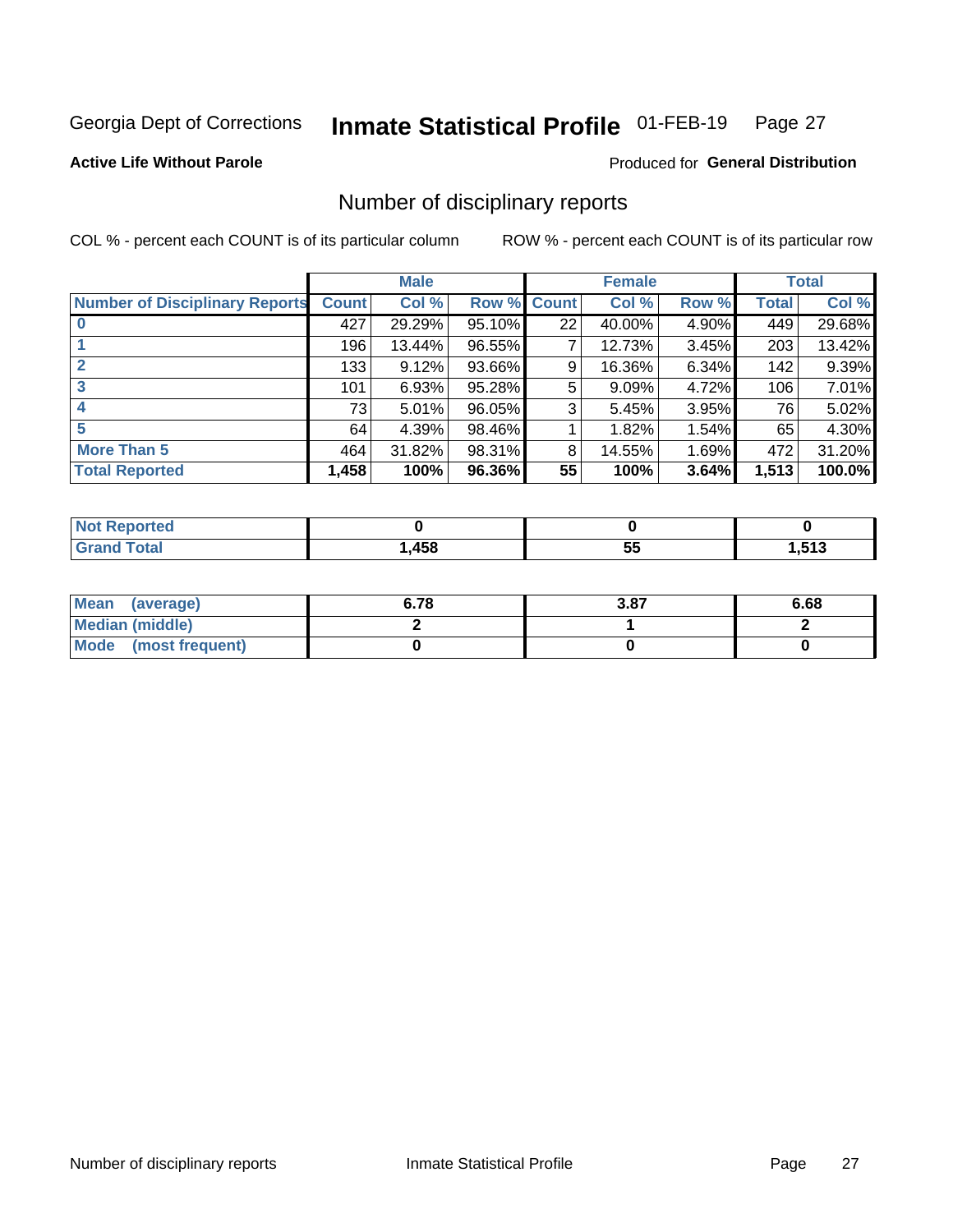#### Inmate Statistical Profile 01-FEB-19 Page 27

**Active Life Without Parole** 

Produced for General Distribution

### Number of disciplinary reports

COL % - percent each COUNT is of its particular column

|                                       | <b>Male</b>  |        |             | <b>Female</b> |        |       | <b>Total</b> |        |
|---------------------------------------|--------------|--------|-------------|---------------|--------|-------|--------------|--------|
| <b>Number of Disciplinary Reports</b> | <b>Count</b> | Col %  | Row % Count |               | Col %  | Row % | Total        | Col %  |
|                                       | 427          | 29.29% | 95.10%      | 22            | 40.00% | 4.90% | 449          | 29.68% |
|                                       | 196          | 13.44% | 96.55%      | 7             | 12.73% | 3.45% | 203          | 13.42% |
| $\mathbf{2}$                          | 133          | 9.12%  | 93.66%      | 9             | 16.36% | 6.34% | 142          | 9.39%  |
| 3                                     | 101          | 6.93%  | 95.28%      | 5             | 9.09%  | 4.72% | 106          | 7.01%  |
|                                       | 73           | 5.01%  | 96.05%      | 3             | 5.45%  | 3.95% | 76           | 5.02%  |
| 5                                     | 64           | 4.39%  | 98.46%      |               | 1.82%  | 1.54% | 65           | 4.30%  |
| <b>More Than 5</b>                    | 464          | 31.82% | 98.31%      | 8             | 14.55% | 1.69% | 472          | 31.20% |
| <b>Total Reported</b>                 | 1,458        | 100%   | 96.36%      | 55            | 100%   | 3.64% | 1,513        | 100.0% |

| τεσ<br>N0 |      |    |                              |
|-----------|------|----|------------------------------|
| Гоtal     | ,458 | JJ | <b>E49</b><br><b>., ., .</b> |

| Mean (average)       | 6.78 | 3.87 | 6.68 |
|----------------------|------|------|------|
| Median (middle)      |      |      |      |
| Mode (most frequent) |      |      |      |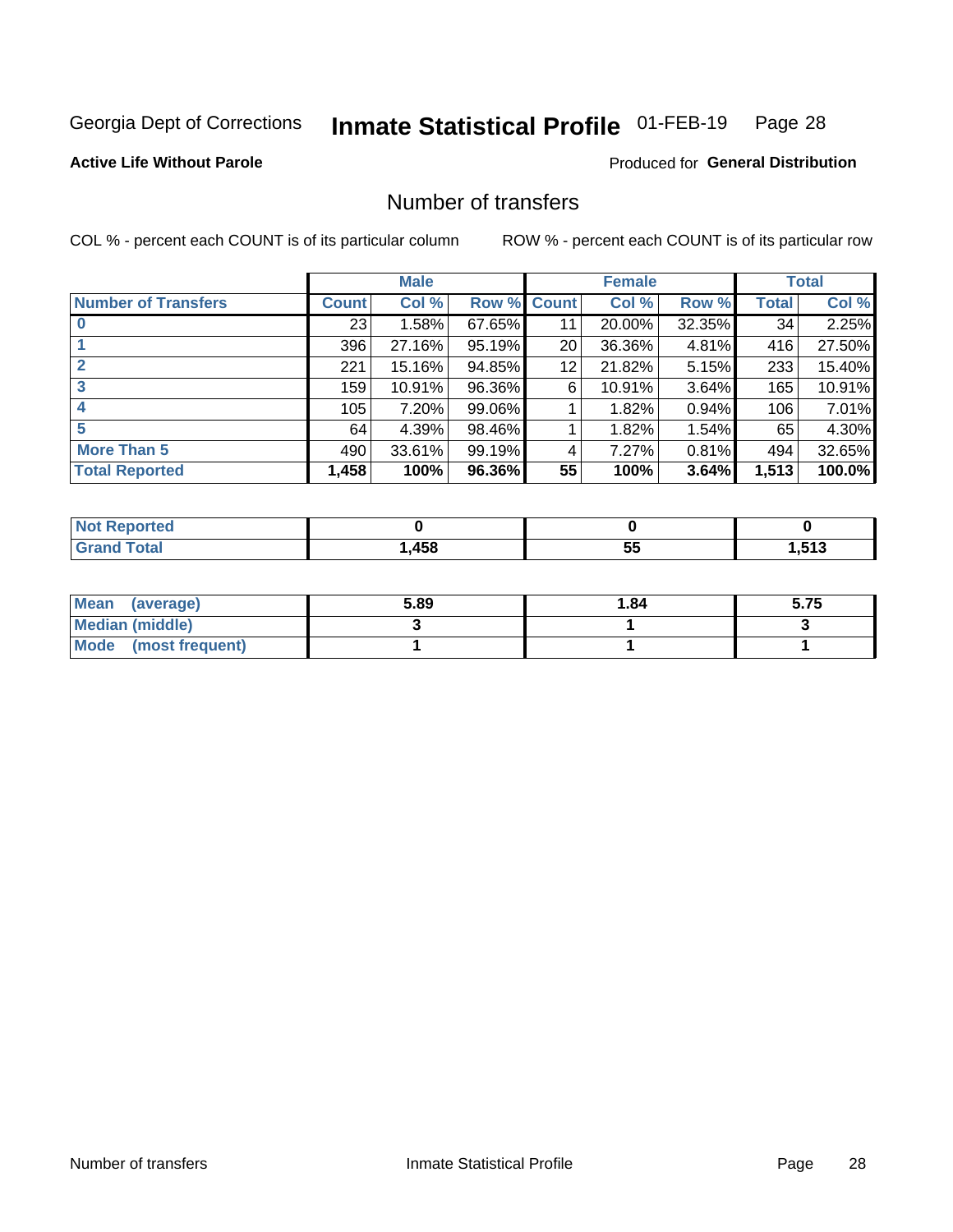#### Inmate Statistical Profile 01-FEB-19 Page 28

**Active Life Without Parole** 

**Produced for General Distribution** 

## Number of transfers

COL % - percent each COUNT is of its particular column

|                            | <b>Male</b> |        | <b>Female</b> |    |        | <b>Total</b> |              |        |
|----------------------------|-------------|--------|---------------|----|--------|--------------|--------------|--------|
| <b>Number of Transfers</b> | Count l     | Col %  | Row % Count   |    | Col %  | Row %        | <b>Total</b> | Col %  |
|                            | 23          | 1.58%  | 67.65%        | 11 | 20.00% | 32.35%       | 34           | 2.25%  |
|                            | 396         | 27.16% | 95.19%        | 20 | 36.36% | 4.81%        | 416          | 27.50% |
| $\mathbf{2}$               | 221         | 15.16% | 94.85%        | 12 | 21.82% | 5.15%        | 233          | 15.40% |
| 3                          | 159         | 10.91% | 96.36%        | 6  | 10.91% | $3.64\%$     | 165          | 10.91% |
|                            | 105         | 7.20%  | 99.06%        |    | 1.82%  | 0.94%        | 106          | 7.01%  |
| 5                          | 64          | 4.39%  | 98.46%        |    | 1.82%  | 1.54%        | 65           | 4.30%  |
| <b>More Than 5</b>         | 490         | 33.61% | 99.19%        | 4  | 7.27%  | 0.81%        | 494          | 32.65% |
| <b>Total Reported</b>      | 1,458       | 100%   | 96.36%        | 55 | 100%   | 3.64%        | 1,513        | 100.0% |

| NO<br>тео |      |   |                     |
|-----------|------|---|---------------------|
| Гоtal     | ,458 | ູ | <b>E42</b><br>. טוי |

| Mean (average)       | 5.89 | 1.84 | 5.75 |
|----------------------|------|------|------|
| Median (middle)      |      |      |      |
| Mode (most frequent) |      |      |      |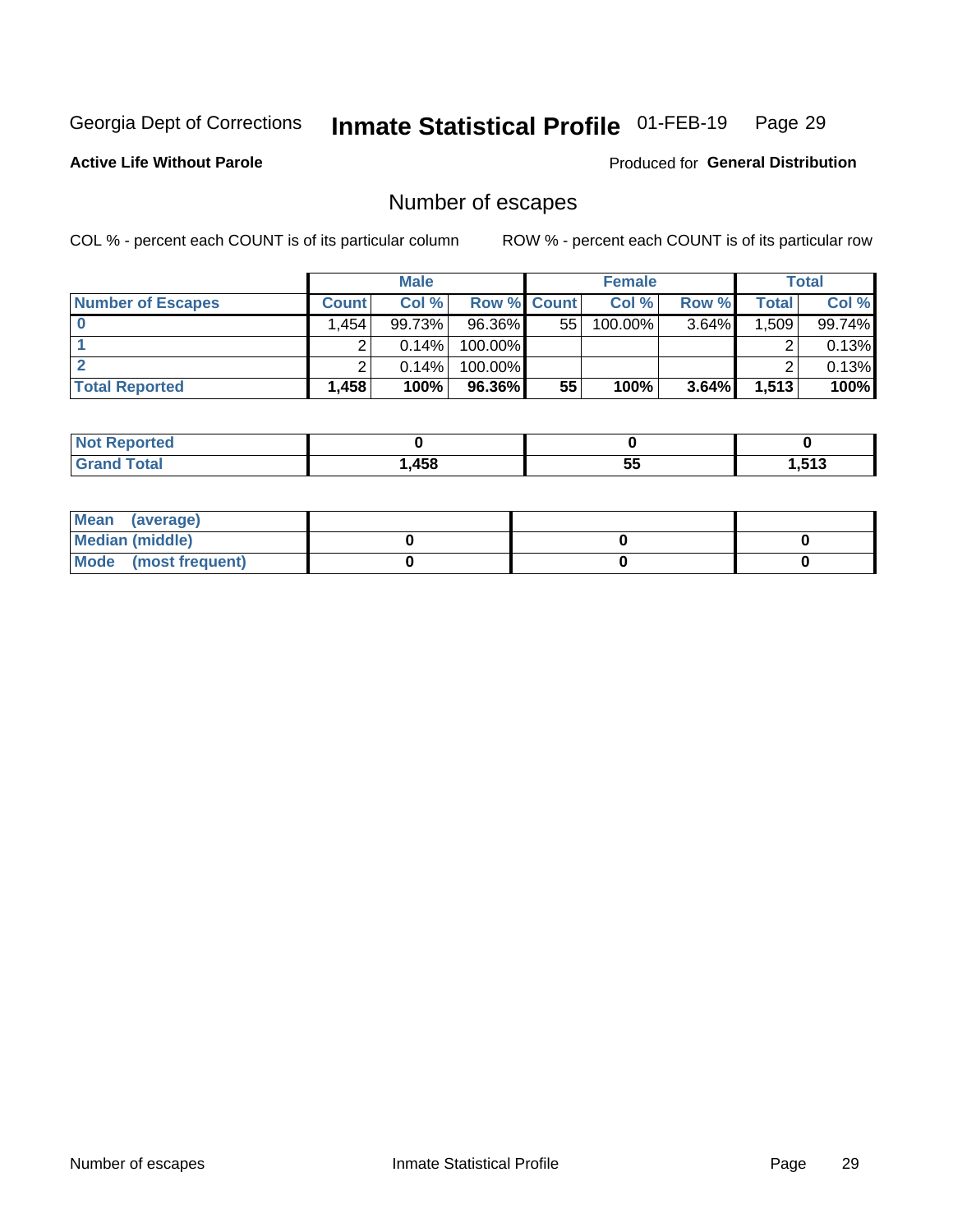## Inmate Statistical Profile 01-FEB-19 Page 29

**Active Life Without Parole** 

Produced for General Distribution

## Number of escapes

COL % - percent each COUNT is of its particular column

|                          | <b>Male</b>  |        |                    | <b>Female</b> |            |          | Total |        |
|--------------------------|--------------|--------|--------------------|---------------|------------|----------|-------|--------|
| <b>Number of Escapes</b> | <b>Count</b> | Col %  | <b>Row % Count</b> |               | Col %      | Row %    | Total | Col %  |
|                          | .454         | 99.73% | 96.36%             | 55            | $100.00\%$ | $3.64\%$ | 1,509 | 99.74% |
|                          |              | 0.14%  | 100.00%            |               |            |          |       | 0.13%  |
|                          |              | 0.14%  | $100.00\%$         |               |            |          |       | 0.13%  |
| <b>Total Reported</b>    | $.458+$      | 100%   | $96.36\%$          | 55            | 100%       | 3.64%    | 1,513 | 100%   |

| rtea<br>NO:           |     |              |                  |
|-----------------------|-----|--------------|------------------|
| <b>Total</b><br>Grand | 458 | --<br>~<br>◡ | E42<br>- 11<br>. |

| Mean (average)       |  |  |
|----------------------|--|--|
| Median (middle)      |  |  |
| Mode (most frequent) |  |  |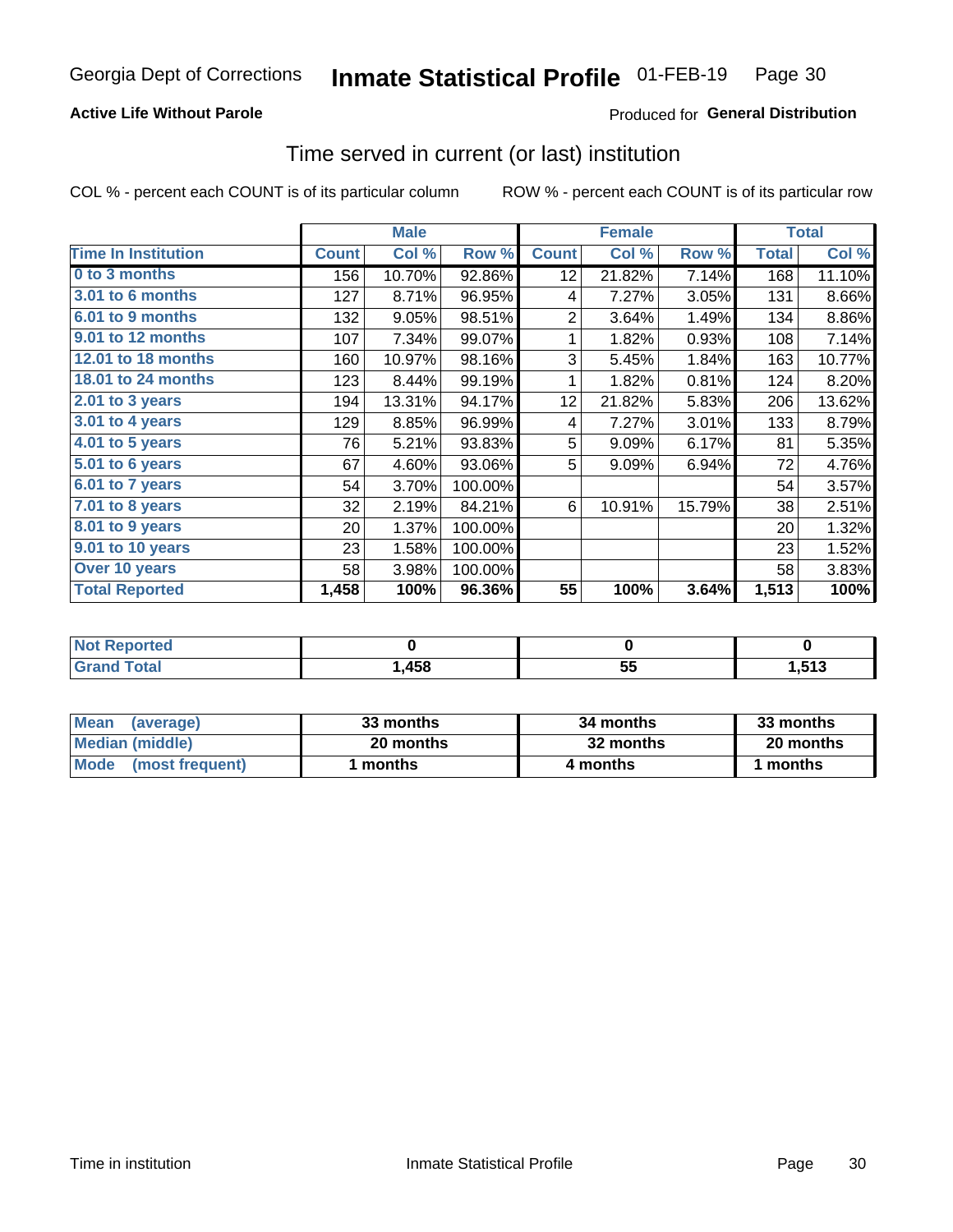### **Active Life Without Parole**

### **Produced for General Distribution**

### Time served in current (or last) institution

COL % - percent each COUNT is of its particular column

|                            |              | <b>Male</b> |         | <b>Female</b>   |        |        | <b>Total</b> |        |
|----------------------------|--------------|-------------|---------|-----------------|--------|--------|--------------|--------|
| <b>Time In Institution</b> | <b>Count</b> | Col %       | Row %   | <b>Count</b>    | Col %  | Row %  | <b>Total</b> | Col %  |
| 0 to 3 months              | 156          | 10.70%      | 92.86%  | 12 <sub>2</sub> | 21.82% | 7.14%  | 168          | 11.10% |
| <b>3.01 to 6 months</b>    | 127          | 8.71%       | 96.95%  | 4               | 7.27%  | 3.05%  | 131          | 8.66%  |
| 6.01 to 9 months           | 132          | 9.05%       | 98.51%  | $\overline{2}$  | 3.64%  | 1.49%  | 134          | 8.86%  |
| 9.01 to 12 months          | 107          | 7.34%       | 99.07%  | 1               | 1.82%  | 0.93%  | 108          | 7.14%  |
| 12.01 to 18 months         | 160          | 10.97%      | 98.16%  | 3               | 5.45%  | 1.84%  | 163          | 10.77% |
| <b>18.01 to 24 months</b>  | 123          | 8.44%       | 99.19%  | 1               | 1.82%  | 0.81%  | 124          | 8.20%  |
| $2.01$ to 3 years          | 194          | 13.31%      | 94.17%  | 12              | 21.82% | 5.83%  | 206          | 13.62% |
| $3.01$ to 4 years          | 129          | 8.85%       | 96.99%  | 4               | 7.27%  | 3.01%  | 133          | 8.79%  |
| 4.01 to 5 years            | 76           | 5.21%       | 93.83%  | 5               | 9.09%  | 6.17%  | 81           | 5.35%  |
| 5.01 to 6 years            | 67           | 4.60%       | 93.06%  | 5               | 9.09%  | 6.94%  | 72           | 4.76%  |
| 6.01 to 7 years            | 54           | 3.70%       | 100.00% |                 |        |        | 54           | 3.57%  |
| 7.01 to 8 years            | 32           | 2.19%       | 84.21%  | 6               | 10.91% | 15.79% | 38           | 2.51%  |
| 8.01 to 9 years            | 20           | 1.37%       | 100.00% |                 |        |        | 20           | 1.32%  |
| 9.01 to 10 years           | 23           | 1.58%       | 100.00% |                 |        |        | 23           | 1.52%  |
| Over 10 years              | 58           | 3.98%       | 100.00% |                 |        |        | 58           | 3.83%  |
| <b>Total Reported</b>      | 1,458        | 100%        | 96.36%  | 55              | 100%   | 3.64%  | 1,513        | 100%   |

| Reported<br><b>Not</b> |     |                    |      |
|------------------------|-----|--------------------|------|
| <i>i</i> otal          | 458 | $- -$<br>. .<br>JJ | ,513 |

| <b>Mean</b><br>(average) | 33 months | 34 months | 33 months |
|--------------------------|-----------|-----------|-----------|
| Median (middle)          | 20 months | 32 months | 20 months |
| Mode (most frequent)     | ' months  | 4 months  | 1 months  |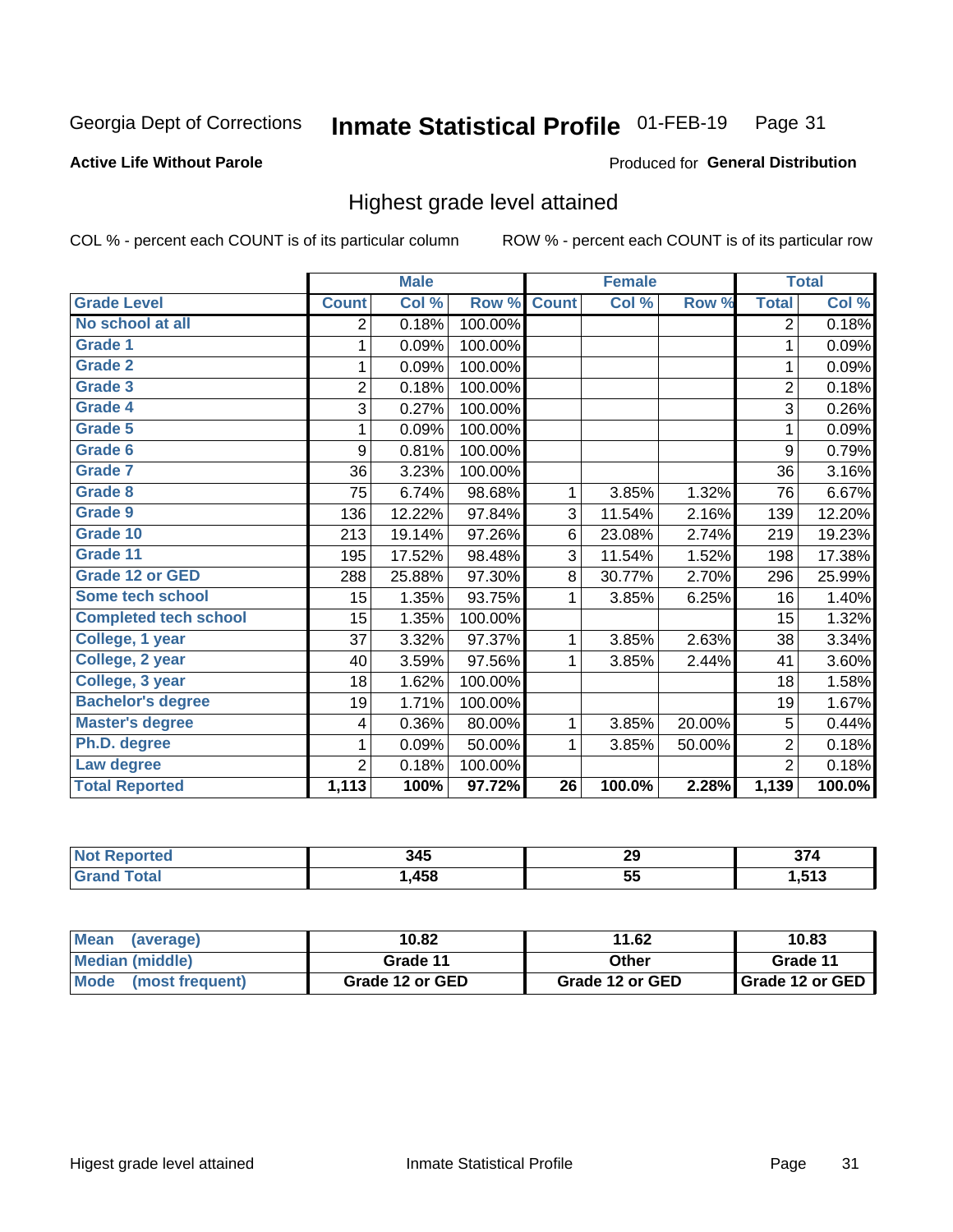#### Inmate Statistical Profile 01-FEB-19 Page 31

#### **Active Life Without Parole**

#### Produced for General Distribution

### Highest grade level attained

COL % - percent each COUNT is of its particular column

|                              |                | <b>Male</b> |         |                 | <b>Female</b> |        |                | <b>Total</b> |
|------------------------------|----------------|-------------|---------|-----------------|---------------|--------|----------------|--------------|
| <b>Grade Level</b>           | <b>Count</b>   | Col %       | Row %   | <b>Count</b>    | Col %         | Row %  | <b>Total</b>   | Col %        |
| No school at all             | 2              | 0.18%       | 100.00% |                 |               |        | $\overline{2}$ | 0.18%        |
| <b>Grade 1</b>               | 1              | 0.09%       | 100.00% |                 |               |        | 1              | 0.09%        |
| <b>Grade 2</b>               | 1              | 0.09%       | 100.00% |                 |               |        | 1              | 0.09%        |
| <b>Grade 3</b>               | $\overline{2}$ | 0.18%       | 100.00% |                 |               |        | $\overline{2}$ | 0.18%        |
| Grade 4                      | 3              | 0.27%       | 100.00% |                 |               |        | 3              | 0.26%        |
| Grade 5                      | 1              | 0.09%       | 100.00% |                 |               |        | 1              | 0.09%        |
| Grade 6                      | 9              | 0.81%       | 100.00% |                 |               |        | 9              | 0.79%        |
| Grade 7                      | 36             | 3.23%       | 100.00% |                 |               |        | 36             | 3.16%        |
| <b>Grade 8</b>               | 75             | 6.74%       | 98.68%  | 1               | 3.85%         | 1.32%  | 76             | 6.67%        |
| Grade 9                      | 136            | 12.22%      | 97.84%  | 3               | 11.54%        | 2.16%  | 139            | 12.20%       |
| Grade 10                     | 213            | 19.14%      | 97.26%  | 6               | 23.08%        | 2.74%  | 219            | 19.23%       |
| Grade 11                     | 195            | 17.52%      | 98.48%  | 3               | 11.54%        | 1.52%  | 198            | 17.38%       |
| <b>Grade 12 or GED</b>       | 288            | 25.88%      | 97.30%  | 8               | 30.77%        | 2.70%  | 296            | 25.99%       |
| Some tech school             | 15             | 1.35%       | 93.75%  | 1               | 3.85%         | 6.25%  | 16             | 1.40%        |
| <b>Completed tech school</b> | 15             | 1.35%       | 100.00% |                 |               |        | 15             | 1.32%        |
| College, 1 year              | 37             | 3.32%       | 97.37%  | 1               | 3.85%         | 2.63%  | 38             | 3.34%        |
| College, 2 year              | 40             | 3.59%       | 97.56%  | 1               | 3.85%         | 2.44%  | 41             | 3.60%        |
| College, 3 year              | 18             | 1.62%       | 100.00% |                 |               |        | 18             | 1.58%        |
| <b>Bachelor's degree</b>     | 19             | 1.71%       | 100.00% |                 |               |        | 19             | 1.67%        |
| <b>Master's degree</b>       | 4              | 0.36%       | 80.00%  | 1               | 3.85%         | 20.00% | 5              | 0.44%        |
| Ph.D. degree                 | 1              | 0.09%       | 50.00%  | 1               | 3.85%         | 50.00% | $\overline{2}$ | 0.18%        |
| Law degree                   | $\overline{2}$ | 0.18%       | 100.00% |                 |               |        | $\overline{2}$ | 0.18%        |
| <b>Total Reported</b>        | 1,113          | 100%        | 97.72%  | $\overline{26}$ | 100.0%        | 2.28%  | 1,139          | 100.0%       |

| rteo<br>NO  | 345  | 29  | $-$<br>νı         |
|-------------|------|-----|-------------------|
| <b>Utal</b> | ,458 | ູບພ | E49<br>. ט<br>- 7 |

| <b>Mean</b><br>(average) | 10.82           | 11.62           | 10.83           |
|--------------------------|-----------------|-----------------|-----------------|
| <b>Median (middle)</b>   | Grade 11        | Other           | Grade 11        |
| Mode<br>(most frequent)  | Grade 12 or GED | Grade 12 or GED | Grade 12 or GED |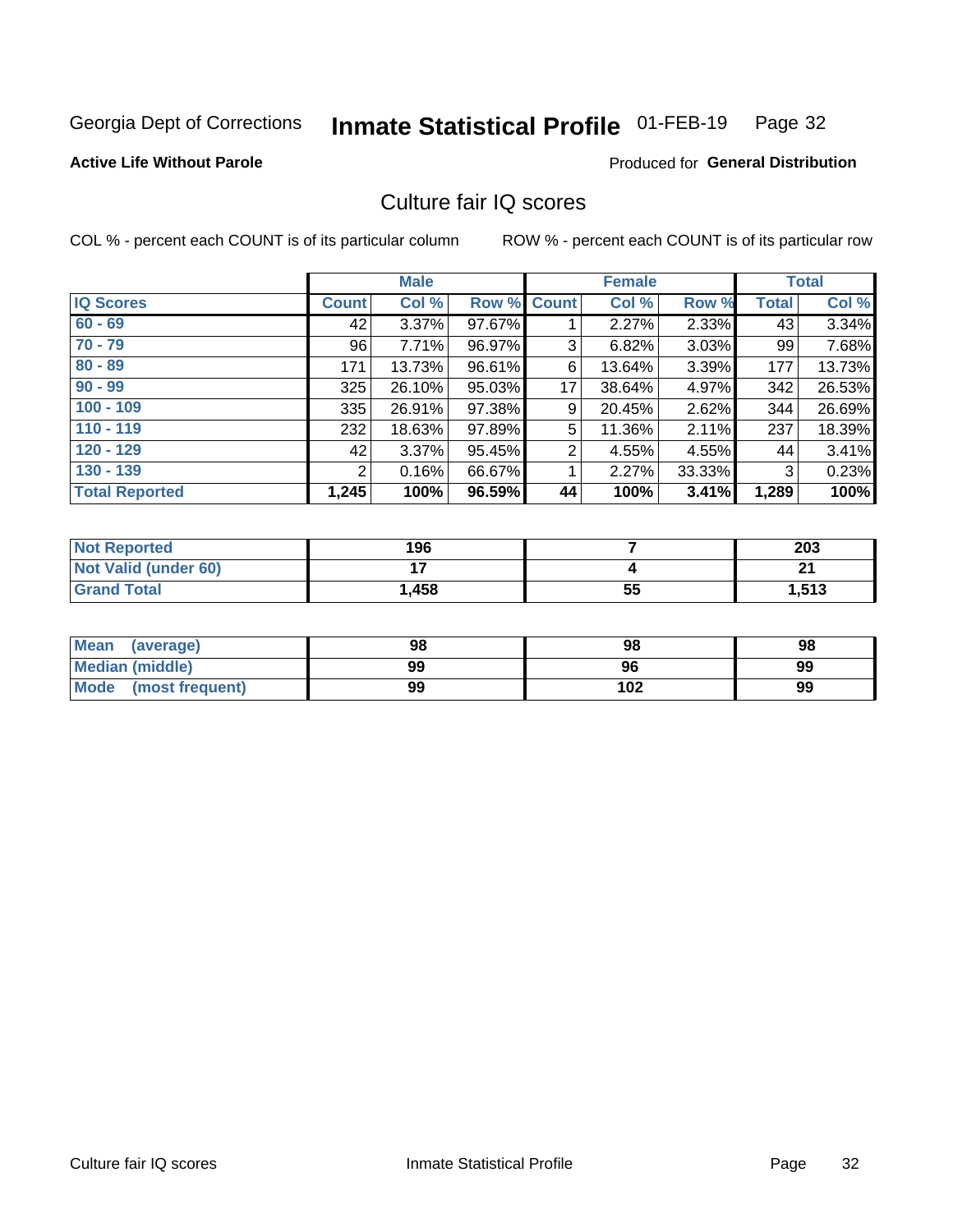#### Inmate Statistical Profile 01-FEB-19 Page 32

#### **Active Life Without Parole**

### **Produced for General Distribution**

## Culture fair IQ scores

COL % - percent each COUNT is of its particular column

|                       |              | <b>Male</b> |        |                    | <b>Female</b> |          |              | <b>Total</b> |
|-----------------------|--------------|-------------|--------|--------------------|---------------|----------|--------------|--------------|
| <b>IQ Scores</b>      | <b>Count</b> | Col %       |        | <b>Row % Count</b> | Col %         | Row %    | <b>Total</b> | Col %        |
| $60 - 69$             | 42           | $3.37\%$    | 97.67% |                    | 2.27%         | 2.33%    | 43           | 3.34%        |
| $70 - 79$             | 96           | 7.71%       | 96.97% | 3                  | 6.82%         | $3.03\%$ | 99           | 7.68%        |
| $80 - 89$             | 171          | 13.73%      | 96.61% | 6                  | 13.64%        | 3.39%    | 177          | 13.73%       |
| $90 - 99$             | 325          | 26.10%      | 95.03% | 17                 | 38.64%        | 4.97%    | 342          | 26.53%       |
| $100 - 109$           | 335          | 26.91%      | 97.38% | 9                  | 20.45%        | 2.62%    | 344          | 26.69%       |
| $110 - 119$           | 232          | 18.63%      | 97.89% | 5                  | 11.36%        | 2.11%    | 237          | 18.39%       |
| $120 - 129$           | 42           | 3.37%       | 95.45% | $\overline{2}$     | 4.55%         | 4.55%    | 44           | 3.41%        |
| $130 - 139$           | 2            | 0.16%       | 66.67% | 1                  | 2.27%         | 33.33%   | 3            | 0.23%        |
| <b>Total Reported</b> | 1,245        | 100%        | 96.59% | 44                 | 100%          | 3.41%    | 1,289        | 100%         |

| <b>Not Reported</b>  | 196   |    | 203   |
|----------------------|-------|----|-------|
| Not Valid (under 60) |       |    | n.    |
| <b>Grand Total</b>   | 1,458 | 55 | 1,513 |

| <b>Mean</b><br>(average) | 98 | 98  | 98 |
|--------------------------|----|-----|----|
| Median (middle)          | 99 | 96  | 99 |
| Mode (most frequent)     | 99 | 102 | 99 |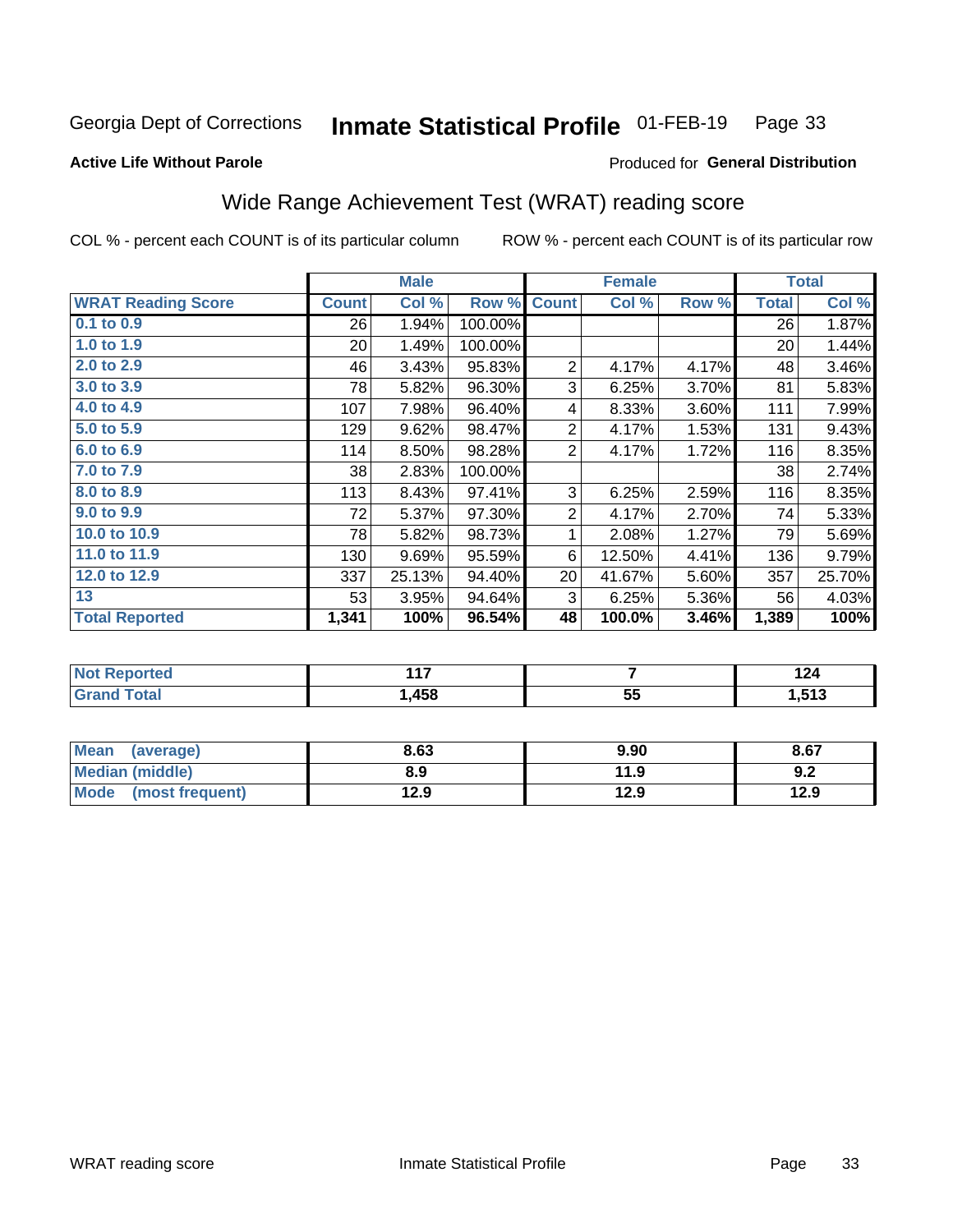#### Inmate Statistical Profile 01-FEB-19 Page 33

#### **Active Life Without Parole**

#### Produced for General Distribution

## Wide Range Achievement Test (WRAT) reading score

COL % - percent each COUNT is of its particular column

ROW % - percent each COUNT is of its particular row

|                           |              | <b>Male</b> |         |                | <b>Female</b> | <b>Total</b> |              |        |
|---------------------------|--------------|-------------|---------|----------------|---------------|--------------|--------------|--------|
| <b>WRAT Reading Score</b> | <b>Count</b> | Col %       | Row %   | <b>Count</b>   | Col %         | Row %        | <b>Total</b> | Col %  |
| $0.1$ to $0.9$            | 26           | 1.94%       | 100.00% |                |               |              | 26           | 1.87%  |
| 1.0 to 1.9                | 20           | 1.49%       | 100.00% |                |               |              | 20           | 1.44%  |
| 2.0 to 2.9                | 46           | 3.43%       | 95.83%  | $\overline{2}$ | 4.17%         | 4.17%        | 48           | 3.46%  |
| 3.0 to 3.9                | 78           | 5.82%       | 96.30%  | 3              | 6.25%         | 3.70%        | 81           | 5.83%  |
| 4.0 to 4.9                | 107          | 7.98%       | 96.40%  | 4              | 8.33%         | 3.60%        | 111          | 7.99%  |
| 5.0 to 5.9                | 129          | 9.62%       | 98.47%  | $\overline{2}$ | 4.17%         | 1.53%        | 131          | 9.43%  |
| 6.0 to 6.9                | 114          | 8.50%       | 98.28%  | $\overline{2}$ | 4.17%         | 1.72%        | 116          | 8.35%  |
| 7.0 to 7.9                | 38           | 2.83%       | 100.00% |                |               |              | 38           | 2.74%  |
| 8.0 to 8.9                | 113          | 8.43%       | 97.41%  | 3              | 6.25%         | 2.59%        | 116          | 8.35%  |
| 9.0 to 9.9                | 72           | 5.37%       | 97.30%  | $\sqrt{2}$     | 4.17%         | 2.70%        | 74           | 5.33%  |
| 10.0 to 10.9              | 78           | 5.82%       | 98.73%  | 1              | 2.08%         | 1.27%        | 79           | 5.69%  |
| 11.0 to 11.9              | 130          | 9.69%       | 95.59%  | 6              | 12.50%        | 4.41%        | 136          | 9.79%  |
| 12.0 to 12.9              | 337          | 25.13%      | 94.40%  | 20             | 41.67%        | 5.60%        | 357          | 25.70% |
| 13                        | 53           | 3.95%       | 94.64%  | 3              | 6.25%         | 5.36%        | 56           | 4.03%  |
| <b>Total Reported</b>     | 1,341        | 100%        | 96.54%  | 48             | 100.0%        | 3.46%        | 1,389        | 100%   |
|                           |              |             |         |                |               |              |              |        |
| <b>Not Reported</b>       |              | 117         |         |                | 7             |              | 124          |        |
| <b>Grand Total</b>        |              | 1,458       |         |                | 55            |              |              | 1,513  |

| <b>Grand Total</b>     | 1,458 | 55   | 1,513 |
|------------------------|-------|------|-------|
|                        |       |      |       |
| Mean (average)         | 8.63  | 9.90 | 8.67  |
| <b>Median (middle)</b> | 8.9   | 11.9 | 9.2   |

 $12.9$ 

 $12.9$ 

(most frequent)

**Mode** 

 $12.9$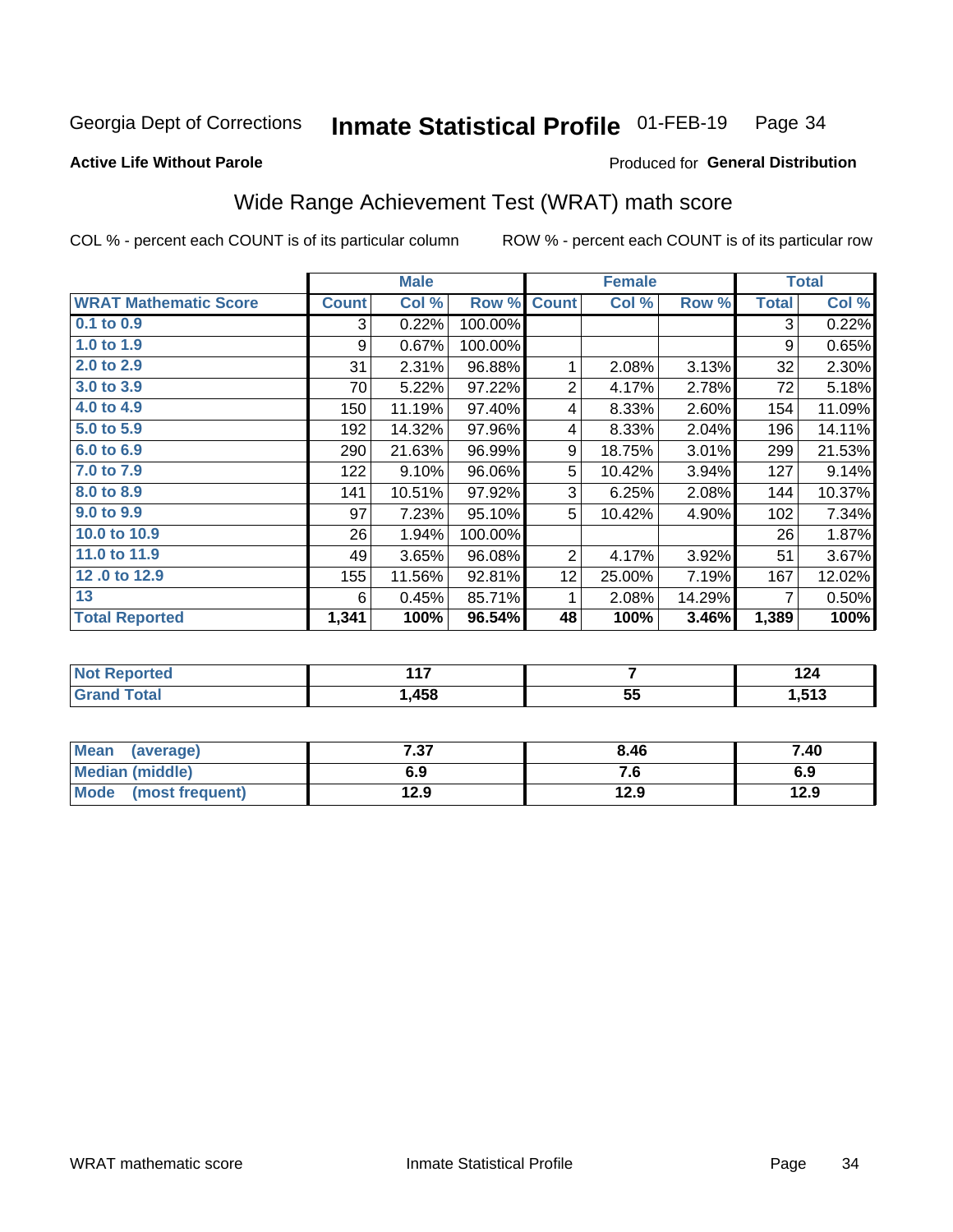#### Inmate Statistical Profile 01-FEB-19 Page 34

#### **Active Life Without Parole**

### **Produced for General Distribution**

## Wide Range Achievement Test (WRAT) math score

COL % - percent each COUNT is of its particular column

|                              |              | <b>Male</b> |         |                 | <b>Female</b>  | <b>Total</b> |              |        |
|------------------------------|--------------|-------------|---------|-----------------|----------------|--------------|--------------|--------|
| <b>WRAT Mathematic Score</b> | <b>Count</b> | Col %       | Row %   | <b>Count</b>    | Col %          | Row %        | <b>Total</b> | Col %  |
| 0.1 to 0.9                   | 3            | 0.22%       | 100.00% |                 |                |              | 3            | 0.22%  |
| 1.0 to 1.9                   | 9            | 0.67%       | 100.00% |                 |                |              | 9            | 0.65%  |
| 2.0 to 2.9                   | 31           | 2.31%       | 96.88%  | 1               | 2.08%          | 3.13%        | 32           | 2.30%  |
| 3.0 to 3.9                   | 70           | 5.22%       | 97.22%  | $\overline{2}$  | 4.17%          | 2.78%        | 72           | 5.18%  |
| 4.0 to 4.9                   | 150          | 11.19%      | 97.40%  | 4               | 8.33%          | 2.60%        | 154          | 11.09% |
| 5.0 t0 5.9                   | 192          | 14.32%      | 97.96%  | 4               | 8.33%          | 2.04%        | 196          | 14.11% |
| 6.0 to 6.9                   | 290          | 21.63%      | 96.99%  | 9               | 18.75%         | 3.01%        | 299          | 21.53% |
| 7.0 to 7.9                   | 122          | 9.10%       | 96.06%  | 5               | 10.42%         | 3.94%        | 127          | 9.14%  |
| 8.0 to 8.9                   | 141          | 10.51%      | 97.92%  | 3               | 6.25%          | 2.08%        | 144          | 10.37% |
| 9.0 to 9.9                   | 97           | 7.23%       | 95.10%  | 5               | 10.42%         | 4.90%        | 102          | 7.34%  |
| 10.0 to 10.9                 | 26           | 1.94%       | 100.00% |                 |                |              | 26           | 1.87%  |
| 11.0 to $11.9$               | 49           | 3.65%       | 96.08%  | $\overline{2}$  | 4.17%          | 3.92%        | 51           | 3.67%  |
| 12.0 to 12.9                 | 155          | 11.56%      | 92.81%  | 12 <sub>2</sub> | 25.00%         | 7.19%        | 167          | 12.02% |
| 13                           | 6            | 0.45%       | 85.71%  | 1               | 2.08%          | 14.29%       | 7            | 0.50%  |
| <b>Total Reported</b>        | 1,341        | 100%        | 96.54%  | 48              | 100%           | 3.46%        | 1,389        | 100%   |
|                              |              |             |         |                 |                |              |              |        |
| <b>Not Reported</b>          |              | 117         |         |                 | $\overline{7}$ |              | 124          |        |
| <b>Grand Total</b>           |              | 1,458       |         |                 | 55             |              |              | 1,513  |

| Mean<br>(average)       | 7.27<br>. J | 8.46 | 7.40 |
|-------------------------|-------------|------|------|
| Median (middle)         | 6.9         | п.   | 6.9  |
| Mode<br>(most frequent) | 12.9        | 12.9 | 12.9 |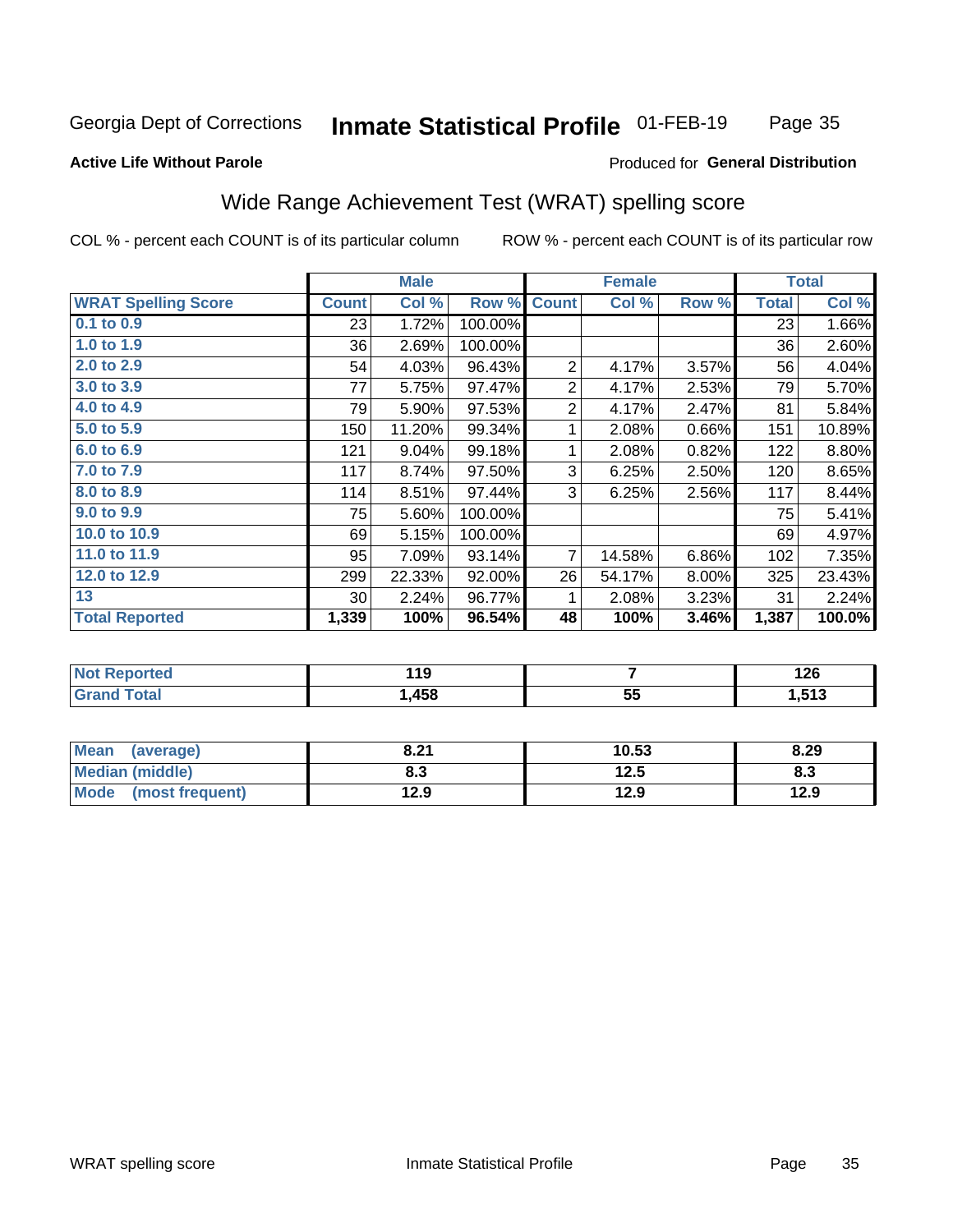#### Inmate Statistical Profile 01-FEB-19 Page 35

### **Active Life Without Parole**

### Produced for General Distribution

## Wide Range Achievement Test (WRAT) spelling score

COL % - percent each COUNT is of its particular column

|                            | <b>Male</b>  |        |                |                | <b>Female</b> | <b>Total</b> |              |        |
|----------------------------|--------------|--------|----------------|----------------|---------------|--------------|--------------|--------|
| <b>WRAT Spelling Score</b> | <b>Count</b> | Col %  | Row %          | <b>Count</b>   | Col %         | Row %        | <b>Total</b> | Col %  |
| $0.1$ to $0.9$             | 23           | 1.72%  | 100.00%        |                |               |              | 23           | 1.66%  |
| 1.0 to 1.9                 | 36           | 2.69%  | 100.00%        |                |               |              | 36           | 2.60%  |
| 2.0 to 2.9                 | 54           | 4.03%  | 96.43%         | $\overline{2}$ | 4.17%         | 3.57%        | 56           | 4.04%  |
| 3.0 to 3.9                 | 77           | 5.75%  | 97.47%         | $\overline{c}$ | 4.17%         | 2.53%        | 79           | 5.70%  |
| 4.0 to 4.9                 | 79           | 5.90%  | 97.53%         | $\overline{c}$ | 4.17%         | 2.47%        | 81           | 5.84%  |
| 5.0 to 5.9                 | 150          | 11.20% | 99.34%         | 1              | 2.08%         | 0.66%        | 151          | 10.89% |
| 6.0 to 6.9                 | 121          | 9.04%  | 99.18%         | 1              | 2.08%         | 0.82%        | 122          | 8.80%  |
| 7.0 to 7.9                 | 117          | 8.74%  | 97.50%         | 3              | 6.25%         | 2.50%        | 120          | 8.65%  |
| 8.0 to 8.9                 | 114          | 8.51%  | 97.44%         | 3              | 6.25%         | 2.56%        | 117          | 8.44%  |
| 9.0 to 9.9                 | 75           | 5.60%  | 100.00%        |                |               |              | 75           | 5.41%  |
| 10.0 to 10.9               | 69           | 5.15%  | 100.00%        |                |               |              | 69           | 4.97%  |
| 11.0 to 11.9               | 95           | 7.09%  | 93.14%         | $\overline{7}$ | 14.58%        | 6.86%        | 102          | 7.35%  |
| 12.0 to 12.9               | 299          | 22.33% | 92.00%         | 26             | 54.17%        | 8.00%        | 325          | 23.43% |
| 13                         | 30           | 2.24%  | 96.77%         | 1              | 2.08%         | 3.23%        | 31           | 2.24%  |
| <b>Total Reported</b>      | 1,339        | 100%   | 96.54%         | 48             | 100%          | 3.46%        | 1,387        | 100.0% |
|                            |              |        |                |                |               |              |              |        |
| <b>Not Reported</b>        | 119          |        | $\overline{7}$ |                |               | 126          |              |        |
| <b>Grand Total</b>         |              | 1,458  |                |                | 55            |              |              | 1,513  |

| <b>Mean</b><br>(average) | 8.21 | 10.53 | 8.29 |
|--------------------------|------|-------|------|
| <b>Median (middle)</b>   | 8.3  | 12.5  | ი.ა  |
| Mode<br>(most frequent)  | 12.9 | 12.9  | 12.9 |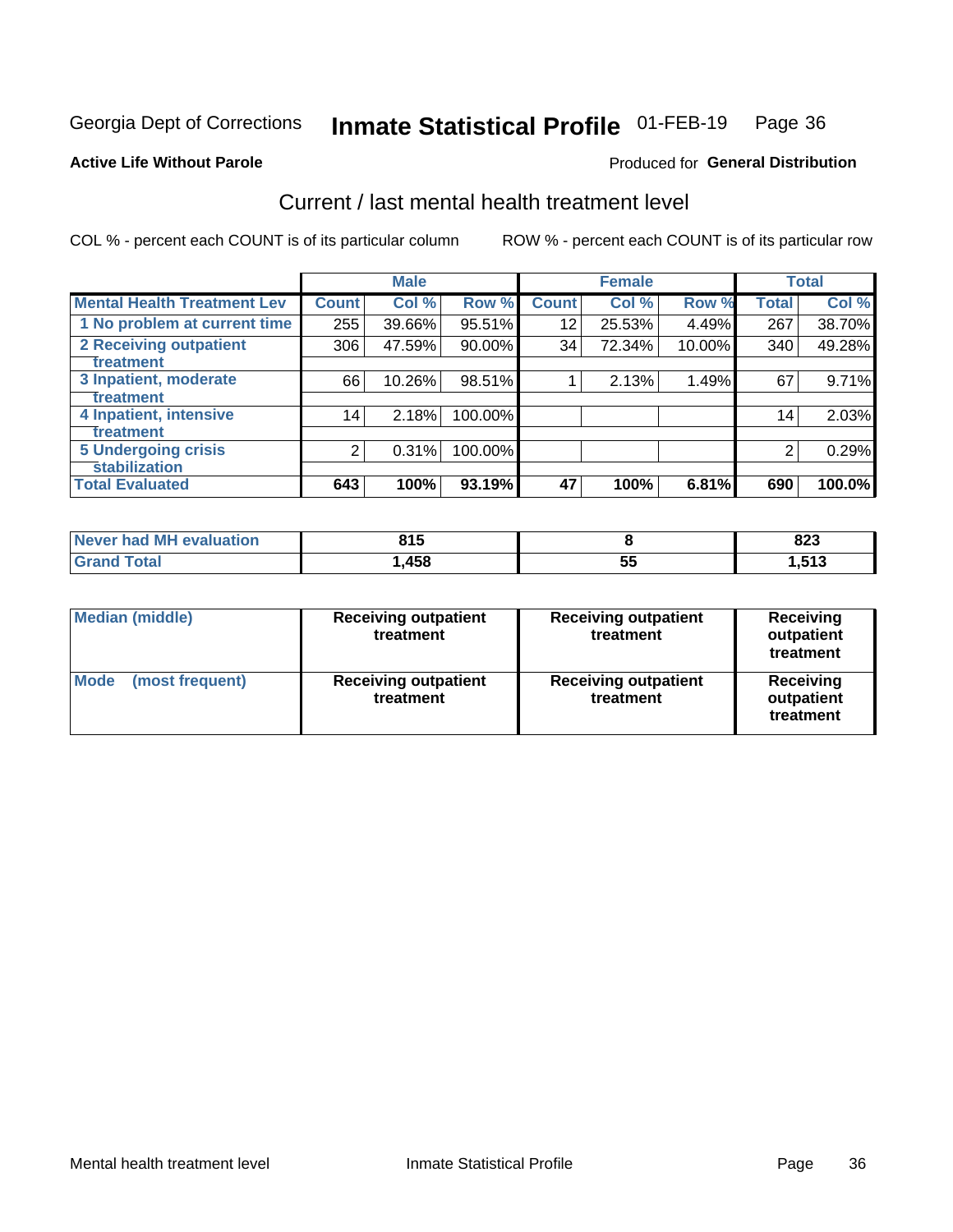#### Inmate Statistical Profile 01-FEB-19 Page 36

#### **Active Life Without Parole**

### **Produced for General Distribution**

## Current / last mental health treatment level

COL % - percent each COUNT is of its particular column

|                                    |              | <b>Male</b> |           |                 | <b>Female</b> |        |              | <b>Total</b> |
|------------------------------------|--------------|-------------|-----------|-----------------|---------------|--------|--------------|--------------|
| <b>Mental Health Treatment Lev</b> | <b>Count</b> | Col %       | Row %     | <b>Count</b>    | Col%          | Row %  | <b>Total</b> | Col %        |
| 1 No problem at current time       | 255          | 39.66%      | 95.51%    | 12              | 25.53%        | 4.49%  | 267          | 38.70%       |
| 2 Receiving outpatient             | 306          | 47.59%      | $90.00\%$ | 34 <sup>1</sup> | 72.34%        | 10.00% | 340          | 49.28%       |
| <b>Treatment</b>                   |              |             |           |                 |               |        |              |              |
| 3 Inpatient, moderate              | 66           | 10.26%      | 98.51%    |                 | 2.13%         | 1.49%  | 67           | 9.71%        |
| Treatment                          |              |             |           |                 |               |        |              |              |
| 4 Inpatient, intensive             | 14           | 2.18%       | 100.00%   |                 |               |        | 14           | 2.03%        |
| Treatment                          |              |             |           |                 |               |        |              |              |
| <b>5 Undergoing crisis</b>         | 2            | 0.31%       | 100.00%   |                 |               |        | 2            | 0.29%        |
| <b>stabilization</b>               |              |             |           |                 |               |        |              |              |
| <b>Total Evaluated</b>             | 643          | 100%        | 93.19%    | 47              | 100%          | 6.81%  | 690          | 100.0%       |

| <b>evaluation</b> | 21 5  |          | ດດດ              |
|-------------------|-------|----------|------------------|
| Never had MI      | ט ו ט |          | ozj              |
| $\sim$            | ,458  | --<br>Ju | <b>E42</b><br>טו |

| <b>Median (middle)</b>  | <b>Receiving outpatient</b><br>treatment | <b>Receiving outpatient</b><br>treatment | <b>Receiving</b><br>outpatient<br>treatment |  |
|-------------------------|------------------------------------------|------------------------------------------|---------------------------------------------|--|
| Mode<br>(most frequent) | <b>Receiving outpatient</b><br>treatment | <b>Receiving outpatient</b><br>treatment | <b>Receiving</b><br>outpatient<br>treatment |  |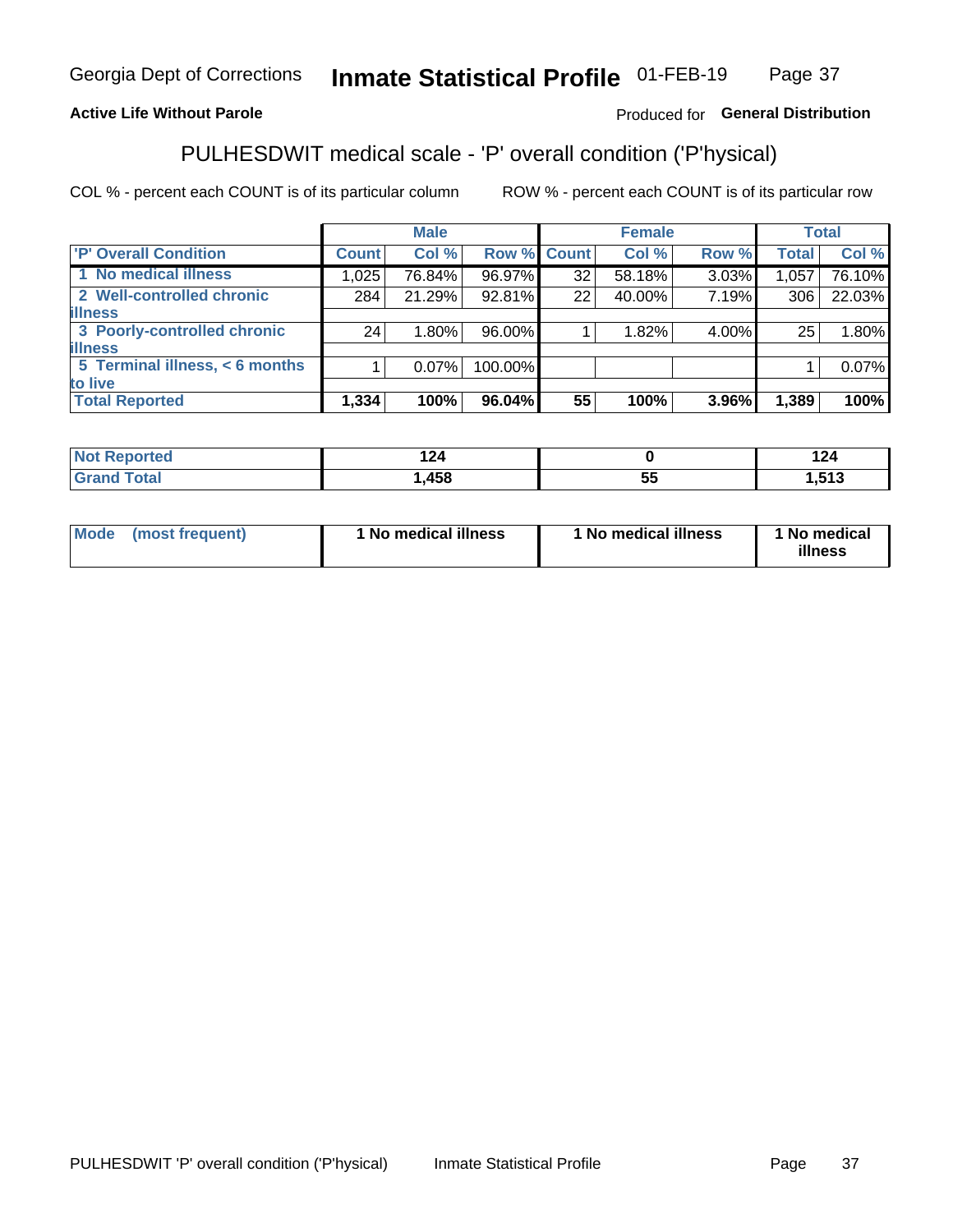#### Inmate Statistical Profile 01-FEB-19 Page 37

### **Active Life Without Parole**

### Produced for General Distribution

## PULHESDWIT medical scale - 'P' overall condition ('P'hysical)

COL % - percent each COUNT is of its particular column

|                                |              | <b>Male</b> |             |    | <b>Female</b> |       |              | <b>Total</b> |
|--------------------------------|--------------|-------------|-------------|----|---------------|-------|--------------|--------------|
| 'P' Overall Condition          | <b>Count</b> | Col %       | Row % Count |    | Col %         | Row % | <b>Total</b> | Col %        |
| 1 No medical illness           | 1,025        | 76.84%      | 96.97%      | 32 | 58.18%        | 3.03% | 1,057        | 76.10%       |
| 2 Well-controlled chronic      | 284          | 21.29%      | 92.81%      | 22 | 40.00%        | 7.19% | 306          | 22.03%       |
| <b>illness</b>                 |              |             |             |    |               |       |              |              |
| 3 Poorly-controlled chronic    | 24           | 1.80%       | 96.00%      |    | 1.82%         | 4.00% | 25           | 1.80%        |
| <b>illness</b>                 |              |             |             |    |               |       |              |              |
| 5 Terminal illness, < 6 months |              | $0.07\%$    | 100.00%     |    |               |       |              | 0.07%        |
| to live                        |              |             |             |    |               |       |              |              |
| <b>Total Reported</b>          | 1,334        | 100%        | 96.04%      | 55 | 100%          | 3.96% | 1,389        | 100%         |

| .          |     | ຳ^<br><u>.</u> |
|------------|-----|----------------|
| <b>AEO</b> | --  | ---            |
| 7JV        | JJ. | . .            |

| <b>Mode</b> | (most frequent) | 1 No medical illness | 1 No medical illness | 1 No medical<br>illness |
|-------------|-----------------|----------------------|----------------------|-------------------------|
|-------------|-----------------|----------------------|----------------------|-------------------------|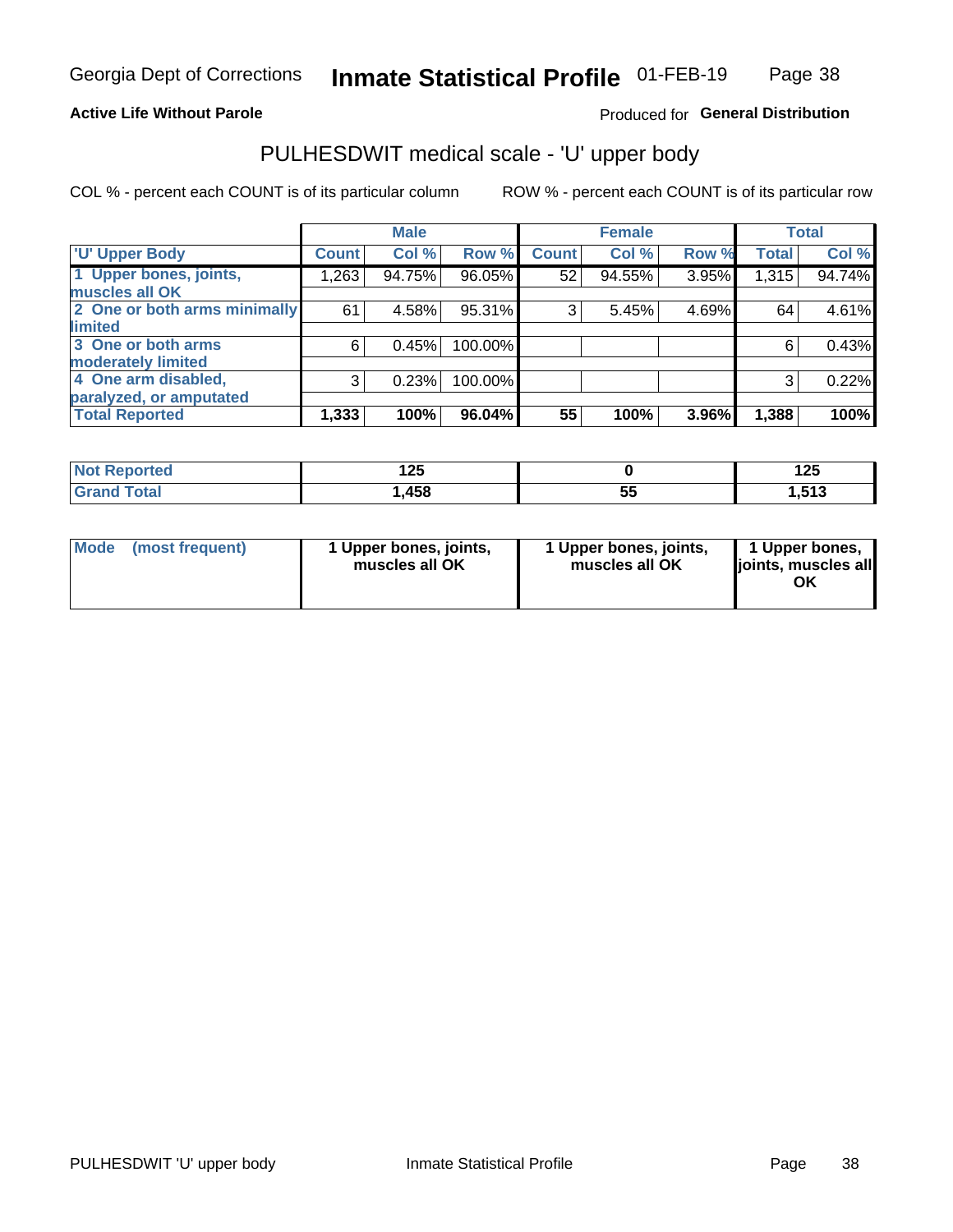### **Active Life Without Parole**

### Produced for General Distribution

## PULHESDWIT medical scale - 'U' upper body

COL % - percent each COUNT is of its particular column

|                              |              | <b>Male</b> |         |              | <b>Female</b> |       |              | <b>Total</b> |
|------------------------------|--------------|-------------|---------|--------------|---------------|-------|--------------|--------------|
| <b>U' Upper Body</b>         | <b>Count</b> | Col %       | Row %   | <b>Count</b> | Col %         | Row % | <b>Total</b> | Col %        |
| 1 Upper bones, joints,       | 1,263        | 94.75%      | 96.05%  | 52           | 94.55%        | 3.95% | 1,315        | 94.74%       |
| muscles all OK               |              |             |         |              |               |       |              |              |
| 2 One or both arms minimally | 61           | 4.58%       | 95.31%  | 3            | 5.45%         | 4.69% | 64           | 4.61%        |
| limited                      |              |             |         |              |               |       |              |              |
| 3 One or both arms           | 6            | 0.45%       | 100.00% |              |               |       | 6            | 0.43%        |
| moderately limited           |              |             |         |              |               |       |              |              |
| 4 One arm disabled,          | 3            | 0.23%       | 100.00% |              |               |       | 3            | 0.22%        |
| paralyzed, or amputated      |              |             |         |              |               |       |              |              |
| <b>Total Reported</b>        | 1,333        | 100%        | 96.04%  | 55           | 100%          | 3.96% | 1,388        | 100%         |

| <b>Not Reported</b> | ィっこ<br>ט בו |          | 12E<br>╹┻┙    |
|---------------------|-------------|----------|---------------|
| <b>Total</b>        | ,458        | --<br>JJ | 542<br>61 G.I |

| Mode | (most frequent) | l Upper bones, joints,<br>muscles all OK | 1 Upper bones, joints,<br>muscles all OK | 1 Upper bones,<br>ljoints, muscles all<br>ОK |
|------|-----------------|------------------------------------------|------------------------------------------|----------------------------------------------|
|------|-----------------|------------------------------------------|------------------------------------------|----------------------------------------------|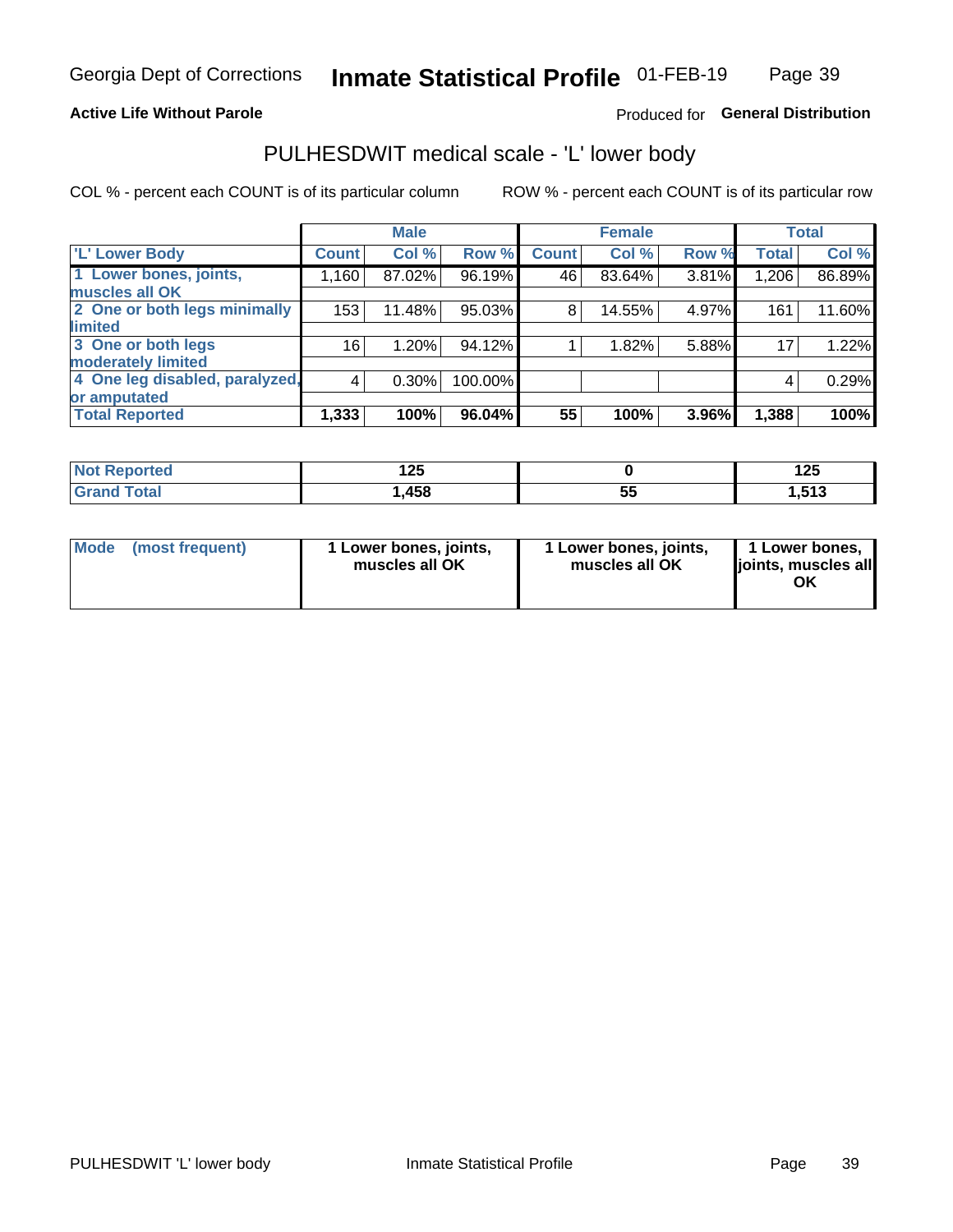### **Active Life Without Parole**

### Produced for General Distribution

## PULHESDWIT medical scale - 'L' lower body

COL % - percent each COUNT is of its particular column

|                                |              | <b>Male</b> |         |              | <b>Female</b> |       |              | <b>Total</b> |
|--------------------------------|--------------|-------------|---------|--------------|---------------|-------|--------------|--------------|
| 'L' Lower Body                 | <b>Count</b> | Col %       | Row %   | <b>Count</b> | Col %         | Row % | <b>Total</b> | Col %        |
| 1 Lower bones, joints,         | 1,160        | 87.02%      | 96.19%  | 46           | 83.64%        | 3.81% | 1,206        | 86.89%       |
| muscles all OK                 |              |             |         |              |               |       |              |              |
| 2 One or both legs minimally   | 153          | 11.48%      | 95.03%  | 8            | 14.55%        | 4.97% | 161          | 11.60%       |
| limited                        |              |             |         |              |               |       |              |              |
| 3 One or both legs             | 16           | 1.20%       | 94.12%  |              | 1.82%         | 5.88% | 17           | 1.22%        |
| moderately limited             |              |             |         |              |               |       |              |              |
| 4 One leg disabled, paralyzed, | 4            | 0.30%       | 100.00% |              |               |       | 4            | 0.29%        |
| or amputated                   |              |             |         |              |               |       |              |              |
| <b>Total Reported</b>          | 1,333        | 100%        | 96.04%  | 55           | 100%          | 3.96% | 1,388        | 100%         |

| <b>Not Reported</b> | ィクに<br>ॱ∠J |    | 1 J C<br>12J |
|---------------------|------------|----|--------------|
| <b>Total</b>        | ,458       | -- | E12          |
| ا الله ا            |            | ◡  | r. G. I      |

| Mode | (most frequent) | 1 Lower bones, joints,<br>muscles all OK | 1 Lower bones, joints,<br>muscles all OK | 1 Lower bones,<br>ljoints, muscles all<br>OK |
|------|-----------------|------------------------------------------|------------------------------------------|----------------------------------------------|
|------|-----------------|------------------------------------------|------------------------------------------|----------------------------------------------|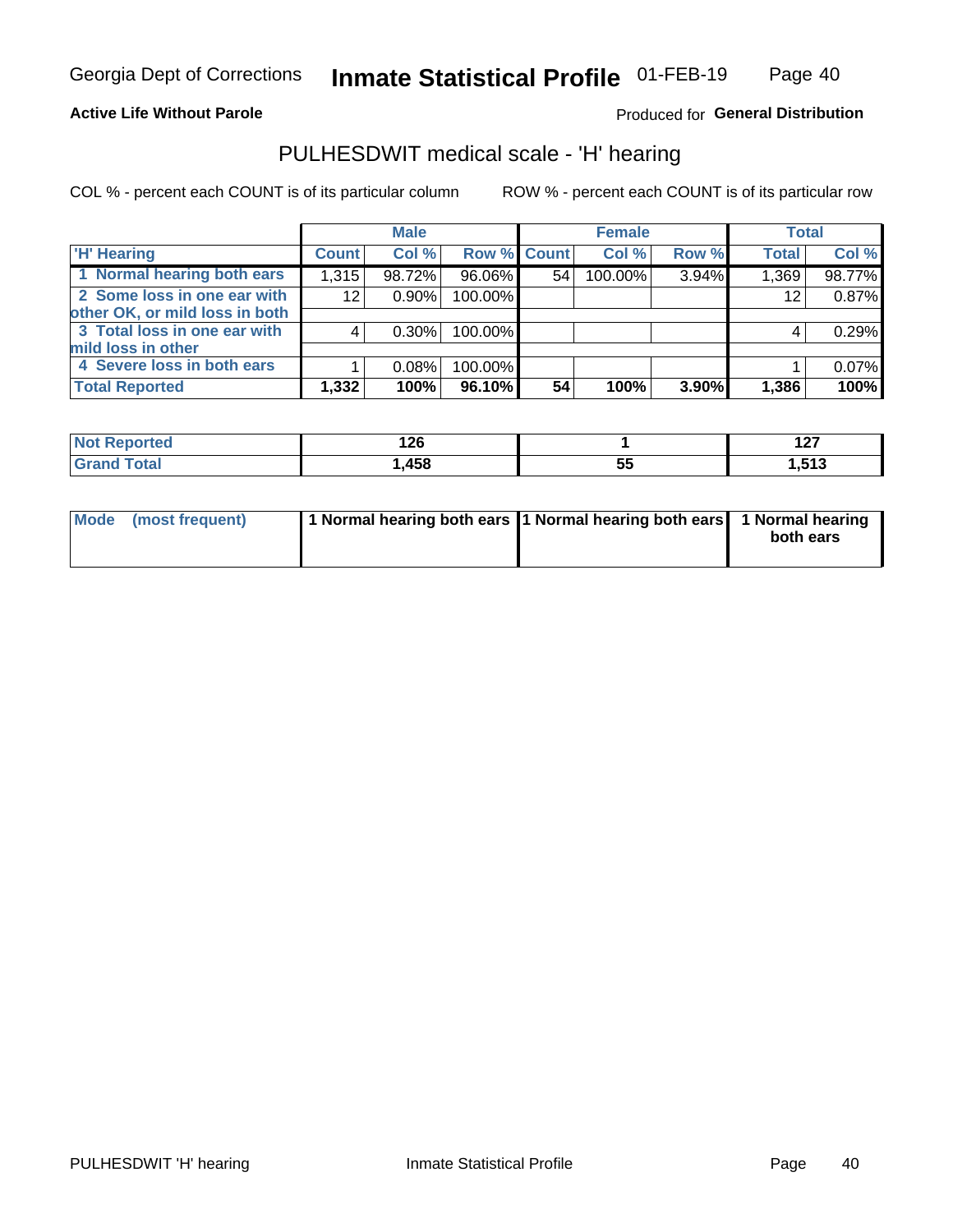### **Active Life Without Parole**

Produced for General Distribution

### PULHESDWIT medical scale - 'H' hearing

COL % - percent each COUNT is of its particular column

|                                |              | <b>Male</b> |             |    | <b>Female</b> |       | <b>Total</b> |        |
|--------------------------------|--------------|-------------|-------------|----|---------------|-------|--------------|--------|
| <b>H' Hearing</b>              | <b>Count</b> | Col %       | Row % Count |    | Col %         | Row % | <b>Total</b> | Col %  |
| 1 Normal hearing both ears     | 1,315        | 98.72%      | 96.06%      | 54 | 100.00%       | 3.94% | 1,369        | 98.77% |
| 2 Some loss in one ear with    | 12           | 0.90%       | 100.00%     |    |               |       | 12           | 0.87%  |
| other OK, or mild loss in both |              |             |             |    |               |       |              |        |
| 3 Total loss in one ear with   | 4            | 0.30%       | 100.00%     |    |               |       | 4            | 0.29%  |
| mild loss in other             |              |             |             |    |               |       |              |        |
| 4 Severe loss in both ears     |              | 0.08%       | 100.00%     |    |               |       |              | 0.07%  |
| <b>Total Reported</b>          | 1,332        | 100%        | 96.10%      | 54 | 100%          | 3.90% | 1,386        | 100%   |

| and working<br>тео | 140                        |         | - - -<br>$\sim$ |
|--------------------|----------------------------|---------|-----------------|
| _____              | 150<br><i>.</i> .<br>ု +၁၀ | --<br>w | <b>E49</b>      |

| Mode (most frequent) | 1 Normal hearing both ears 1 Normal hearing both ears 1 Normal hearing | both ears |
|----------------------|------------------------------------------------------------------------|-----------|
|                      |                                                                        |           |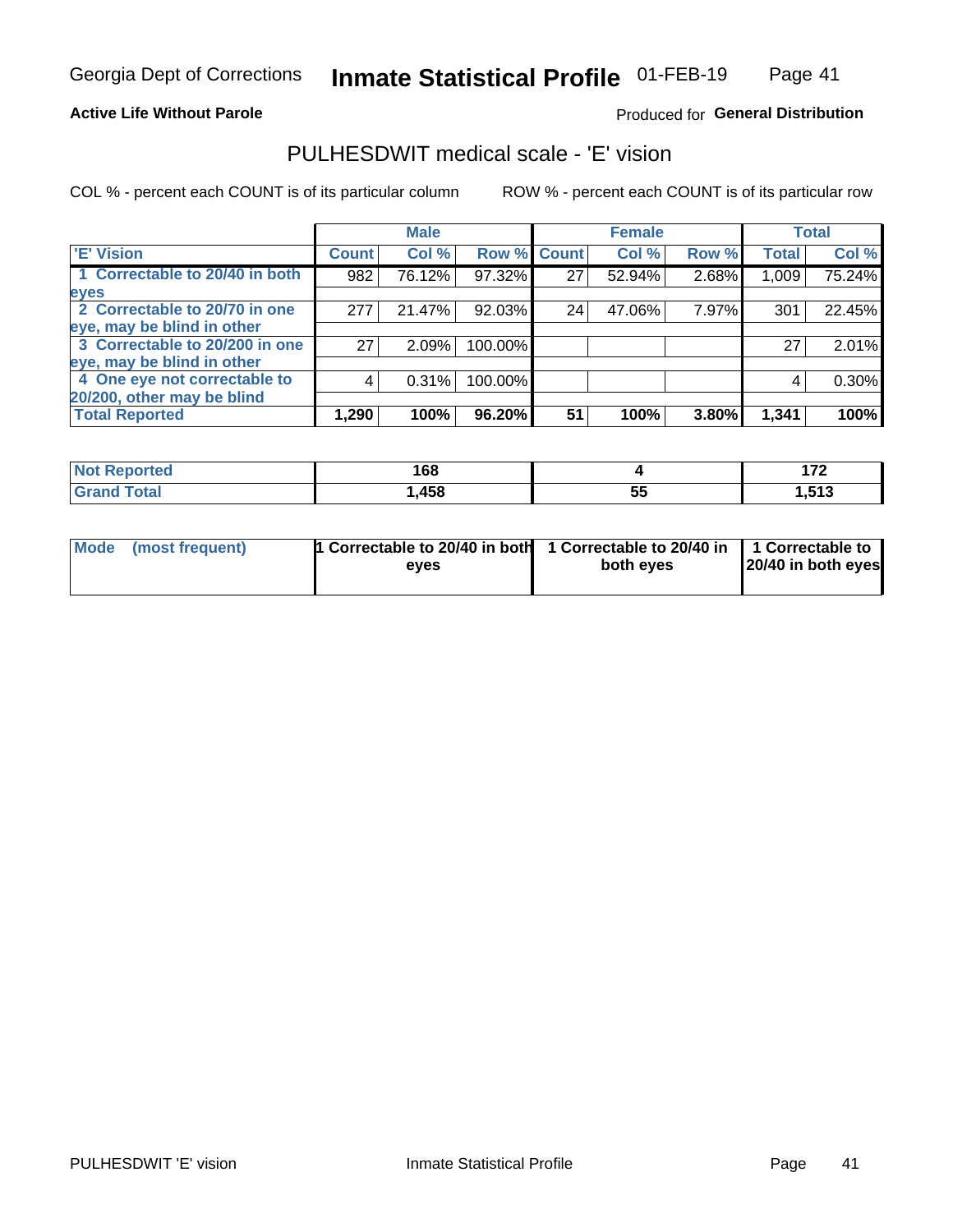#### **Active Life Without Parole**

### Produced for General Distribution

## PULHESDWIT medical scale - 'E' vision

COL % - percent each COUNT is of its particular column

|                                |              | <b>Male</b> |         |             | <b>Female</b> |       |              | <b>Total</b> |
|--------------------------------|--------------|-------------|---------|-------------|---------------|-------|--------------|--------------|
| <b>E' Vision</b>               | <b>Count</b> | Col %       |         | Row % Count | Col %         | Row % | <b>Total</b> | Col %        |
| 1 Correctable to 20/40 in both | 982          | 76.12%      | 97.32%  | 27          | 52.94%        | 2.68% | 1,009        | 75.24%       |
| eyes                           |              |             |         |             |               |       |              |              |
| 2 Correctable to 20/70 in one  | 277          | 21.47%      | 92.03%  | 24          | 47.06%        | 7.97% | 301          | 22.45%       |
| eye, may be blind in other     |              |             |         |             |               |       |              |              |
| 3 Correctable to 20/200 in one | 27           | 2.09%       | 100.00% |             |               |       | 27           | 2.01%        |
| eye, may be blind in other     |              |             |         |             |               |       |              |              |
| 4 One eye not correctable to   | 4            | 0.31%       | 100.00% |             |               |       | 4            | 0.30%        |
| 20/200, other may be blind     |              |             |         |             |               |       |              |              |
| <b>Total Reported</b>          | 1,290        | 100%        | 96.20%  | 51          | 100%          | 3.80% | 1,341        | 100%         |

| <b>Not Reported</b> | 1 C O<br>. OO |    | ---<br>. . |
|---------------------|---------------|----|------------|
| <b>Total</b>        | ,458          | -- | <b>E49</b> |
| Grand               |               | ວະ | .          |

| Mode (most frequent) | 1 Correctable to 20/40 in both<br>eves | 1 Correctable to 20/40 in   1 Correctable to<br>both eves | 20/40 in both eyes |
|----------------------|----------------------------------------|-----------------------------------------------------------|--------------------|
|                      |                                        |                                                           |                    |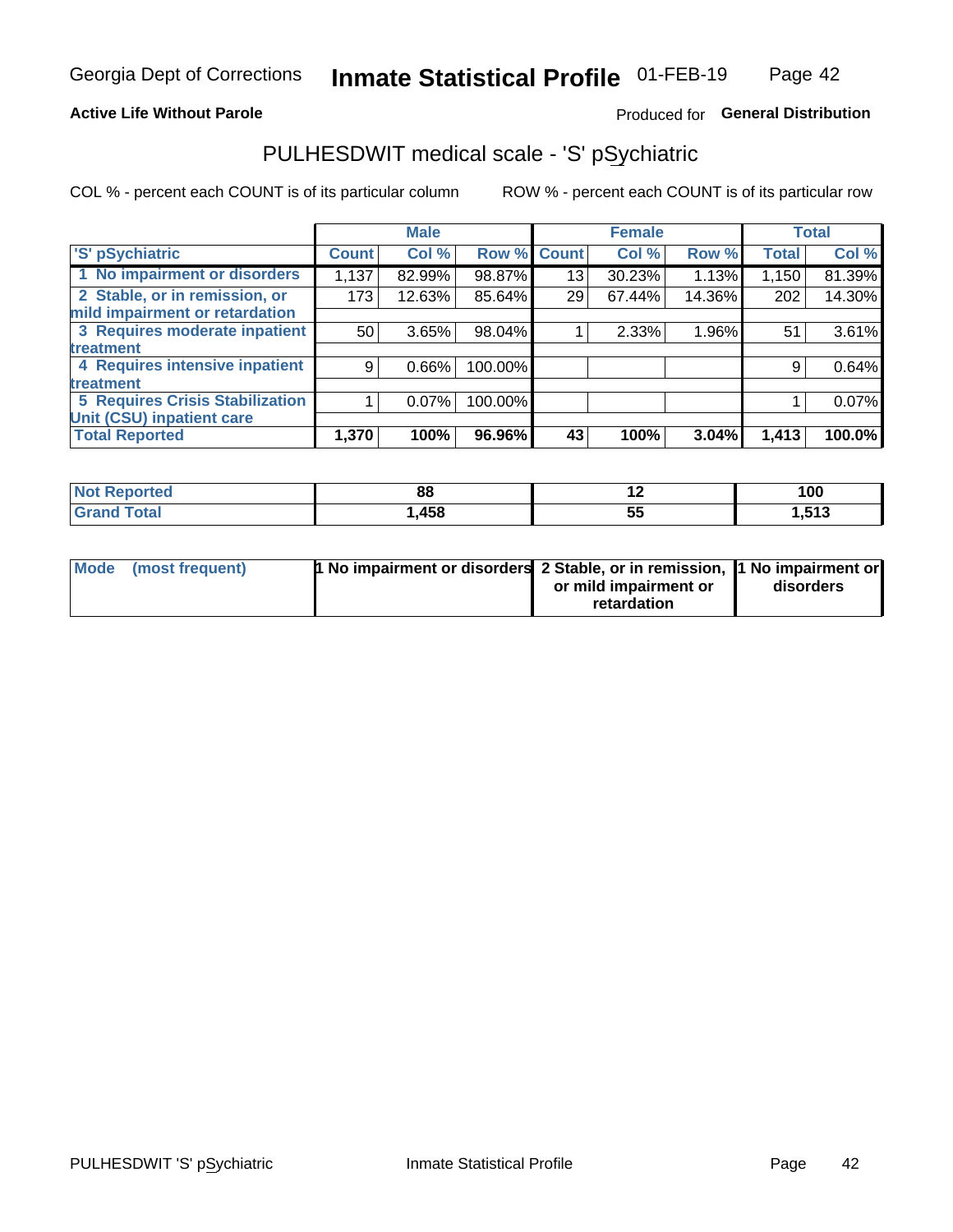### **Active Life Without Parole**

### Produced for General Distribution

## PULHESDWIT medical scale - 'S' pSychiatric

COL % - percent each COUNT is of its particular column

|                                        |              | <b>Male</b> |             |    | <b>Female</b> |        |              | <b>Total</b> |
|----------------------------------------|--------------|-------------|-------------|----|---------------|--------|--------------|--------------|
| 'S' pSychiatric                        | <b>Count</b> | Col %       | Row % Count |    | Col %         | Row %  | <b>Total</b> | Col %        |
| 1 No impairment or disorders           | 1,137        | 82.99%      | 98.87%      | 13 | 30.23%        | 1.13%  | 1,150        | 81.39%       |
| 2 Stable, or in remission, or          | 173          | 12.63%      | 85.64%      | 29 | 67.44%        | 14.36% | 202          | 14.30%       |
| mild impairment or retardation         |              |             |             |    |               |        |              |              |
| 3 Requires moderate inpatient          | 50           | 3.65%       | 98.04%      |    | 2.33%         | 1.96%  | 51           | 3.61%        |
| treatment                              |              |             |             |    |               |        |              |              |
| 4 Requires intensive inpatient         | 9            | $0.66\%$    | 100.00%     |    |               |        | 9            | 0.64%        |
| <b>treatment</b>                       |              |             |             |    |               |        |              |              |
| <b>5 Requires Crisis Stabilization</b> |              | $0.07\%$    | 100.00%     |    |               |        |              | 0.07%        |
| Unit (CSU) inpatient care              |              |             |             |    |               |        |              |              |
| <b>Total Reported</b>                  | 1,370        | 100%        | 96.96%      | 43 | 100%          | 3.04%  | 1,413        | 100.0%       |

| <b>Not Reported</b>     | $\mathbf{C}$<br>oc | . . | 100   |
|-------------------------|--------------------|-----|-------|
| <b>Total</b><br>Grand . | ,458               | ◡   | 1,513 |

| Mode (most frequent) | <b>1 No impairment or disorders</b> 2 Stable, or in remission, 11 No impairment or |                       |           |
|----------------------|------------------------------------------------------------------------------------|-----------------------|-----------|
|                      |                                                                                    | or mild impairment or | disorders |
|                      |                                                                                    | retardation           |           |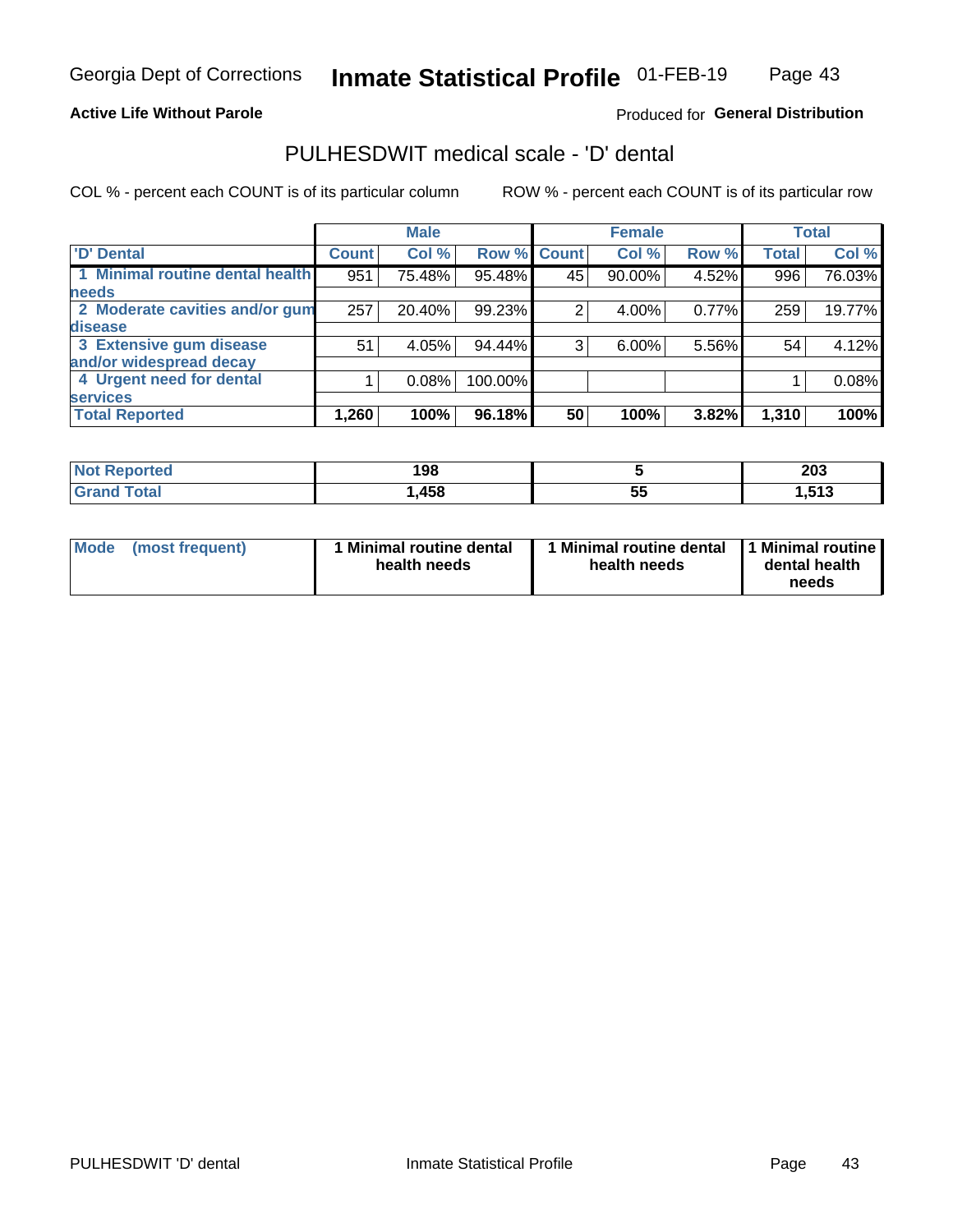### **Active Life Without Parole**

### Produced for General Distribution

## PULHESDWIT medical scale - 'D' dental

COL % - percent each COUNT is of its particular column

|                                 |              | <b>Male</b> |           |              | <b>Female</b> |       |              | <b>Total</b> |
|---------------------------------|--------------|-------------|-----------|--------------|---------------|-------|--------------|--------------|
| <b>D'</b> Dental                | <b>Count</b> | Col %       | Row %     | <b>Count</b> | Col %         | Row % | <b>Total</b> | Col %        |
| 1 Minimal routine dental health | 951          | 75.48%      | 95.48%    | 45           | 90.00%        | 4.52% | 996          | 76.03%       |
| <b>needs</b>                    |              |             |           |              |               |       |              |              |
| 2 Moderate cavities and/or gum  | 257          | 20.40%      | 99.23%    |              | 4.00%         | 0.77% | 259          | 19.77%       |
| disease                         |              |             |           |              |               |       |              |              |
| 3 Extensive gum disease         | 51           | 4.05%       | 94.44%    | 3            | $6.00\%$      | 5.56% | 54           | 4.12%        |
| and/or widespread decay         |              |             |           |              |               |       |              |              |
| 4 Urgent need for dental        |              | 0.08%       | 100.00%   |              |               |       |              | 0.08%        |
| <b>services</b>                 |              |             |           |              |               |       |              |              |
| <b>Total Reported</b>           | 1,260        | 100%        | $96.18\%$ | 50           | 100%          | 3.82% | 1,310        | 100%         |

| <b>Not Reported</b> | 198  |          | 203                   |
|---------------------|------|----------|-----------------------|
| Total               | ,458 | --<br>ວະ | <b>E49</b><br>. J I J |

| <b>Mode</b> | (most frequent) | <b>Minimal routine dental</b><br>health needs | 1 Minimal routine dental   1 Minimal routine  <br>health needs | dental health<br>needs |
|-------------|-----------------|-----------------------------------------------|----------------------------------------------------------------|------------------------|
|-------------|-----------------|-----------------------------------------------|----------------------------------------------------------------|------------------------|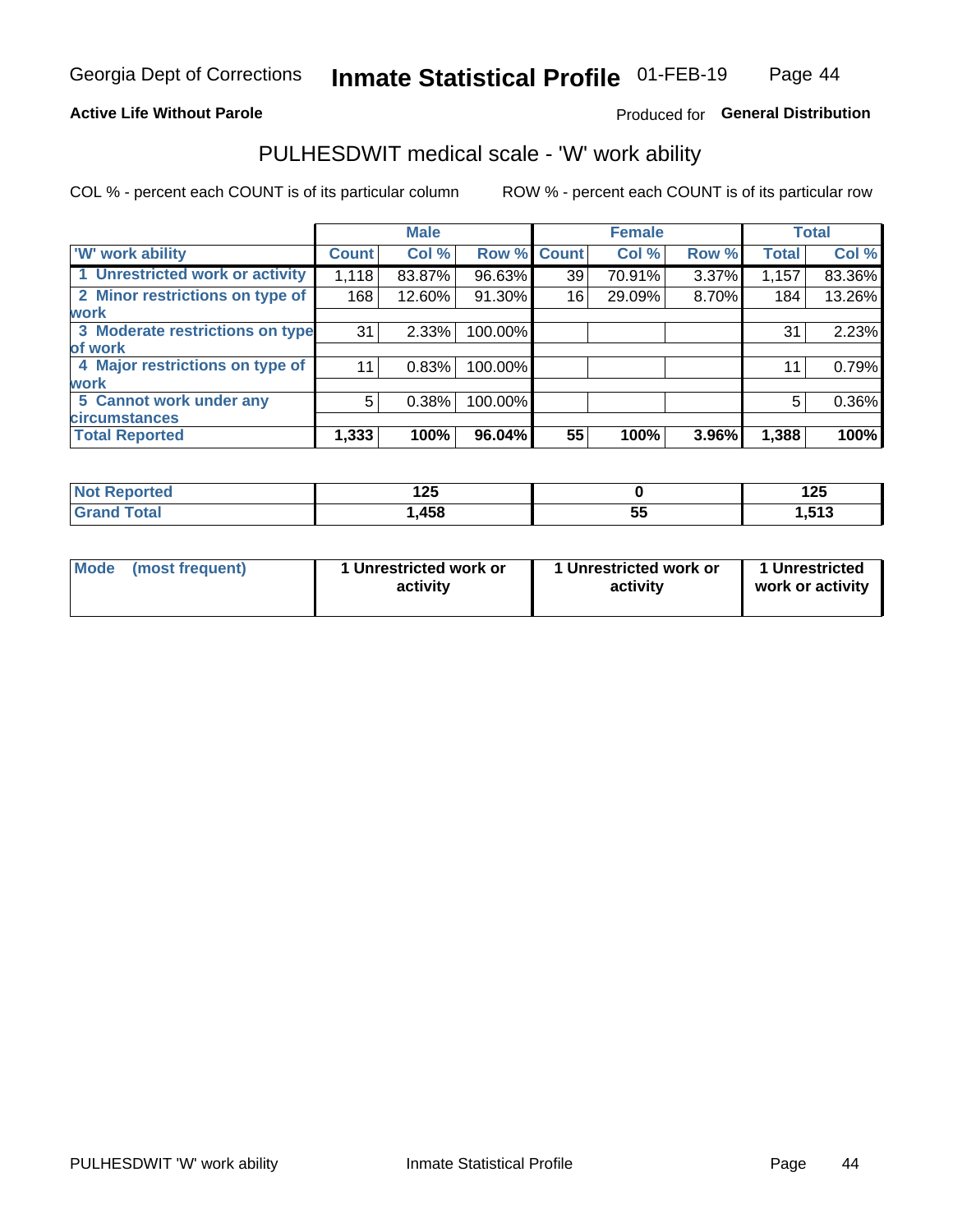### **Active Life Without Parole**

### Produced for General Distribution

### PULHESDWIT medical scale - 'W' work ability

COL % - percent each COUNT is of its particular column

|                                 |              | <b>Male</b> |         |             | <b>Female</b> |       |              | <b>Total</b> |
|---------------------------------|--------------|-------------|---------|-------------|---------------|-------|--------------|--------------|
| 'W' work ability                | <b>Count</b> | Col %       |         | Row % Count | Col %         | Row % | <b>Total</b> | Col %        |
| 1 Unrestricted work or activity | 1,118        | 83.87%      | 96.63%  | 39          | 70.91%        | 3.37% | 1,157        | 83.36%       |
| 2 Minor restrictions on type of | 168          | 12.60%      | 91.30%  | 16          | 29.09%        | 8.70% | 184          | 13.26%       |
| <b>work</b>                     |              |             |         |             |               |       |              |              |
| 3 Moderate restrictions on type | 31           | 2.33%       | 100.00% |             |               |       | 31           | 2.23%        |
| of work                         |              |             |         |             |               |       |              |              |
| 4 Major restrictions on type of | 11           | 0.83%       | 100.00% |             |               |       | 11           | 0.79%        |
| <b>work</b>                     |              |             |         |             |               |       |              |              |
| 5 Cannot work under any         | 5            | 0.38%       | 100.00% |             |               |       | 5            | 0.36%        |
| <b>circumstances</b>            |              |             |         |             |               |       |              |              |
| <b>Total Reported</b>           | 1,333        | 100%        | 96.04%  | 55          | 100%          | 3.96% | 1,388        | 100%         |

| <b>Not Reported</b> | 1つに<br>∣∠J |    | ィっこ<br>143 |
|---------------------|------------|----|------------|
| <b>Total</b>        | ,458       | -- | <b>E49</b> |
| Grand               |            | w  | נו כו      |

| Mode            | 1 Unrestricted work or | 1 Unrestricted work or | 1 Unrestricted   |
|-----------------|------------------------|------------------------|------------------|
| (most frequent) | activity               | activity               | work or activity |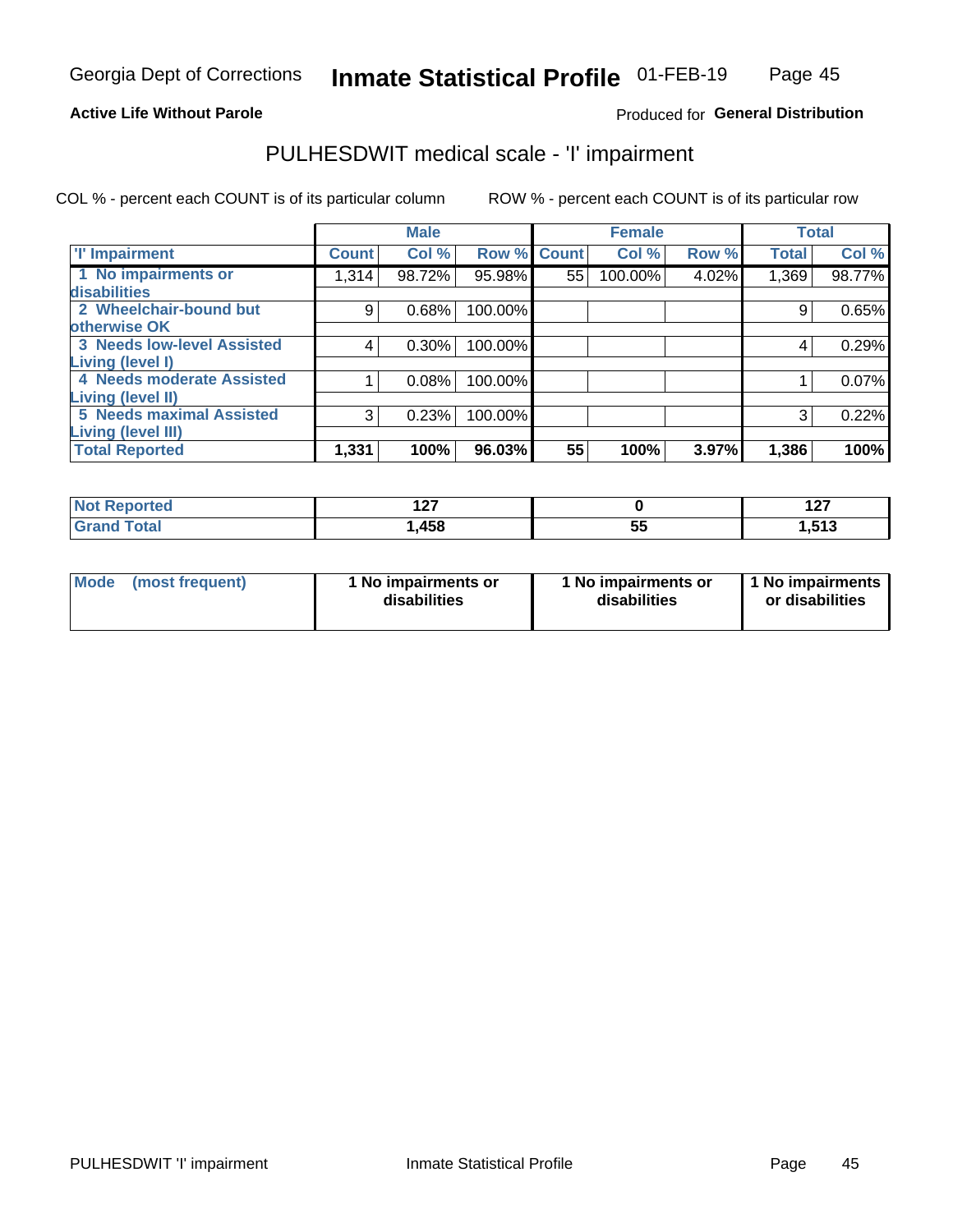#### **Active Life Without Parole**

### Produced for General Distribution

## PULHESDWIT medical scale - 'I' impairment

COL % - percent each COUNT is of its particular column ROW % - percent each COUNT is of its particular row

|                                   |              | <b>Male</b> |             |    | <b>Female</b> |       |              | <b>Total</b> |
|-----------------------------------|--------------|-------------|-------------|----|---------------|-------|--------------|--------------|
| <b>T' Impairment</b>              | <b>Count</b> | Col %       | Row % Count |    | Col %         | Row % | <b>Total</b> | Col %        |
| 1 No impairments or               | 1,314        | 98.72%      | 95.98%      | 55 | 100.00%       | 4.02% | 1,369        | 98.77%       |
| <b>disabilities</b>               |              |             |             |    |               |       |              |              |
| 2 Wheelchair-bound but            | 9            | 0.68%       | 100.00%     |    |               |       | 9            | 0.65%        |
| otherwise OK                      |              |             |             |    |               |       |              |              |
| <b>3 Needs low-level Assisted</b> | 4            | 0.30%       | 100.00%     |    |               |       | 4            | 0.29%        |
| Living (level I)                  |              |             |             |    |               |       |              |              |
| 4 Needs moderate Assisted         |              | 0.08%       | 100.00%     |    |               |       |              | 0.07%        |
| Living (level II)                 |              |             |             |    |               |       |              |              |
| <b>5 Needs maximal Assisted</b>   | 3            | 0.23%       | 100.00%     |    |               |       | 3            | 0.22%        |
| <b>Living (level III)</b>         |              |             |             |    |               |       |              |              |
| <b>Total Reported</b>             | 1,331        | 100%        | 96.03%      | 55 | 100%          | 3.97% | 1,386        | 100%         |

| วrted | "~<br><u>.</u> |          | 107<br>$\sim$       |
|-------|----------------|----------|---------------------|
|       | ,458           | --<br>JJ | <b>E42</b><br>טו טו |

| <b>Mode</b> | (most frequent) | 1 No impairments or<br>disabilities | 1 No impairments or<br>disabilities | 1 No impairments<br>or disabilities |
|-------------|-----------------|-------------------------------------|-------------------------------------|-------------------------------------|
|-------------|-----------------|-------------------------------------|-------------------------------------|-------------------------------------|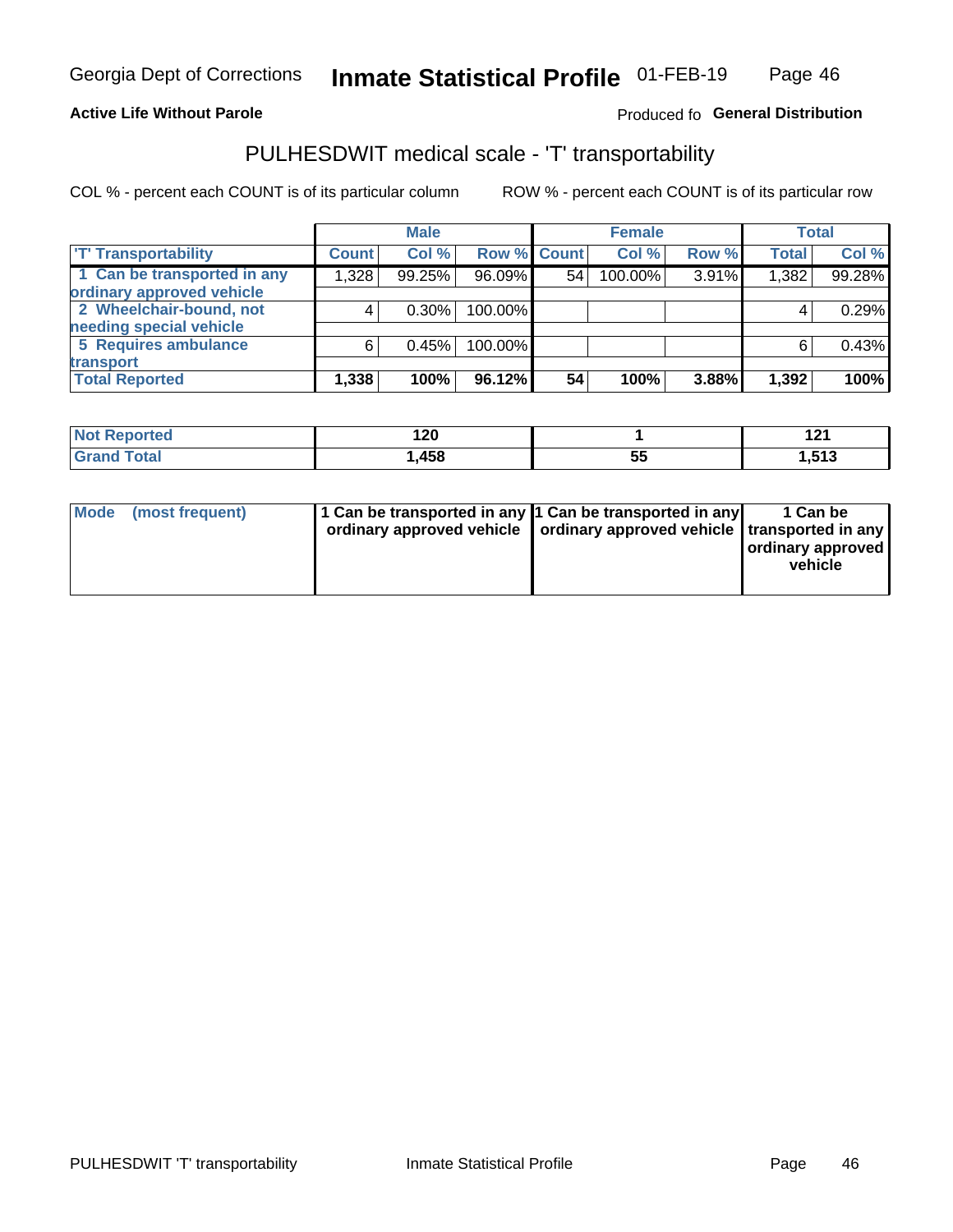### **Active Life Without Parole**

### Produced fo General Distribution

## PULHESDWIT medical scale - 'T' transportability

COL % - percent each COUNT is of its particular column

|                             |              | <b>Male</b> |             |    | <b>Female</b> |       |              | <b>Total</b> |
|-----------------------------|--------------|-------------|-------------|----|---------------|-------|--------------|--------------|
| <b>T' Transportability</b>  | <b>Count</b> | Col %       | Row % Count |    | Col %         | Row % | <b>Total</b> | Col %        |
| 1 Can be transported in any | 1,328        | 99.25%      | 96.09%      | 54 | 100.00%       | 3.91% | 1,382        | 99.28%       |
| ordinary approved vehicle   |              |             |             |    |               |       |              |              |
| 2 Wheelchair-bound, not     |              | $0.30\%$    | 100.00%     |    |               |       |              | 0.29%        |
| needing special vehicle     |              |             |             |    |               |       |              |              |
| 5 Requires ambulance        | 6            | 0.45%       | 100.00%     |    |               |       |              | 0.43%        |
| transport                   |              |             |             |    |               |       |              |              |
| <b>Total Reported</b>       | 1,338        | 100%        | 96.12%      | 54 | 100%          | 3.88% | 1,392        | 100%         |

| <b>eported</b> | 120<br>__ |           | 10.<br>14 I |
|----------------|-----------|-----------|-------------|
| <b>otal</b>    | ,458      | - -<br>JJ | 1,513       |

| Mode (most frequent) | 1 Can be transported in any 1 Can be transported in any | ordinary approved vehicle   ordinary approved vehicle   transported in any | 1 Can be<br>ordinary approved<br>vehicle |
|----------------------|---------------------------------------------------------|----------------------------------------------------------------------------|------------------------------------------|
|                      |                                                         |                                                                            |                                          |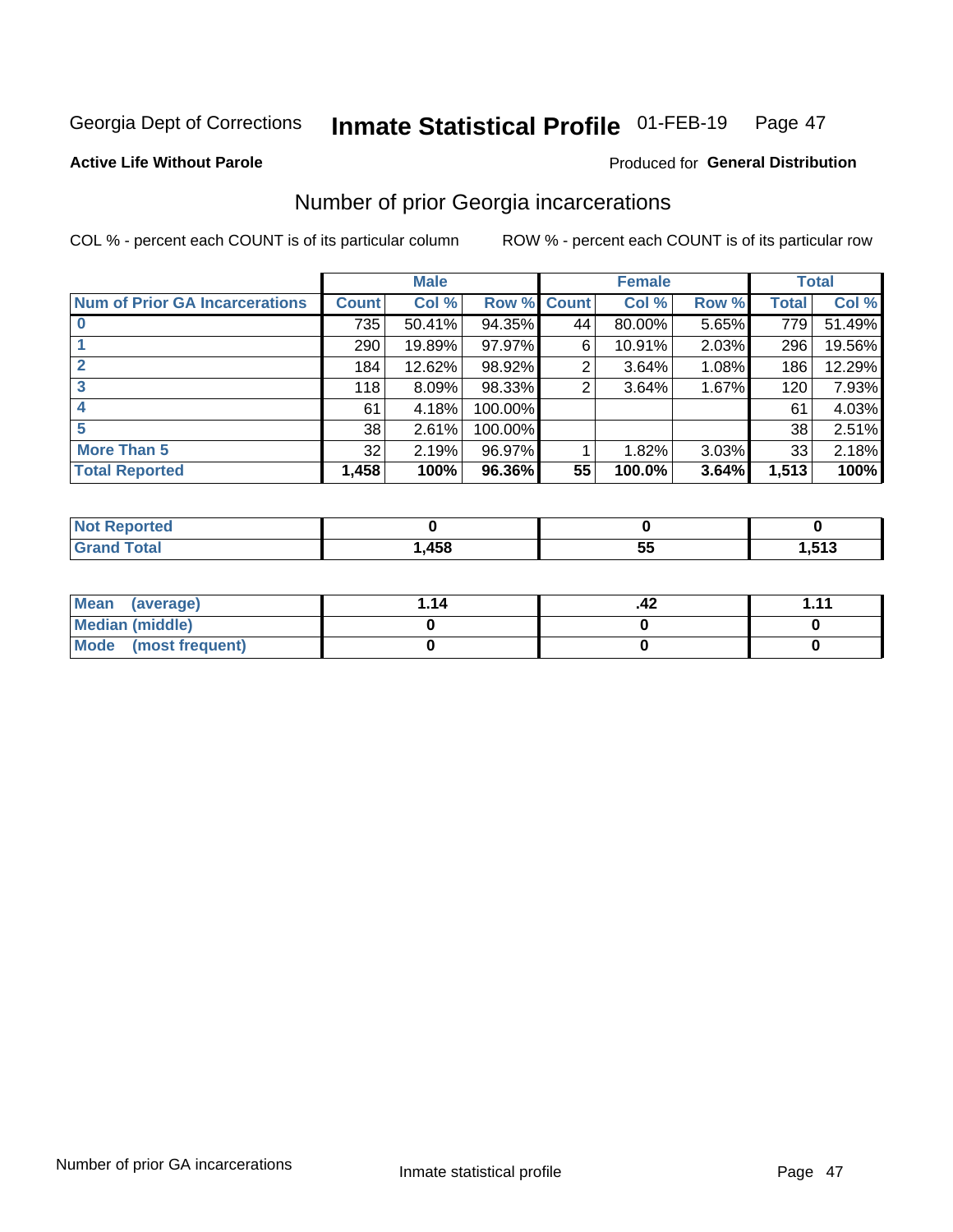#### Inmate Statistical Profile 01-FEB-19 Page 47

#### **Active Life Without Parole**

### **Produced for General Distribution**

### Number of prior Georgia incarcerations

COL % - percent each COUNT is of its particular column

|                                       |              | <b>Male</b> |                    |    | <b>Female</b> | <b>Total</b> |       |        |
|---------------------------------------|--------------|-------------|--------------------|----|---------------|--------------|-------|--------|
| <b>Num of Prior GA Incarcerations</b> | <b>Count</b> | Col %       | <b>Row % Count</b> |    | Col %         | Row %        | Total | Col %  |
|                                       | 735          | 50.41%      | 94.35%             | 44 | 80.00%        | 5.65%        | 779   | 51.49% |
|                                       | 290          | 19.89%      | 97.97%             | 6  | 10.91%        | 2.03%        | 296   | 19.56% |
|                                       | 184          | 12.62%      | 98.92%             | 2  | 3.64%         | 1.08%        | 186   | 12.29% |
| 3                                     | 118          | 8.09%       | 98.33%             | 2  | 3.64%         | 1.67%        | 120   | 7.93%  |
|                                       | 61           | 4.18%       | 100.00%            |    |               |              | 61    | 4.03%  |
| 5                                     | 38           | 2.61%       | 100.00%            |    |               |              | 38    | 2.51%  |
| <b>More Than 5</b>                    | 32           | 2.19%       | 96.97%             |    | 1.82%         | 3.03%        | 33    | 2.18%  |
| <b>Total Reported</b>                 | 1,458        | 100%        | 96.36%             | 55 | 100.0%        | 3.64%        | 1,513 | 100%   |

| orted<br>NI 6                   |              |          |                       |
|---------------------------------|--------------|----------|-----------------------|
| <b>otal</b><br>$\mathbf{v}$ and | 1 E O<br>40O | . .<br>ູ | -40<br>. .<br>61 G, I |

| Mean (average)         | 1.14 | .42 | 444 |
|------------------------|------|-----|-----|
| <b>Median (middle)</b> |      |     |     |
| Mode (most frequent)   |      |     |     |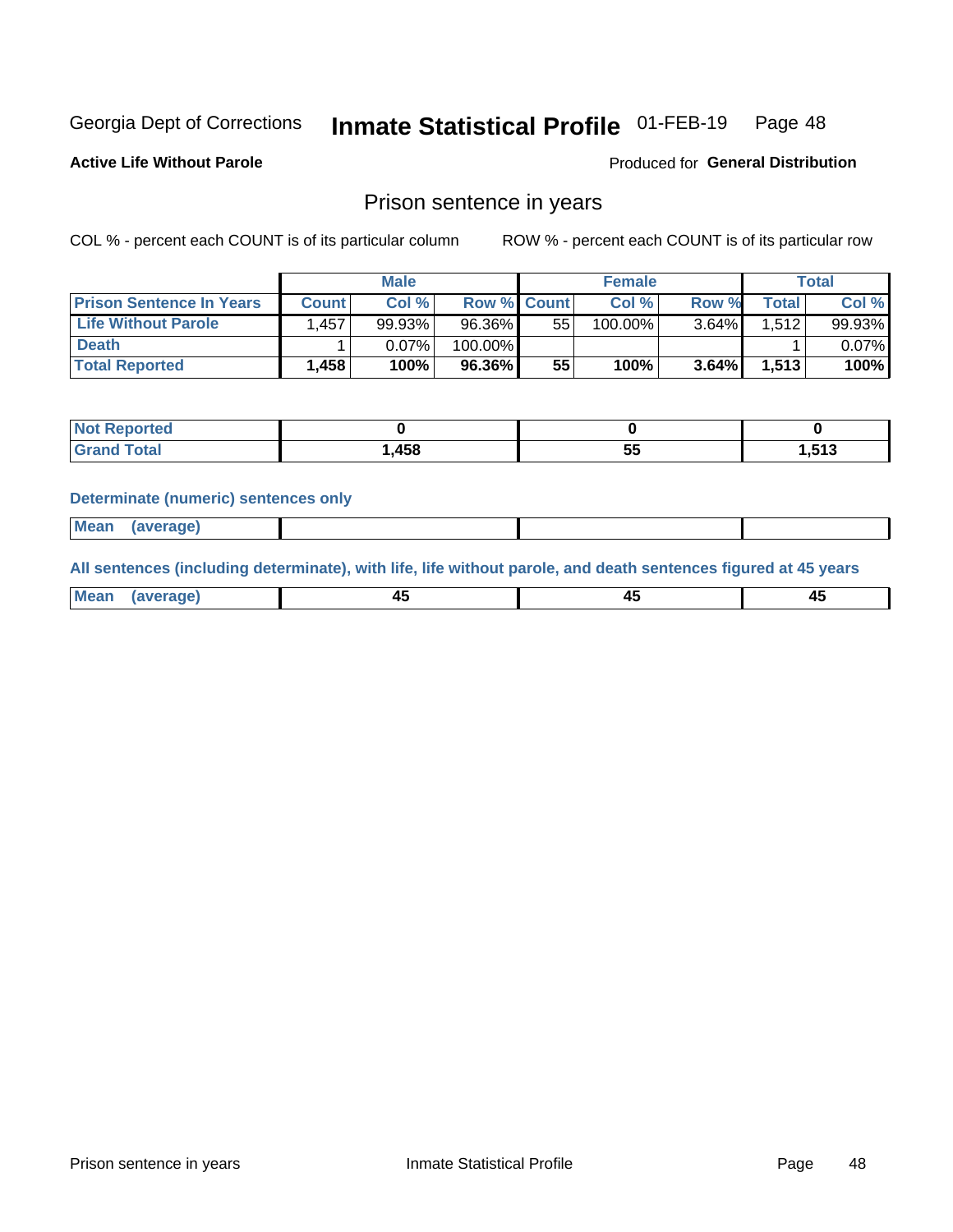#### Inmate Statistical Profile 01-FEB-19 Page 48

**Active Life Without Parole** 

Produced for General Distribution

### Prison sentence in years

COL % - percent each COUNT is of its particular column

ROW % - percent each COUNT is of its particular row

|                                 | <b>Male</b> |        |         | <b>Female</b>      |            |       | Total |           |
|---------------------------------|-------------|--------|---------|--------------------|------------|-------|-------|-----------|
| <b>Prison Sentence In Years</b> | Count       | Col %  |         | <b>Row % Count</b> | Col %      | Row % | Total | Col %     |
| <b>Life Without Parole</b>      | 1.457       | 99.93% | 96.36%  | 55                 | $100.00\%$ | 3.64% | 1.512 | $99.93\%$ |
| <b>Death</b>                    |             | 0.07%  | 100.00% |                    |            |       |       | $0.07\%$  |
| <b>Total Reported</b>           | 1,458       | 100%   | 96.36%  | 55                 | 100%       | 3.64% | 1,513 | 100%      |

| ported<br>NOT |        |         |        |
|---------------|--------|---------|--------|
| <b>Total</b>  | 458, ا | --<br>v | 513. ا |

#### **Determinate (numeric) sentences only**

| ' Mea<br>$-200$ and $-200$ | <b>Some where</b><br>япе. |  |  |
|----------------------------|---------------------------|--|--|
|                            |                           |  |  |

All sentences (including determinate), with life, life without parole, and death sentences figured at 45 years

| l Mea<br>'апе<br>.<br> | ᠇<br>$\sim$ | $\sim$ |  |
|------------------------|-------------|--------|--|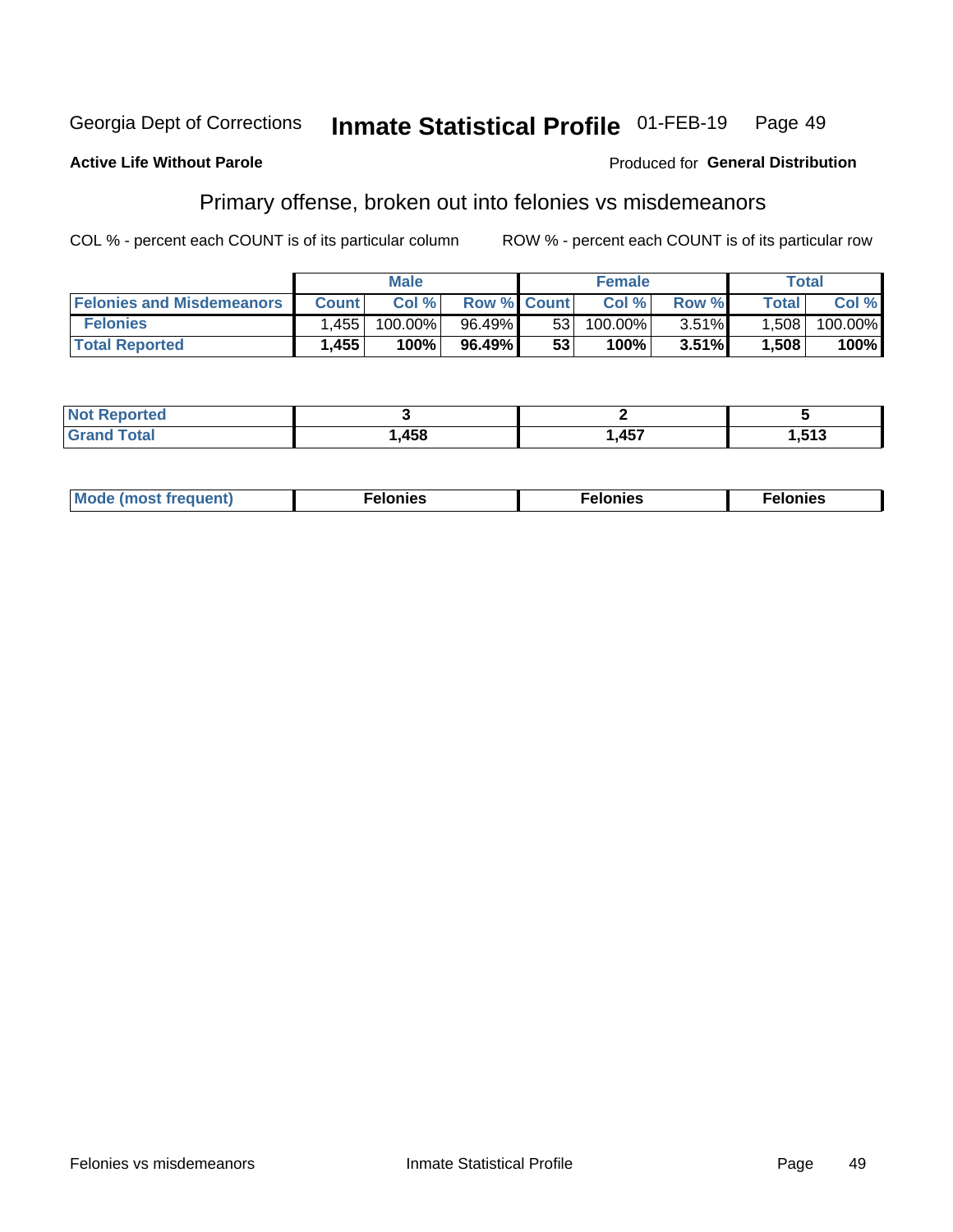#### Inmate Statistical Profile 01-FEB-19 Georgia Dept of Corrections Page 49

#### **Active Life Without Parole**

#### Produced for General Distribution

## Primary offense, broken out into felonies vs misdemeanors

COL % - percent each COUNT is of its particular column

|                                  | <b>Male</b>  |         |                    | <b>Female</b>   |         |          | Total        |         |
|----------------------------------|--------------|---------|--------------------|-----------------|---------|----------|--------------|---------|
| <b>Felonies and Misdemeanors</b> | <b>Count</b> | Col%    | <b>Row % Count</b> |                 | Col%    | Row %    | <b>Total</b> | Col %   |
| <b>Felonies</b>                  | .455         | 100.00% | 96.49%             | 53 <sub>1</sub> | 100.00% | $3.51\%$ | 1.508        | 100.00% |
| <b>Total Reported</b>            | .455         | $100\%$ | 96.49%             | 53              | $100\%$ | 3.51%    | 1,508        | 100%    |

| <b>Not Reported</b>   |      |              |       |
|-----------------------|------|--------------|-------|
| Total<br>Grand<br>uuu | ,458 | A E7<br>, וט | l.513 |

| <b>Mode</b><br>frequent)<br>nies<br>≧ (most tr.<br>. | onies<br>. | lonies<br>ею<br>____ |
|------------------------------------------------------|------------|----------------------|
|------------------------------------------------------|------------|----------------------|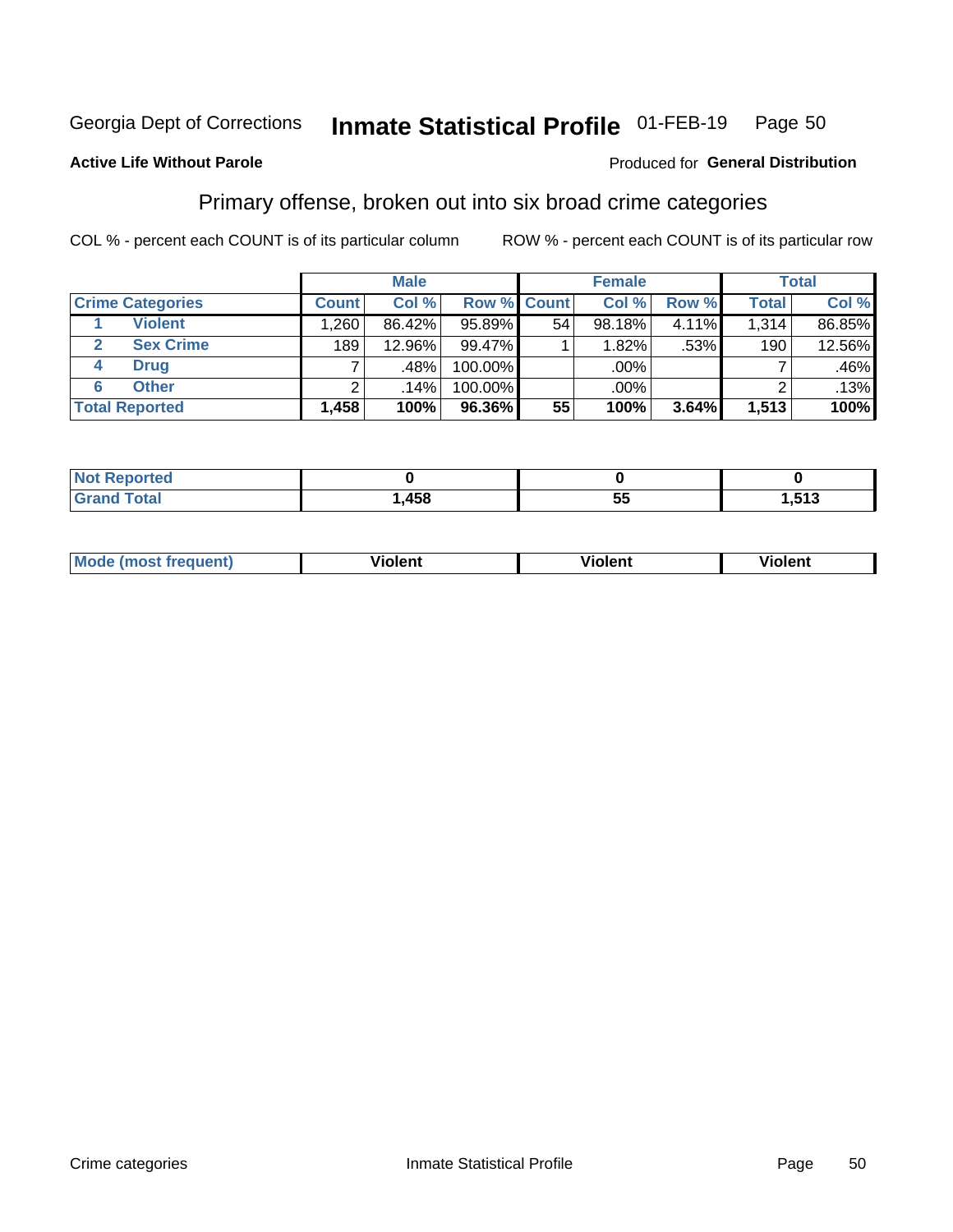#### Inmate Statistical Profile 01-FEB-19 Page 50

### **Active Life Without Parole**

#### Produced for General Distribution

### Primary offense, broken out into six broad crime categories

COL % - percent each COUNT is of its particular column

|                                 |              | <b>Male</b> |         |                    | <b>Female</b> |       |              | <b>Total</b> |
|---------------------------------|--------------|-------------|---------|--------------------|---------------|-------|--------------|--------------|
| <b>Crime Categories</b>         | <b>Count</b> | Col %       |         | <b>Row % Count</b> | Col %         | Row % | <b>Total</b> | Col %        |
| <b>Violent</b>                  | ا 260.،      | 86.42%      | 95.89%  | 54                 | 98.18%        | 4.11% | 1,314        | 86.85%       |
| <b>Sex Crime</b><br>$\mathbf 2$ | 189          | 12.96%      | 99.47%  |                    | 1.82%         | .53%  | 190          | 12.56%       |
| <b>Drug</b><br>4                | ⇁            | .48%        | 100.00% |                    | .00%          |       |              | .46%         |
| <b>Other</b><br>6               | 2            | $.14\%$     | 100.00% |                    | .00%          |       |              | .13%         |
| <b>Total Reported</b>           | 1,458        | 100%        | 96.36%  | 55                 | 100%          | 3.64% | 1,513        | 100%         |

| Reported<br><b>NOT</b><br>$\sim$ |      |     |             |
|----------------------------------|------|-----|-------------|
|                                  | ,458 | . . | E49<br>נונ. |

| <b>Mode (most frequent)</b> |         |                | --             |
|-----------------------------|---------|----------------|----------------|
|                             | violent | <b>Violent</b> | <b>Violent</b> |
|                             |         |                |                |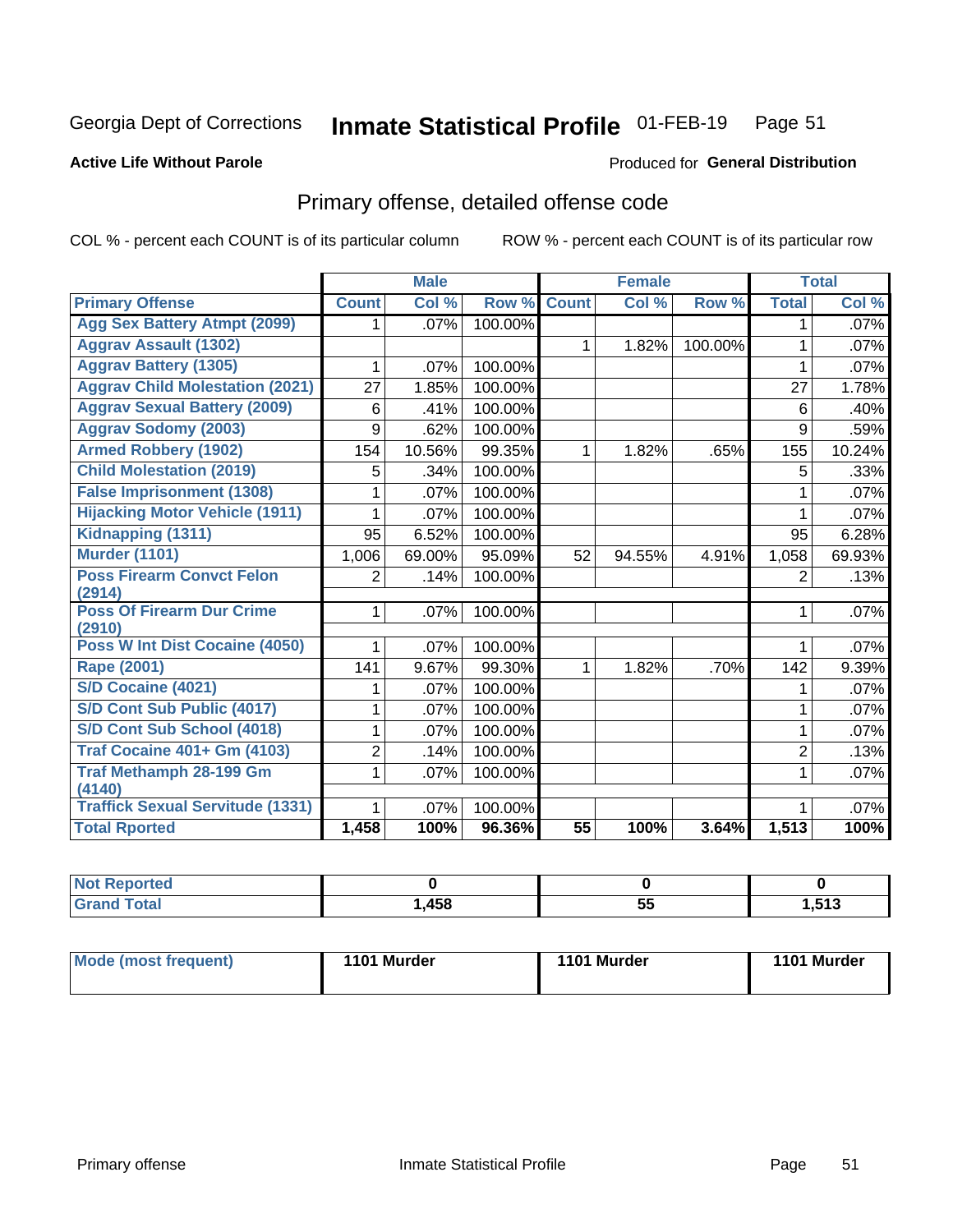#### Inmate Statistical Profile 01-FEB-19 Page 51

#### **Active Life Without Parole**

#### Produced for General Distribution

## Primary offense, detailed offense code

COL % - percent each COUNT is of its particular column

|                                            |              | <b>Male</b> |         |                 | <b>Female</b> |         |                | <b>Total</b> |
|--------------------------------------------|--------------|-------------|---------|-----------------|---------------|---------|----------------|--------------|
| <b>Primary Offense</b>                     | <b>Count</b> | Col %       | Row %   | <b>Count</b>    | Col %         | Row %   | <b>Total</b>   | Col %        |
| <b>Agg Sex Battery Atmpt (2099)</b>        |              | .07%        | 100.00% |                 |               |         | 1              | .07%         |
| <b>Aggrav Assault (1302)</b>               |              |             |         | $\mathbf{1}$    | 1.82%         | 100.00% | 1              | .07%         |
| <b>Aggrav Battery (1305)</b>               | 1            | .07%        | 100.00% |                 |               |         | 1              | .07%         |
| <b>Aggrav Child Molestation (2021)</b>     | 27           | 1.85%       | 100.00% |                 |               |         | 27             | 1.78%        |
| <b>Aggrav Sexual Battery (2009)</b>        | 6            | .41%        | 100.00% |                 |               |         | 6              | .40%         |
| <b>Aggrav Sodomy (2003)</b>                | 9            | .62%        | 100.00% |                 |               |         | 9              | .59%         |
| <b>Armed Robbery (1902)</b>                | 154          | 10.56%      | 99.35%  | 1               | 1.82%         | .65%    | 155            | 10.24%       |
| <b>Child Molestation (2019)</b>            | 5            | .34%        | 100.00% |                 |               |         | 5              | .33%         |
| <b>False Imprisonment (1308)</b>           |              | .07%        | 100.00% |                 |               |         |                | $.07\%$      |
| <b>Hijacking Motor Vehicle (1911)</b>      |              | .07%        | 100.00% |                 |               |         | 1              | .07%         |
| Kidnapping (1311)                          | 95           | 6.52%       | 100.00% |                 |               |         | 95             | 6.28%        |
| <b>Murder (1101)</b>                       | 1,006        | 69.00%      | 95.09%  | 52              | 94.55%        | 4.91%   | 1,058          | 69.93%       |
| <b>Poss Firearm Convct Felon</b>           | 2            | .14%        | 100.00% |                 |               |         | $\overline{2}$ | .13%         |
| (2914)                                     |              |             |         |                 |               |         |                |              |
| <b>Poss Of Firearm Dur Crime</b><br>(2910) | 1            | .07%        | 100.00% |                 |               |         | 1              | .07%         |
| <b>Poss W Int Dist Cocaine (4050)</b>      |              | .07%        | 100.00% |                 |               |         |                | $.07\%$      |
| <b>Rape (2001)</b>                         | 141          | 9.67%       | 99.30%  | $\mathbf{1}$    | 1.82%         | .70%    | 142            | 9.39%        |
| <b>S/D Cocaine (4021)</b>                  |              | .07%        | 100.00% |                 |               |         | 1              | .07%         |
| S/D Cont Sub Public (4017)                 |              | .07%        | 100.00% |                 |               |         | 1              | $.07\%$      |
| S/D Cont Sub School (4018)                 |              | .07%        | 100.00% |                 |               |         | 1              | .07%         |
| <b>Traf Cocaine 401+ Gm (4103)</b>         | 2            | .14%        | 100.00% |                 |               |         | $\overline{2}$ | .13%         |
| <b>Traf Methamph 28-199 Gm</b>             | 1            | .07%        | 100.00% |                 |               |         | 1              | .07%         |
| (4140)                                     |              |             |         |                 |               |         |                |              |
| <b>Traffick Sexual Servitude (1331)</b>    |              | .07%        | 100.00% |                 |               |         |                | .07%         |
| <b>Total Rported</b>                       | 1,458        | 100%        | 96.36%  | $\overline{55}$ | 100%          | 3.64%   | 1,513          | 100%         |

| <b>NOT</b><br><b>Reported</b> |      |    |       |
|-------------------------------|------|----|-------|
|                               | ,458 | 5t | 1,513 |

| Mode (most frequent) | 1101 Murder | 1101 Murder | 1101 Murder |
|----------------------|-------------|-------------|-------------|
|                      |             |             |             |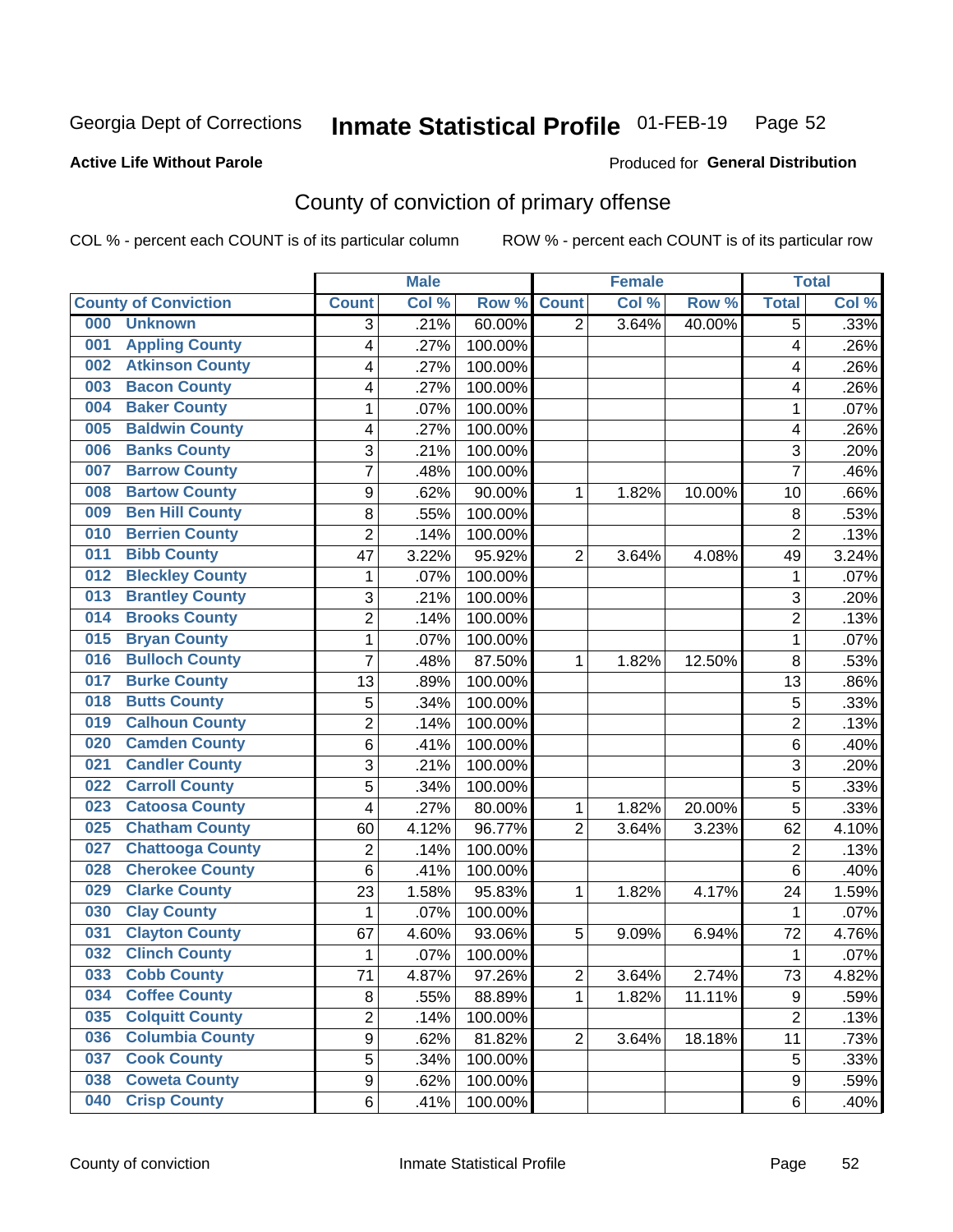## Inmate Statistical Profile 01-FEB-19 Page 52

#### **Active Life Without Parole**

#### Produced for General Distribution

## County of conviction of primary offense

COL % - percent each COUNT is of its particular column

|     |                             |                | <b>Male</b> |         | <b>Female</b>  |       |        | <b>Total</b>   |       |
|-----|-----------------------------|----------------|-------------|---------|----------------|-------|--------|----------------|-------|
|     | <b>County of Conviction</b> | <b>Count</b>   | Col %       | Row %   | <b>Count</b>   | Col % | Row %  | <b>Total</b>   | Col % |
| 000 | <b>Unknown</b>              | 3              | .21%        | 60.00%  | $\overline{2}$ | 3.64% | 40.00% | 5              | .33%  |
| 001 | <b>Appling County</b>       | 4              | .27%        | 100.00% |                |       |        | 4              | .26%  |
| 002 | <b>Atkinson County</b>      | 4              | .27%        | 100.00% |                |       |        | 4              | .26%  |
| 003 | <b>Bacon County</b>         | 4              | .27%        | 100.00% |                |       |        | 4              | .26%  |
| 004 | <b>Baker County</b>         | $\mathbf{1}$   | .07%        | 100.00% |                |       |        | 1              | .07%  |
| 005 | <b>Baldwin County</b>       | 4              | .27%        | 100.00% |                |       |        | 4              | .26%  |
| 006 | <b>Banks County</b>         | 3              | .21%        | 100.00% |                |       |        | 3              | .20%  |
| 007 | <b>Barrow County</b>        | $\overline{7}$ | .48%        | 100.00% |                |       |        | $\overline{7}$ | .46%  |
| 008 | <b>Bartow County</b>        | 9              | .62%        | 90.00%  | 1              | 1.82% | 10.00% | 10             | .66%  |
| 009 | <b>Ben Hill County</b>      | 8              | .55%        | 100.00% |                |       |        | 8              | .53%  |
| 010 | <b>Berrien County</b>       | $\overline{2}$ | .14%        | 100.00% |                |       |        | $\overline{2}$ | .13%  |
| 011 | <b>Bibb County</b>          | 47             | 3.22%       | 95.92%  | $\overline{2}$ | 3.64% | 4.08%  | 49             | 3.24% |
| 012 | <b>Bleckley County</b>      | $\mathbf{1}$   | .07%        | 100.00% |                |       |        | $\mathbf{1}$   | .07%  |
| 013 | <b>Brantley County</b>      | 3              | .21%        | 100.00% |                |       |        | 3              | .20%  |
| 014 | <b>Brooks County</b>        | $\overline{2}$ | .14%        | 100.00% |                |       |        | $\overline{2}$ | .13%  |
| 015 | <b>Bryan County</b>         | $\mathbf{1}$   | .07%        | 100.00% |                |       |        | $\mathbf{1}$   | .07%  |
| 016 | <b>Bulloch County</b>       | 7              | .48%        | 87.50%  | 1              | 1.82% | 12.50% | 8              | .53%  |
| 017 | <b>Burke County</b>         | 13             | .89%        | 100.00% |                |       |        | 13             | .86%  |
| 018 | <b>Butts County</b>         | 5              | .34%        | 100.00% |                |       |        | 5              | .33%  |
| 019 | <b>Calhoun County</b>       | $\overline{2}$ | .14%        | 100.00% |                |       |        | $\overline{2}$ | .13%  |
| 020 | <b>Camden County</b>        | 6              | .41%        | 100.00% |                |       |        | 6              | .40%  |
| 021 | <b>Candler County</b>       | 3              | .21%        | 100.00% |                |       |        | 3              | .20%  |
| 022 | <b>Carroll County</b>       | 5              | .34%        | 100.00% |                |       |        | 5              | .33%  |
| 023 | <b>Catoosa County</b>       | 4              | .27%        | 80.00%  | 1              | 1.82% | 20.00% | 5              | .33%  |
| 025 | <b>Chatham County</b>       | 60             | 4.12%       | 96.77%  | $\overline{2}$ | 3.64% | 3.23%  | 62             | 4.10% |
| 027 | <b>Chattooga County</b>     | $\overline{2}$ | .14%        | 100.00% |                |       |        | $\overline{2}$ | .13%  |
| 028 | <b>Cherokee County</b>      | 6              | .41%        | 100.00% |                |       |        | 6              | .40%  |
| 029 | <b>Clarke County</b>        | 23             | 1.58%       | 95.83%  | 1              | 1.82% | 4.17%  | 24             | 1.59% |
| 030 | <b>Clay County</b>          | $\mathbf{1}$   | .07%        | 100.00% |                |       |        | $\mathbf{1}$   | .07%  |
| 031 | <b>Clayton County</b>       | 67             | 4.60%       | 93.06%  | 5              | 9.09% | 6.94%  | 72             | 4.76% |
| 032 | <b>Clinch County</b>        | 1              | .07%        | 100.00% |                |       |        | 1              | .07%  |
| 033 | <b>Cobb County</b>          | 71             | 4.87%       | 97.26%  | 2              | 3.64% | 2.74%  | 73             | 4.82% |
| 034 | <b>Coffee County</b>        | 8              | .55%        | 88.89%  | 1              | 1.82% | 11.11% | 9              | .59%  |
| 035 | <b>Colquitt County</b>      | $\overline{2}$ | .14%        | 100.00% |                |       |        | $\overline{2}$ | .13%  |
| 036 | <b>Columbia County</b>      | 9              | .62%        | 81.82%  | $\overline{2}$ | 3.64% | 18.18% | 11             | .73%  |
| 037 | <b>Cook County</b>          | 5              | .34%        | 100.00% |                |       |        | 5              | .33%  |
| 038 | <b>Coweta County</b>        | 9              | .62%        | 100.00% |                |       |        | 9              | .59%  |
| 040 | <b>Crisp County</b>         | 6              | .41%        | 100.00% |                |       |        | 6              | .40%  |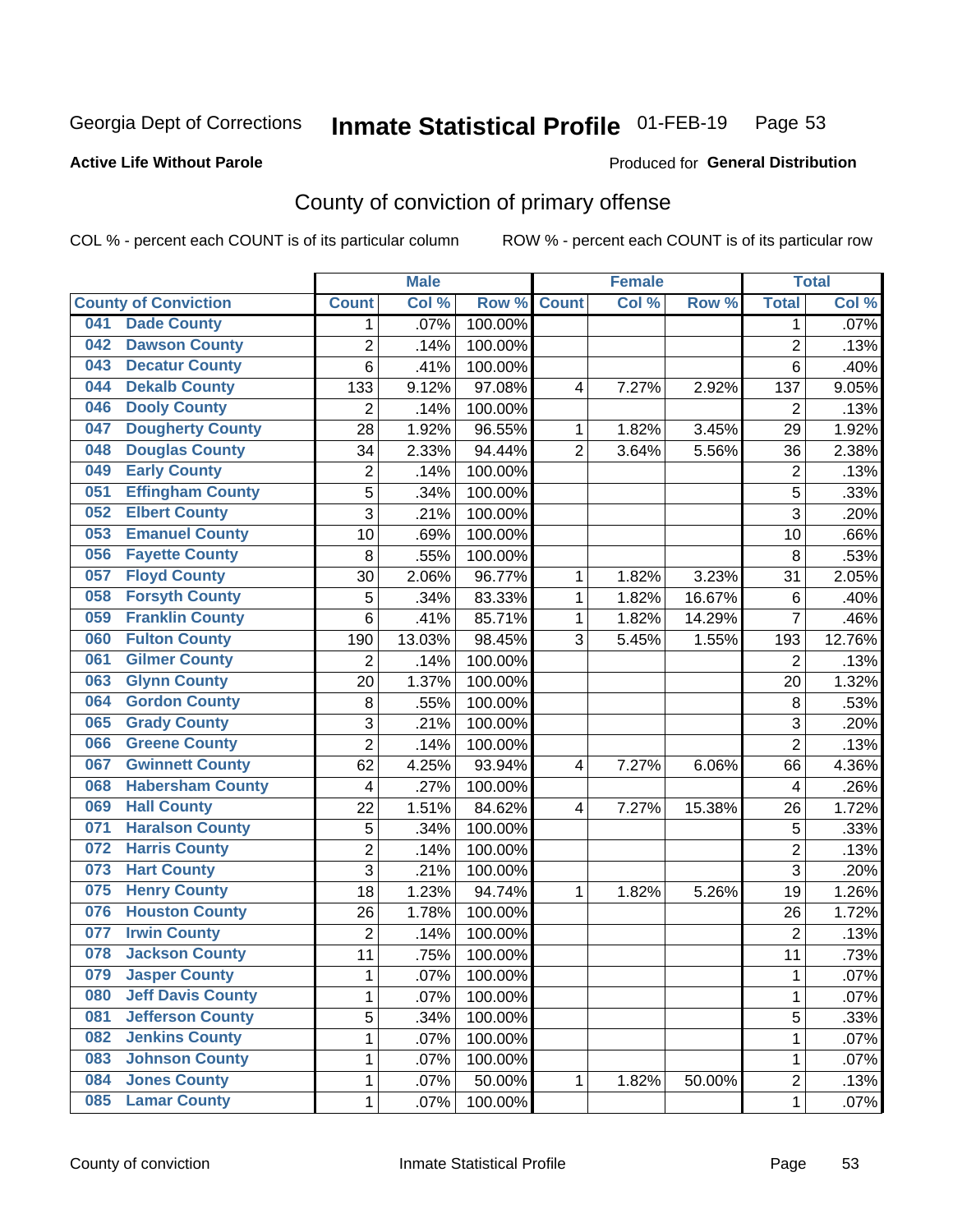## Inmate Statistical Profile 01-FEB-19 Page 53

### **Active Life Without Parole**

#### Produced for General Distribution

## County of conviction of primary offense

COL % - percent each COUNT is of its particular column

|     |                             |                | <b>Male</b> |         | <b>Female</b>  |       |        | <b>Total</b>   |         |
|-----|-----------------------------|----------------|-------------|---------|----------------|-------|--------|----------------|---------|
|     | <b>County of Conviction</b> | <b>Count</b>   | Col %       | Row %   | <b>Count</b>   | Col % | Row %  | <b>Total</b>   | Col %   |
| 041 | <b>Dade County</b>          | 1              | .07%        | 100.00% |                |       |        | 1              | .07%    |
| 042 | <b>Dawson County</b>        | $\overline{2}$ | .14%        | 100.00% |                |       |        | $\overline{2}$ | .13%    |
| 043 | <b>Decatur County</b>       | 6              | .41%        | 100.00% |                |       |        | 6              | .40%    |
| 044 | <b>Dekalb County</b>        | 133            | 9.12%       | 97.08%  | 4              | 7.27% | 2.92%  | 137            | 9.05%   |
| 046 | <b>Dooly County</b>         | $\overline{2}$ | .14%        | 100.00% |                |       |        | $\overline{2}$ | .13%    |
| 047 | <b>Dougherty County</b>     | 28             | 1.92%       | 96.55%  | 1              | 1.82% | 3.45%  | 29             | 1.92%   |
| 048 | <b>Douglas County</b>       | 34             | 2.33%       | 94.44%  | $\overline{2}$ | 3.64% | 5.56%  | 36             | 2.38%   |
| 049 | <b>Early County</b>         | $\mathbf 2$    | .14%        | 100.00% |                |       |        | $\overline{2}$ | .13%    |
| 051 | <b>Effingham County</b>     | 5              | .34%        | 100.00% |                |       |        | 5              | .33%    |
| 052 | <b>Elbert County</b>        | 3              | .21%        | 100.00% |                |       |        | 3              | .20%    |
| 053 | <b>Emanuel County</b>       | 10             | .69%        | 100.00% |                |       |        | 10             | .66%    |
| 056 | <b>Fayette County</b>       | 8              | .55%        | 100.00% |                |       |        | 8              | .53%    |
| 057 | <b>Floyd County</b>         | 30             | 2.06%       | 96.77%  | $\mathbf{1}$   | 1.82% | 3.23%  | 31             | 2.05%   |
| 058 | <b>Forsyth County</b>       | 5              | .34%        | 83.33%  | 1              | 1.82% | 16.67% | 6              | .40%    |
| 059 | <b>Franklin County</b>      | 6              | .41%        | 85.71%  | 1              | 1.82% | 14.29% | $\overline{7}$ | .46%    |
| 060 | <b>Fulton County</b>        | 190            | 13.03%      | 98.45%  | 3              | 5.45% | 1.55%  | 193            | 12.76%  |
| 061 | <b>Gilmer County</b>        | $\overline{2}$ | .14%        | 100.00% |                |       |        | $\overline{2}$ | .13%    |
| 063 | <b>Glynn County</b>         | 20             | 1.37%       | 100.00% |                |       |        | 20             | 1.32%   |
| 064 | <b>Gordon County</b>        | 8              | .55%        | 100.00% |                |       |        | 8              | .53%    |
| 065 | <b>Grady County</b>         | 3              | .21%        | 100.00% |                |       |        | $\overline{3}$ | .20%    |
| 066 | <b>Greene County</b>        | $\overline{2}$ | .14%        | 100.00% |                |       |        | $\overline{2}$ | .13%    |
| 067 | <b>Gwinnett County</b>      | 62             | 4.25%       | 93.94%  | 4              | 7.27% | 6.06%  | 66             | 4.36%   |
| 068 | <b>Habersham County</b>     | $\overline{4}$ | .27%        | 100.00% |                |       |        | 4              | .26%    |
| 069 | <b>Hall County</b>          | 22             | 1.51%       | 84.62%  | 4              | 7.27% | 15.38% | 26             | 1.72%   |
| 071 | <b>Haralson County</b>      | 5              | .34%        | 100.00% |                |       |        | 5              | .33%    |
| 072 | <b>Harris County</b>        | $\overline{2}$ | .14%        | 100.00% |                |       |        | $\overline{2}$ | .13%    |
| 073 | <b>Hart County</b>          | 3              | .21%        | 100.00% |                |       |        | $\overline{3}$ | .20%    |
| 075 | <b>Henry County</b>         | 18             | 1.23%       | 94.74%  | 1              | 1.82% | 5.26%  | 19             | 1.26%   |
| 076 | <b>Houston County</b>       | 26             | 1.78%       | 100.00% |                |       |        | 26             | 1.72%   |
| 077 | <b>Irwin County</b>         | $\overline{2}$ | .14%        | 100.00% |                |       |        | $\overline{2}$ | .13%    |
| 078 | <b>Jackson County</b>       | 11             | .75%        | 100.00% |                |       |        | 11             | .73%    |
| 079 | <b>Jasper County</b>        | 1              | .07%        | 100.00% |                |       |        | 1              | $.07\%$ |
| 080 | <b>Jeff Davis County</b>    | 1              | .07%        | 100.00% |                |       |        | $\mathbf{1}$   | .07%    |
| 081 | <b>Jefferson County</b>     | $\overline{5}$ | .34%        | 100.00% |                |       |        | $\overline{5}$ | .33%    |
| 082 | <b>Jenkins County</b>       | $\mathbf 1$    | .07%        | 100.00% |                |       |        | 1              | .07%    |
| 083 | <b>Johnson County</b>       | 1              | .07%        | 100.00% |                |       |        | 1              | .07%    |
| 084 | <b>Jones County</b>         | 1              | .07%        | 50.00%  | $\mathbf{1}$   | 1.82% | 50.00% | $\overline{c}$ | .13%    |
| 085 | <b>Lamar County</b>         | $\mathbf 1$    | .07%        | 100.00% |                |       |        | $\mathbf 1$    | .07%    |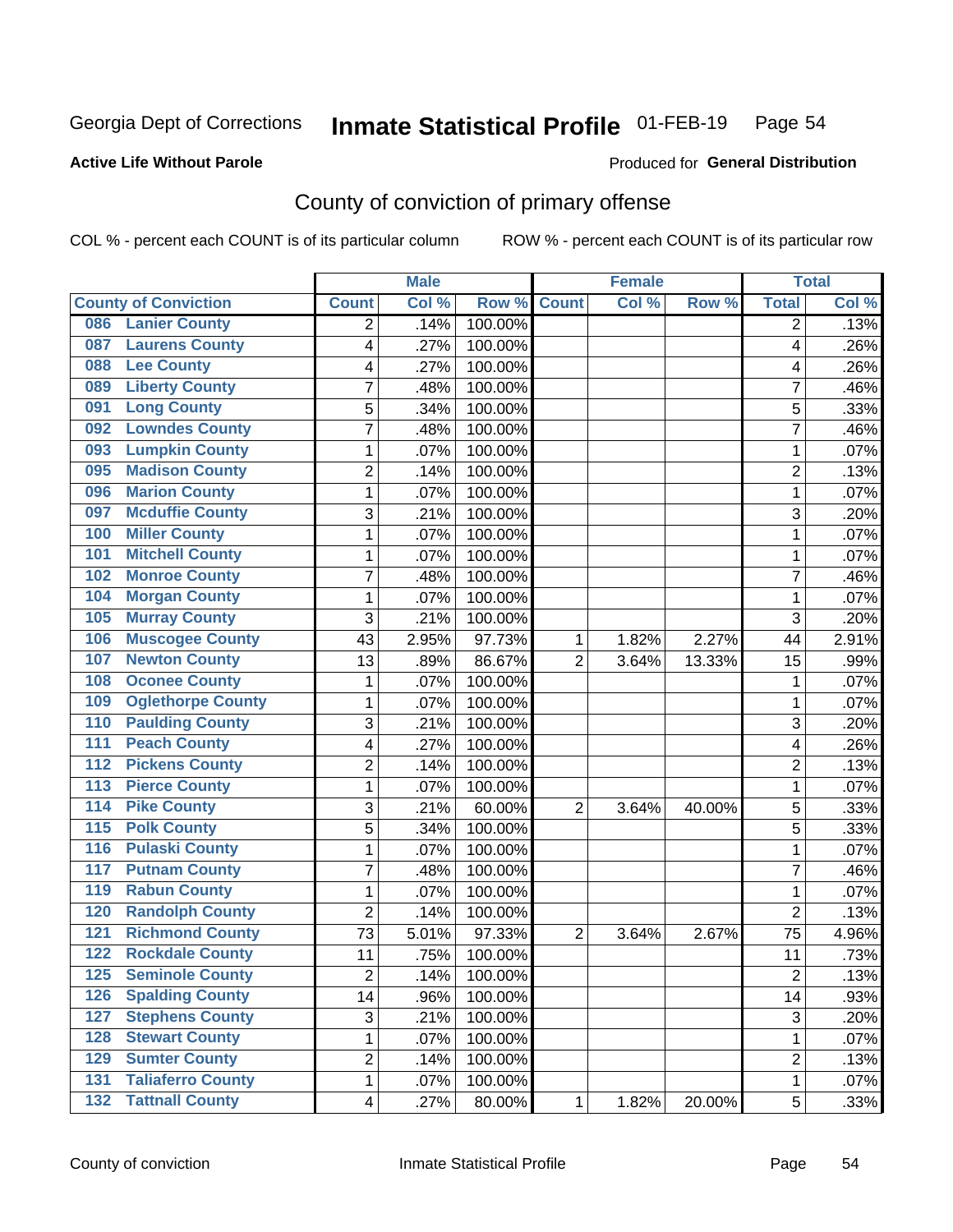## Inmate Statistical Profile 01-FEB-19 Page 54

### **Active Life Without Parole**

### **Produced for General Distribution**

## County of conviction of primary offense

COL % - percent each COUNT is of its particular column

|                  |                             |                         | <b>Male</b> |                  | <b>Female</b>  |       |        | <b>Total</b>   |       |
|------------------|-----------------------------|-------------------------|-------------|------------------|----------------|-------|--------|----------------|-------|
|                  | <b>County of Conviction</b> | <b>Count</b>            | Col %       | Row <sup>%</sup> | <b>Count</b>   | Col % | Row %  | <b>Total</b>   | Col % |
| 086              | <b>Lanier County</b>        | 2                       | .14%        | 100.00%          |                |       |        | 2              | .13%  |
| 087              | <b>Laurens County</b>       | 4                       | .27%        | 100.00%          |                |       |        | 4              | .26%  |
| 088              | <b>Lee County</b>           | 4                       | .27%        | 100.00%          |                |       |        | 4              | .26%  |
| 089              | <b>Liberty County</b>       | $\overline{7}$          | .48%        | 100.00%          |                |       |        | $\overline{7}$ | .46%  |
| 091              | <b>Long County</b>          | 5                       | .34%        | 100.00%          |                |       |        | 5              | .33%  |
| 092              | <b>Lowndes County</b>       | 7                       | .48%        | 100.00%          |                |       |        | $\overline{7}$ | .46%  |
| 093              | <b>Lumpkin County</b>       | 1                       | .07%        | 100.00%          |                |       |        | 1              | .07%  |
| 095              | <b>Madison County</b>       | $\overline{2}$          | .14%        | 100.00%          |                |       |        | $\overline{c}$ | .13%  |
| 096              | <b>Marion County</b>        | 1                       | .07%        | 100.00%          |                |       |        | 1              | .07%  |
| 097              | <b>Mcduffie County</b>      | 3                       | .21%        | 100.00%          |                |       |        | 3              | .20%  |
| 100              | <b>Miller County</b>        | 1                       | .07%        | 100.00%          |                |       |        | 1              | .07%  |
| 101              | <b>Mitchell County</b>      | 1                       | .07%        | 100.00%          |                |       |        | $\mathbf{1}$   | .07%  |
| 102              | <b>Monroe County</b>        | 7                       | .48%        | 100.00%          |                |       |        | 7              | .46%  |
| 104              | <b>Morgan County</b>        | 1                       | .07%        | 100.00%          |                |       |        | 1              | .07%  |
| 105              | <b>Murray County</b>        | 3                       | .21%        | 100.00%          |                |       |        | 3              | .20%  |
| 106              | <b>Muscogee County</b>      | 43                      | 2.95%       | 97.73%           | 1              | 1.82% | 2.27%  | 44             | 2.91% |
| 107              | <b>Newton County</b>        | 13                      | .89%        | 86.67%           | $\overline{2}$ | 3.64% | 13.33% | 15             | .99%  |
| 108              | <b>Oconee County</b>        | 1                       | .07%        | 100.00%          |                |       |        | 1              | .07%  |
| 109              | <b>Oglethorpe County</b>    | 1                       | .07%        | 100.00%          |                |       |        | 1              | .07%  |
| 110              | <b>Paulding County</b>      | 3                       | .21%        | 100.00%          |                |       |        | $\overline{3}$ | .20%  |
| 111              | <b>Peach County</b>         | 4                       | .27%        | 100.00%          |                |       |        | 4              | .26%  |
| $\overline{112}$ | <b>Pickens County</b>       | 2                       | .14%        | 100.00%          |                |       |        | 2              | .13%  |
| $\overline{113}$ | <b>Pierce County</b>        | 1                       | .07%        | 100.00%          |                |       |        | $\mathbf{1}$   | .07%  |
| $\overline{114}$ | <b>Pike County</b>          | 3                       | .21%        | 60.00%           | $\overline{2}$ | 3.64% | 40.00% | 5              | .33%  |
| 115              | <b>Polk County</b>          | 5                       | .34%        | 100.00%          |                |       |        | 5              | .33%  |
| 116              | <b>Pulaski County</b>       | 1                       | .07%        | 100.00%          |                |       |        | 1              | .07%  |
| $\overline{117}$ | <b>Putnam County</b>        | 7                       | .48%        | 100.00%          |                |       |        | $\overline{7}$ | .46%  |
| 119              | <b>Rabun County</b>         | 1                       | .07%        | 100.00%          |                |       |        | $\mathbf{1}$   | .07%  |
| 120              | <b>Randolph County</b>      | 2                       | .14%        | 100.00%          |                |       |        | $\overline{2}$ | .13%  |
| $\overline{121}$ | <b>Richmond County</b>      | 73                      | 5.01%       | 97.33%           | $\overline{2}$ | 3.64% | 2.67%  | 75             | 4.96% |
| 122              | <b>Rockdale County</b>      | 11                      | .75%        | 100.00%          |                |       |        | 11             | .73%  |
|                  | 125 Seminole County         | $\overline{\mathbf{c}}$ | .14%        | 100.00%          |                |       |        | 2              | .13%  |
| 126              | <b>Spalding County</b>      | 14                      | .96%        | 100.00%          |                |       |        | 14             | .93%  |
| 127              | <b>Stephens County</b>      | 3                       | .21%        | 100.00%          |                |       |        | 3              | .20%  |
| 128              | <b>Stewart County</b>       | 1                       | .07%        | 100.00%          |                |       |        | $\mathbf{1}$   | .07%  |
| 129              | <b>Sumter County</b>        | $\overline{2}$          | .14%        | 100.00%          |                |       |        | $\overline{2}$ | .13%  |
| 131              | <b>Taliaferro County</b>    | 1                       | .07%        | 100.00%          |                |       |        | $\mathbf{1}$   | .07%  |
| $132$            | <b>Tattnall County</b>      | $\overline{\mathbf{4}}$ | .27%        | 80.00%           | 1              | 1.82% | 20.00% | 5              | .33%  |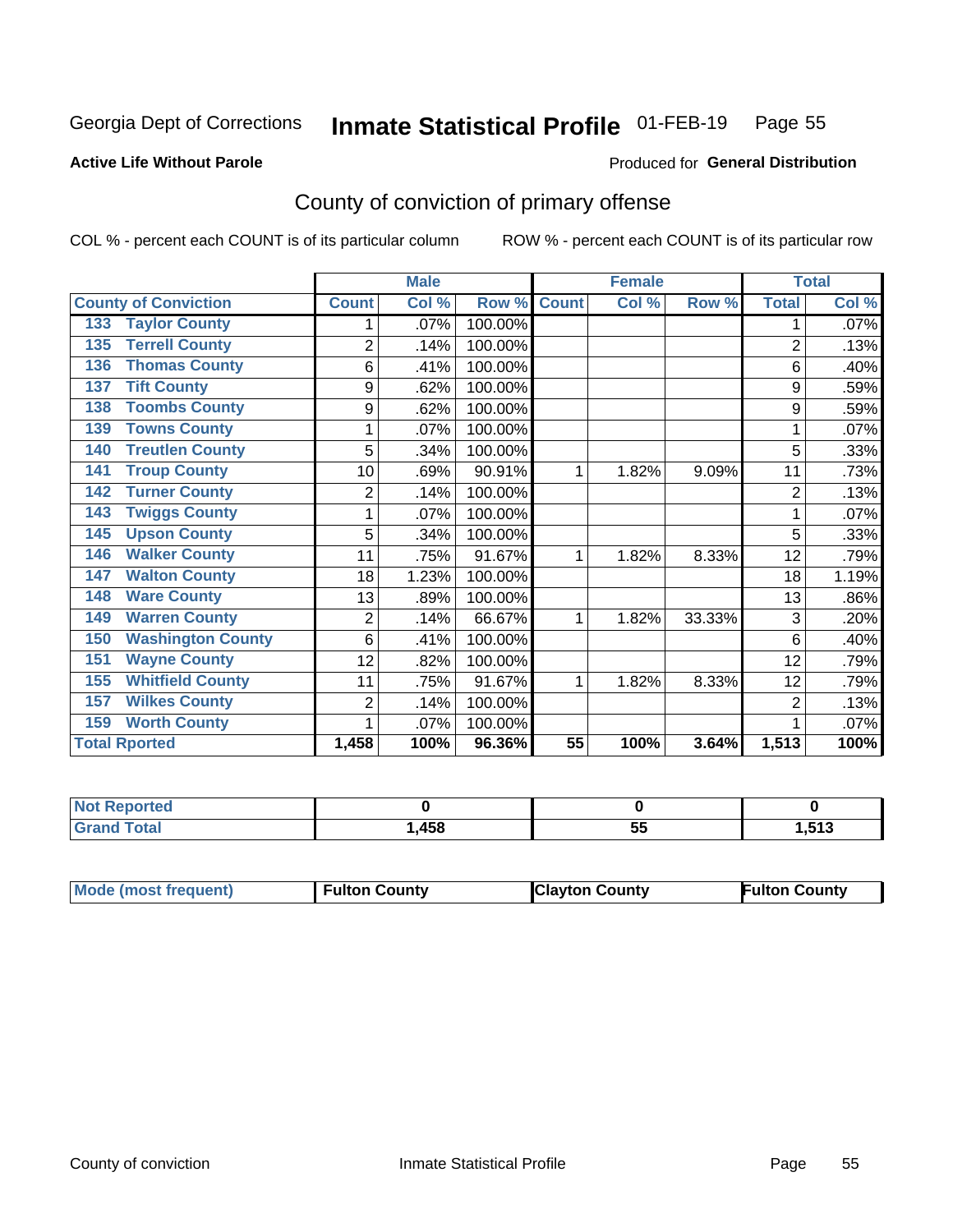## Inmate Statistical Profile 01-FEB-19 Page 55

### **Active Life Without Parole**

#### Produced for General Distribution

## County of conviction of primary offense

COL % - percent each COUNT is of its particular column

|                                 |                | <b>Male</b> |         | <b>Female</b> |       |        | <b>Total</b>   |       |
|---------------------------------|----------------|-------------|---------|---------------|-------|--------|----------------|-------|
| <b>County of Conviction</b>     | <b>Count</b>   | Col%        | Row %   | <b>Count</b>  | Col % | Row %  | <b>Total</b>   | Col % |
| <b>Taylor County</b><br>133     |                | .07%        | 100.00% |               |       |        |                | .07%  |
| <b>Terrell County</b><br>135    | $\overline{2}$ | .14%        | 100.00% |               |       |        | $\overline{2}$ | .13%  |
| <b>Thomas County</b><br>136     | 6              | .41%        | 100.00% |               |       |        | 6              | .40%  |
| <b>Tift County</b><br>137       | 9              | .62%        | 100.00% |               |       |        | 9              | .59%  |
| <b>Toombs County</b><br>138     | 9              | .62%        | 100.00% |               |       |        | 9              | .59%  |
| <b>Towns County</b><br>139      | 1              | .07%        | 100.00% |               |       |        |                | .07%  |
| <b>Treutlen County</b><br>140   | 5              | .34%        | 100.00% |               |       |        | 5              | .33%  |
| <b>Troup County</b><br>141      | 10             | .69%        | 90.91%  | 1             | 1.82% | 9.09%  | 11             | .73%  |
| <b>Turner County</b><br>142     | $\overline{2}$ | .14%        | 100.00% |               |       |        | $\overline{2}$ | .13%  |
| <b>Twiggs County</b><br>143     |                | .07%        | 100.00% |               |       |        |                | .07%  |
| <b>Upson County</b><br>145      | 5              | .34%        | 100.00% |               |       |        | 5              | .33%  |
| <b>Walker County</b><br>146     | 11             | .75%        | 91.67%  | 1             | 1.82% | 8.33%  | 12             | .79%  |
| <b>Walton County</b><br>147     | 18             | 1.23%       | 100.00% |               |       |        | 18             | 1.19% |
| <b>Ware County</b><br>148       | 13             | .89%        | 100.00% |               |       |        | 13             | .86%  |
| <b>Warren County</b><br>149     | $\overline{2}$ | .14%        | 66.67%  | 1             | 1.82% | 33.33% | 3              | .20%  |
| <b>Washington County</b><br>150 | 6              | .41%        | 100.00% |               |       |        | 6              | .40%  |
| <b>Wayne County</b><br>151      | 12             | .82%        | 100.00% |               |       |        | 12             | .79%  |
| <b>Whitfield County</b><br>155  | 11             | .75%        | 91.67%  | 1             | 1.82% | 8.33%  | 12             | .79%  |
| <b>Wilkes County</b><br>157     | $\overline{2}$ | .14%        | 100.00% |               |       |        | $\overline{2}$ | .13%  |
| <b>Worth County</b><br>159      | 1              | .07%        | 100.00% |               |       |        |                | .07%  |
| <b>Total Rported</b>            | 1,458          | 100%        | 96.36%  | 55            | 100%  | 3.64%  | 1,513          | 100%  |

| الداريم الألمان<br>rtea<br>w.<br>$\sim$ $\sim$ $\sim$ $\sim$ |      |          |                          |
|--------------------------------------------------------------|------|----------|--------------------------|
| $f \wedge f \wedge f$                                        | .458 | --<br>uu | <b>E49</b><br>ن ا<br>. . |

| Mode (most frequent)<br><b>Clayton County</b><br>Fulton County<br><b>Fulton County</b> |
|----------------------------------------------------------------------------------------|
|----------------------------------------------------------------------------------------|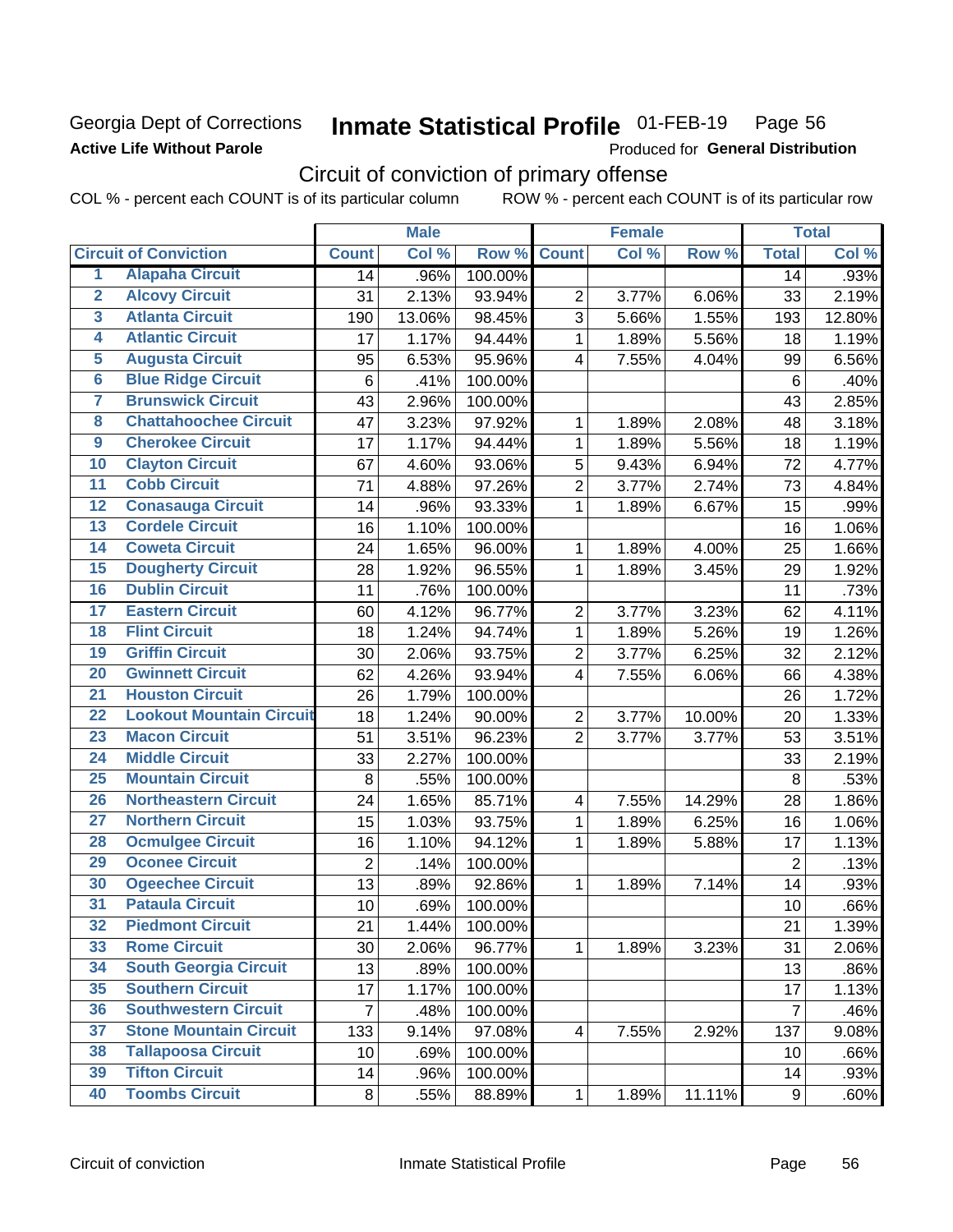### Georgia Dept of Corrections **Active Life Without Parole**

#### Inmate Statistical Profile 01-FEB-19 Page 56

Produced for General Distribution

## Circuit of conviction of primary offense

COL % - percent each COUNT is of its particular column ROW % - percent each COUNT is of its particular row

|                         |                                 |                | <b>Male</b> |         | <b>Female</b>           |       |        | <b>Total</b>   |        |
|-------------------------|---------------------------------|----------------|-------------|---------|-------------------------|-------|--------|----------------|--------|
|                         | <b>Circuit of Conviction</b>    | <b>Count</b>   | Col %       | Row %   | <b>Count</b>            | Col % | Row %  | <b>Total</b>   | Col %  |
| 1                       | <b>Alapaha Circuit</b>          | 14             | .96%        | 100.00% |                         |       |        | 14             | .93%   |
| $\overline{2}$          | <b>Alcovy Circuit</b>           | 31             | 2.13%       | 93.94%  | $\overline{2}$          | 3.77% | 6.06%  | 33             | 2.19%  |
| $\overline{\mathbf{3}}$ | <b>Atlanta Circuit</b>          | 190            | 13.06%      | 98.45%  | 3                       | 5.66% | 1.55%  | 193            | 12.80% |
| 4                       | <b>Atlantic Circuit</b>         | 17             | 1.17%       | 94.44%  | $\mathbf{1}$            | 1.89% | 5.56%  | 18             | 1.19%  |
| $\overline{5}$          | <b>Augusta Circuit</b>          | 95             | 6.53%       | 95.96%  | $\overline{4}$          | 7.55% | 4.04%  | 99             | 6.56%  |
| $\overline{6}$          | <b>Blue Ridge Circuit</b>       | 6              | .41%        | 100.00% |                         |       |        | $\,6$          | .40%   |
| 7                       | <b>Brunswick Circuit</b>        | 43             | 2.96%       | 100.00% |                         |       |        | 43             | 2.85%  |
| 8                       | <b>Chattahoochee Circuit</b>    | 47             | 3.23%       | 97.92%  | 1                       | 1.89% | 2.08%  | 48             | 3.18%  |
| $\overline{9}$          | <b>Cherokee Circuit</b>         | 17             | 1.17%       | 94.44%  | 1                       | 1.89% | 5.56%  | 18             | 1.19%  |
| 10                      | <b>Clayton Circuit</b>          | 67             | 4.60%       | 93.06%  | 5                       | 9.43% | 6.94%  | 72             | 4.77%  |
| $\overline{11}$         | <b>Cobb Circuit</b>             | 71             | 4.88%       | 97.26%  | $\overline{2}$          | 3.77% | 2.74%  | 73             | 4.84%  |
| $\overline{12}$         | <b>Conasauga Circuit</b>        | 14             | .96%        | 93.33%  | $\mathbf{1}$            | 1.89% | 6.67%  | 15             | .99%   |
| $\overline{13}$         | <b>Cordele Circuit</b>          | 16             | 1.10%       | 100.00% |                         |       |        | 16             | 1.06%  |
| $\overline{14}$         | <b>Coweta Circuit</b>           | 24             | 1.65%       | 96.00%  | $\mathbf{1}$            | 1.89% | 4.00%  | 25             | 1.66%  |
| $\overline{15}$         | <b>Dougherty Circuit</b>        | 28             | 1.92%       | 96.55%  | $\mathbf{1}$            | 1.89% | 3.45%  | 29             | 1.92%  |
| 16                      | <b>Dublin Circuit</b>           | 11             | .76%        | 100.00% |                         |       |        | 11             | .73%   |
| $\overline{17}$         | <b>Eastern Circuit</b>          | 60             | 4.12%       | 96.77%  | $\overline{2}$          | 3.77% | 3.23%  | 62             | 4.11%  |
| $\overline{18}$         | <b>Flint Circuit</b>            | 18             | 1.24%       | 94.74%  | $\mathbf{1}$            | 1.89% | 5.26%  | 19             | 1.26%  |
| 19                      | <b>Griffin Circuit</b>          | 30             | 2.06%       | 93.75%  | $\overline{2}$          | 3.77% | 6.25%  | 32             | 2.12%  |
| 20                      | <b>Gwinnett Circuit</b>         | 62             | 4.26%       | 93.94%  | $\overline{4}$          | 7.55% | 6.06%  | 66             | 4.38%  |
| $\overline{21}$         | <b>Houston Circuit</b>          | 26             | 1.79%       | 100.00% |                         |       |        | 26             | 1.72%  |
| $\overline{22}$         | <b>Lookout Mountain Circuit</b> | 18             | 1.24%       | 90.00%  | $\overline{2}$          | 3.77% | 10.00% | 20             | 1.33%  |
| 23                      | <b>Macon Circuit</b>            | 51             | 3.51%       | 96.23%  | $\overline{2}$          | 3.77% | 3.77%  | 53             | 3.51%  |
| 24                      | <b>Middle Circuit</b>           | 33             | 2.27%       | 100.00% |                         |       |        | 33             | 2.19%  |
| $\overline{25}$         | <b>Mountain Circuit</b>         | 8              | .55%        | 100.00% |                         |       |        | 8              | .53%   |
| 26                      | <b>Northeastern Circuit</b>     | 24             | 1.65%       | 85.71%  | $\overline{\mathbf{4}}$ | 7.55% | 14.29% | 28             | 1.86%  |
| $\overline{27}$         | <b>Northern Circuit</b>         | 15             | 1.03%       | 93.75%  | 1                       | 1.89% | 6.25%  | 16             | 1.06%  |
| 28                      | <b>Ocmulgee Circuit</b>         | 16             | 1.10%       | 94.12%  | 1                       | 1.89% | 5.88%  | 17             | 1.13%  |
| 29                      | <b>Oconee Circuit</b>           | $\overline{2}$ | .14%        | 100.00% |                         |       |        | $\overline{2}$ | .13%   |
| 30                      | <b>Ogeechee Circuit</b>         | 13             | .89%        | 92.86%  | 1                       | 1.89% | 7.14%  | 14             | .93%   |
| $\overline{31}$         | <b>Pataula Circuit</b>          | 10             | .69%        | 100.00% |                         |       |        | 10             | .66%   |
| 32                      | <b>Piedmont Circuit</b>         | 21             | 1.44%       | 100.00% |                         |       |        | 21             | 1.39%  |
| 33                      | <b>Rome Circuit</b>             | 30             | 2.06%       | 96.77%  | $\mathbf 1$             | 1.89% | 3.23%  | 31             | 2.06%  |
| 34                      | <b>South Georgia Circuit</b>    | 13             | .89%        | 100.00% |                         |       |        | 13             | .86%   |
| 35                      | <b>Southern Circuit</b>         | 17             | 1.17%       | 100.00% |                         |       |        | 17             | 1.13%  |
| 36                      | <b>Southwestern Circuit</b>     | $\overline{7}$ | .48%        | 100.00% |                         |       |        | 7              | .46%   |
| 37                      | <b>Stone Mountain Circuit</b>   | 133            | 9.14%       | 97.08%  | 4                       | 7.55% | 2.92%  | 137            | 9.08%  |
| 38                      | <b>Tallapoosa Circuit</b>       | 10             | .69%        | 100.00% |                         |       |        | 10             | .66%   |
| 39                      | <b>Tifton Circuit</b>           | 14             | .96%        | 100.00% |                         |       |        | 14             | .93%   |
| 40                      | <b>Toombs Circuit</b>           | 8              | .55%        | 88.89%  | $\mathbf{1}$            | 1.89% | 11.11% | 9              | .60%   |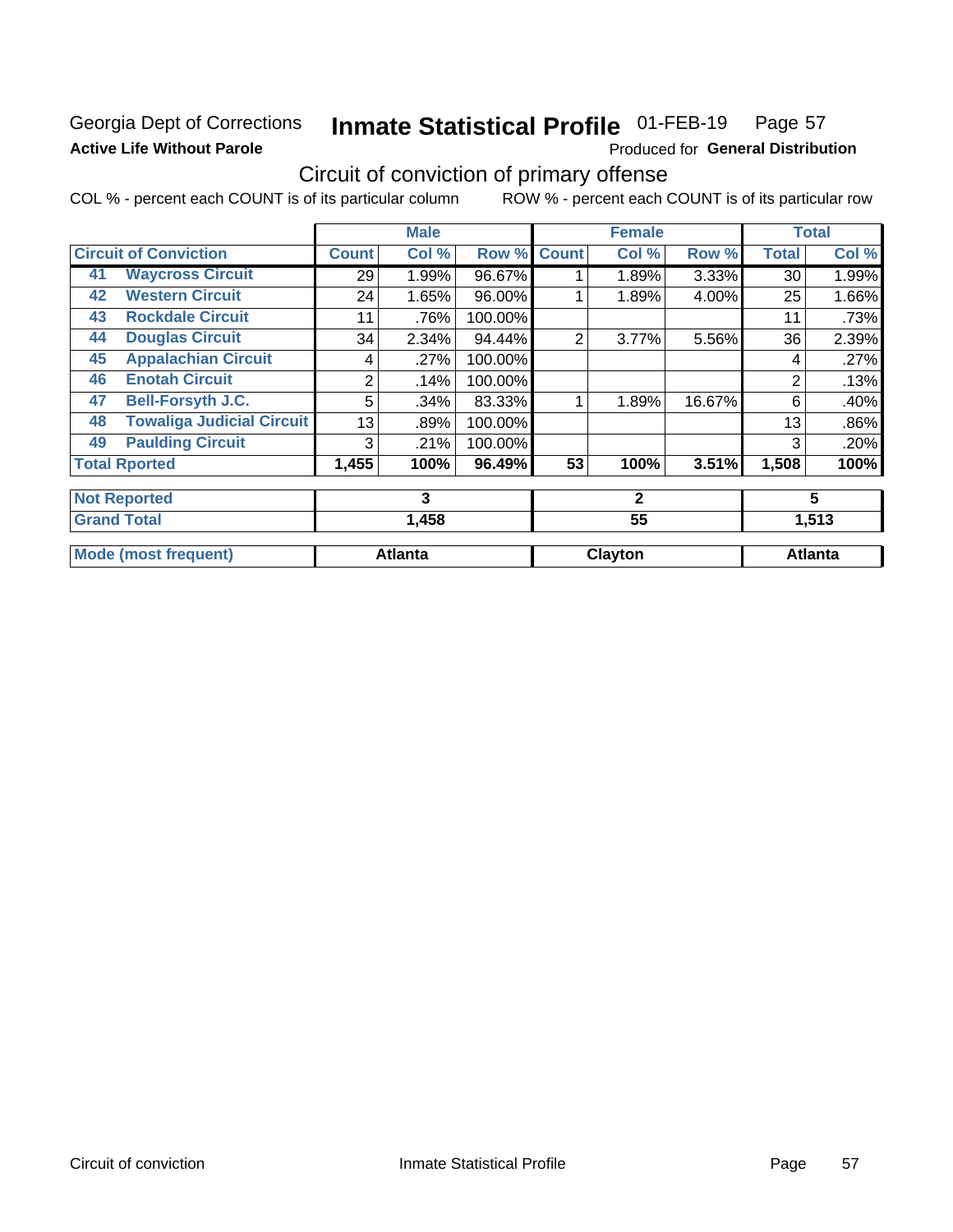### Georgia Dept of Corrections **Active Life Without Parole**

#### Inmate Statistical Profile 01-FEB-19 Page 57

Produced for General Distribution

## Circuit of conviction of primary offense

COL % - percent each COUNT is of its particular column ROW % - percent each COUNT is of its particular row

|                             |                                  |              | <b>Male</b>    |         |                | <b>Female</b> |        |              | <b>Total</b>   |
|-----------------------------|----------------------------------|--------------|----------------|---------|----------------|---------------|--------|--------------|----------------|
|                             | <b>Circuit of Conviction</b>     | <b>Count</b> | Col %          | Row %   | <b>Count</b>   | Col %         | Row %  | <b>Total</b> | Col%           |
| 41                          | <b>Waycross Circuit</b>          | 29           | 1.99%          | 96.67%  |                | 1.89%         | 3.33%  | 30           | 1.99%          |
| 42                          | <b>Western Circuit</b>           | 24           | 1.65%          | 96.00%  |                | 1.89%         | 4.00%  | 25           | 1.66%          |
| 43                          | <b>Rockdale Circuit</b>          | 11           | .76%           | 100.00% |                |               |        | 11           | .73%           |
| 44                          | <b>Douglas Circuit</b>           | 34           | 2.34%          | 94.44%  | $\overline{2}$ | 3.77%         | 5.56%  | 36           | 2.39%          |
| 45                          | <b>Appalachian Circuit</b>       | 4            | .27%           | 100.00% |                |               |        | 4            | .27%           |
| 46                          | <b>Enotah Circuit</b>            | 2            | .14%           | 100.00% |                |               |        | 2            | .13%           |
| 47                          | <b>Bell-Forsyth J.C.</b>         | 5            | .34%           | 83.33%  |                | 1.89%         | 16.67% | 6            | .40%           |
| 48                          | <b>Towaliga Judicial Circuit</b> | 13           | .89%           | 100.00% |                |               |        | 13           | .86%           |
| 49                          | <b>Paulding Circuit</b>          | 3            | .21%           | 100.00% |                |               |        | 3            | .20%           |
|                             | <b>Total Rported</b>             | 1,455        | 100%           | 96.49%  | 53             | 100%          | 3.51%  | 1,508        | 100%           |
|                             | <b>Not Reported</b>              | 3            |                |         | $\mathbf{2}$   |               |        | 5            |                |
|                             | <b>Grand Total</b>               | 1,458        |                | 55      |                |               | 1,513  |              |                |
| <b>Mode (most frequent)</b> |                                  |              | <b>Atlanta</b> |         |                | Clayton       |        |              | <b>Atlanta</b> |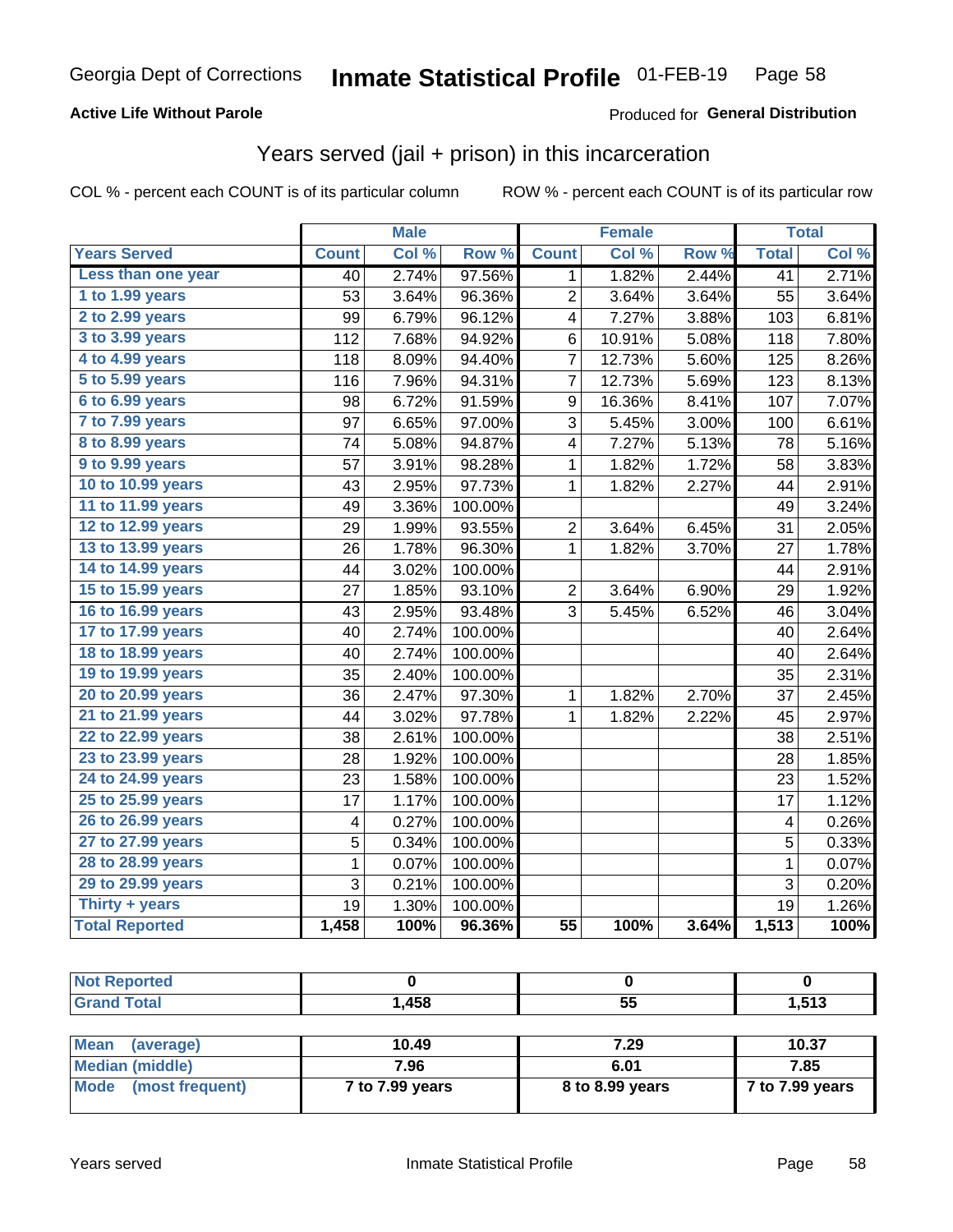### **Active Life Without Parole**

### **Produced for General Distribution**

## Years served (jail + prison) in this incarceration

COL % - percent each COUNT is of its particular column

|                        | <b>Male</b>     |       |         | <b>Female</b>   |        |       | <b>Total</b>    |       |
|------------------------|-----------------|-------|---------|-----------------|--------|-------|-----------------|-------|
| <b>Years Served</b>    | <b>Count</b>    | Col % | Row %   | <b>Count</b>    | Col %  | Row % | <b>Total</b>    | Col % |
| Less than one year     | $\overline{40}$ | 2.74% | 97.56%  | 1               | 1.82%  | 2.44% | $\overline{41}$ | 2.71% |
| 1 to 1.99 years        | 53              | 3.64% | 96.36%  | $\overline{2}$  | 3.64%  | 3.64% | 55              | 3.64% |
| 2 to 2.99 years        | 99              | 6.79% | 96.12%  | 4               | 7.27%  | 3.88% | 103             | 6.81% |
| 3 to 3.99 years        | 112             | 7.68% | 94.92%  | 6               | 10.91% | 5.08% | 118             | 7.80% |
| 4 to 4.99 years        | 118             | 8.09% | 94.40%  | 7               | 12.73% | 5.60% | 125             | 8.26% |
| 5 to 5.99 years        | 116             | 7.96% | 94.31%  | 7               | 12.73% | 5.69% | 123             | 8.13% |
| 6 to 6.99 years        | 98              | 6.72% | 91.59%  | 9               | 16.36% | 8.41% | 107             | 7.07% |
| 7 to 7.99 years        | 97              | 6.65% | 97.00%  | 3               | 5.45%  | 3.00% | 100             | 6.61% |
| <b>8 to 8.99 years</b> | 74              | 5.08% | 94.87%  | 4               | 7.27%  | 5.13% | 78              | 5.16% |
| 9 to 9.99 years        | 57              | 3.91% | 98.28%  | 1               | 1.82%  | 1.72% | 58              | 3.83% |
| 10 to 10.99 years      | 43              | 2.95% | 97.73%  | 1               | 1.82%  | 2.27% | 44              | 2.91% |
| 11 to 11.99 years      | 49              | 3.36% | 100.00% |                 |        |       | 49              | 3.24% |
| 12 to 12.99 years      | 29              | 1.99% | 93.55%  | $\overline{c}$  | 3.64%  | 6.45% | 31              | 2.05% |
| 13 to 13.99 years      | 26              | 1.78% | 96.30%  | $\mathbf 1$     | 1.82%  | 3.70% | 27              | 1.78% |
| 14 to 14.99 years      | 44              | 3.02% | 100.00% |                 |        |       | 44              | 2.91% |
| 15 to 15.99 years      | 27              | 1.85% | 93.10%  | $\overline{c}$  | 3.64%  | 6.90% | 29              | 1.92% |
| 16 to 16.99 years      | 43              | 2.95% | 93.48%  | 3               | 5.45%  | 6.52% | 46              | 3.04% |
| 17 to 17.99 years      | 40              | 2.74% | 100.00% |                 |        |       | 40              | 2.64% |
| 18 to 18.99 years      | 40              | 2.74% | 100.00% |                 |        |       | 40              | 2.64% |
| 19 to 19.99 years      | 35              | 2.40% | 100.00% |                 |        |       | 35              | 2.31% |
| 20 to 20.99 years      | 36              | 2.47% | 97.30%  | $\mathbf 1$     | 1.82%  | 2.70% | 37              | 2.45% |
| 21 to 21.99 years      | 44              | 3.02% | 97.78%  | 1               | 1.82%  | 2.22% | 45              | 2.97% |
| 22 to 22.99 years      | 38              | 2.61% | 100.00% |                 |        |       | 38              | 2.51% |
| 23 to 23.99 years      | 28              | 1.92% | 100.00% |                 |        |       | 28              | 1.85% |
| 24 to 24.99 years      | 23              | 1.58% | 100.00% |                 |        |       | 23              | 1.52% |
| 25 to 25.99 years      | 17              | 1.17% | 100.00% |                 |        |       | 17              | 1.12% |
| 26 to 26.99 years      | 4               | 0.27% | 100.00% |                 |        |       | 4               | 0.26% |
| 27 to 27.99 years      | 5               | 0.34% | 100.00% |                 |        |       | $\overline{5}$  | 0.33% |
| 28 to 28.99 years      | 1               | 0.07% | 100.00% |                 |        |       | $\mathbf 1$     | 0.07% |
| 29 to 29.99 years      | 3               | 0.21% | 100.00% |                 |        |       | 3               | 0.20% |
| Thirty + years         | 19              | 1.30% | 100.00% |                 |        |       | 19              | 1.26% |
| <b>Total Reported</b>  | 1,458           | 100%  | 96.36%  | $\overline{55}$ | 100%   | 3.64% | 1,513           | 100%  |

| <b>Not Reported</b>      |       |      |       |
|--------------------------|-------|------|-------|
| <b>Grand Total</b>       | 1,458 | 55   | 1,513 |
|                          |       |      |       |
| <b>Mean</b><br>(average) | 10.49 | 7.29 | 10.37 |

| l Mean<br>(average)            | 10.49           | 7.ZY            | 10.37           |
|--------------------------------|-----------------|-----------------|-----------------|
| Median (middle)                | 7.96            | 6.01            | 7.85            |
| <b>Mode</b><br>(most frequent) | 7 to 7.99 years | 8 to 8.99 years | 7 to 7.99 years |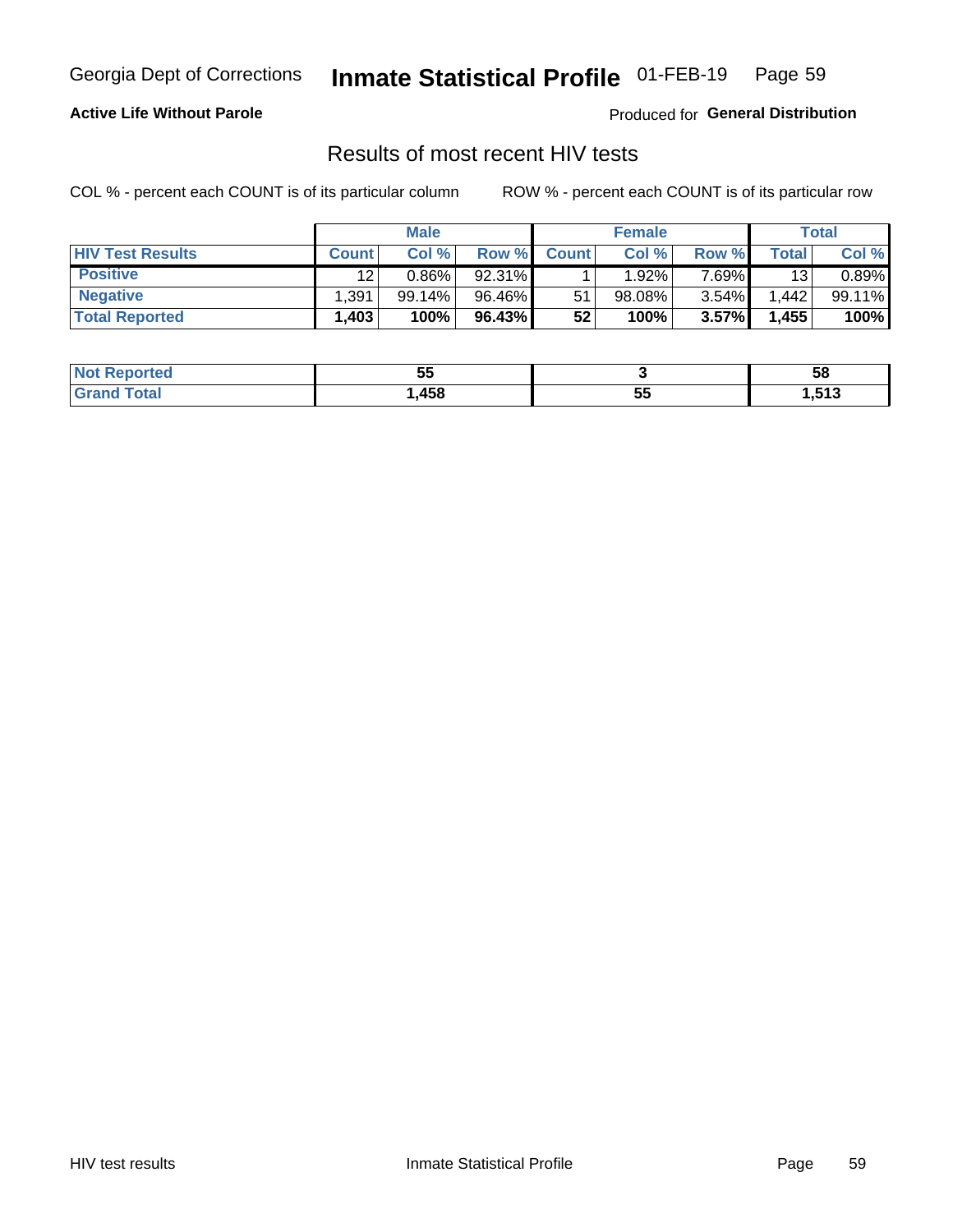#### Inmate Statistical Profile 01-FEB-19 Page 59

### **Active Life Without Parole**

Produced for General Distribution

### Results of most recent HIV tests

COL % - percent each COUNT is of its particular column

|                         |              | <b>Male</b> |        |              | <b>Female</b> |          |       | Total  |
|-------------------------|--------------|-------------|--------|--------------|---------------|----------|-------|--------|
| <b>HIV Test Results</b> | <b>Count</b> | Col %       | Row %I | <b>Count</b> | Col %         | Row %    | Total | Col %  |
| <b>Positive</b>         | 12           | $0.86\%$    | 92.31% |              | 1.92%         | 7 69%∎   | 13    | 0.89%  |
| <b>Negative</b>         | .391         | 99.14%      | 96.46% | 51           | 98.08%        | $3.54\%$ | .442  | 99.11% |
| <b>Total Reported</b>   | .403         | 100%        | 96.43% | 52           | 100%          | 3.57%    | 1,455 | 100%   |

| <b>Not Reported</b>        | --<br>uu |             | 58    |
|----------------------------|----------|-------------|-------|
| <b>Total</b><br><b>Gro</b> | ,458     | --<br><br>◡ | 1,513 |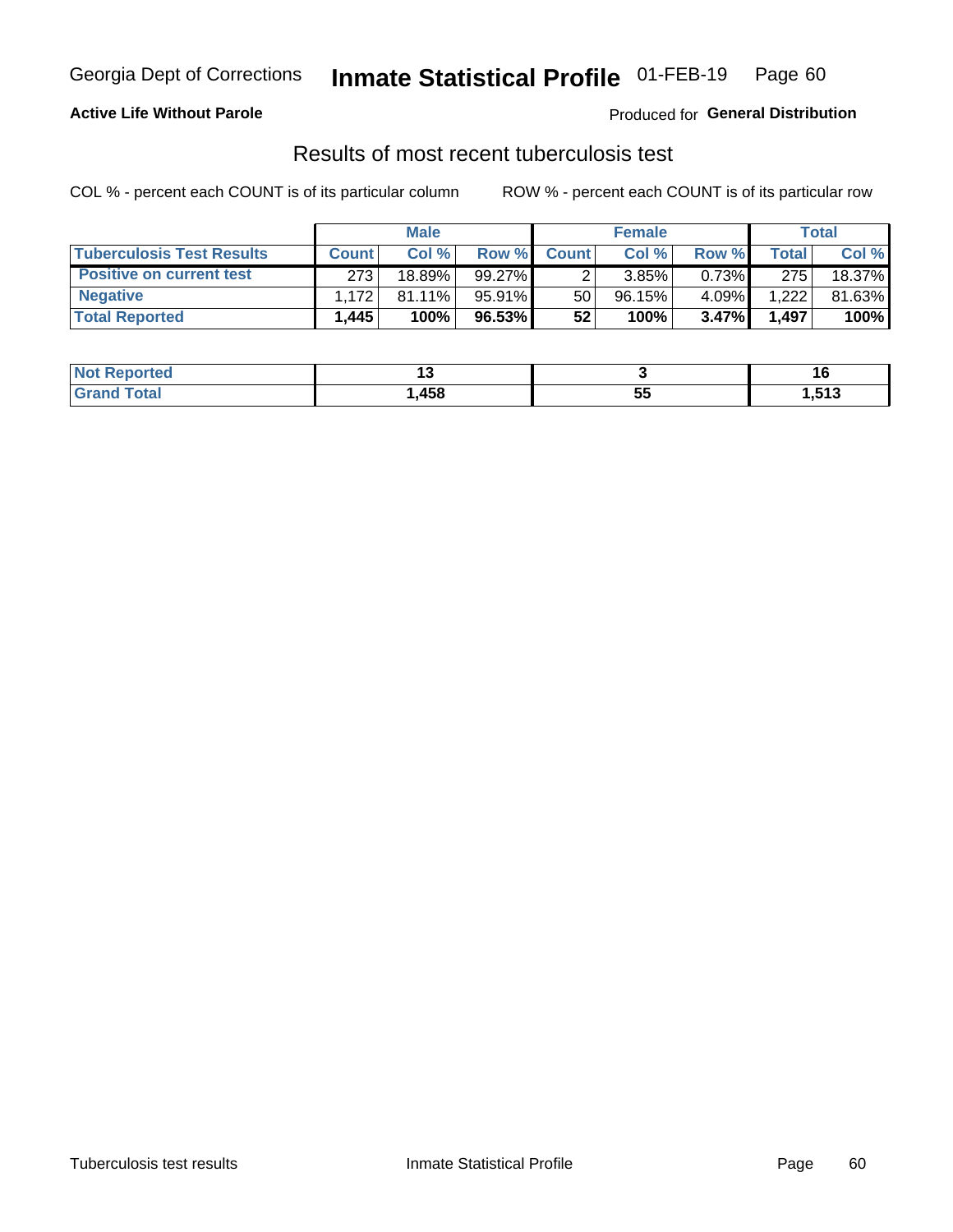## Georgia Dept of Corrections **Inmate Statistical Profile** 01-FEB-19 Page 60

### **Active Life Without Parole**

Produced for **General Distribution**

### Results of most recent tuberculosis test

COL % - percent each COUNT is of its particular column ROW % - percent each COUNT is of its particular row

|                                  | <b>Male</b>  |           |           | <b>Female</b> |        |        | Total   |        |
|----------------------------------|--------------|-----------|-----------|---------------|--------|--------|---------|--------|
| <b>Tuberculosis Test Results</b> | <b>Count</b> | Col%      | Row %I    | <b>Count</b>  | Col %  | Row %I | Total I | Col %  |
| <b>Positive on current test</b>  | 273          | 18.89%    | $99.27\%$ |               | 3.85%  | 0.73%  | 275     | 18.37% |
| <b>Negative</b>                  | 1.172        | $81.11\%$ | 95.91%    | 50            | 96.15% | 4.09%  | 1.222   | 81.63% |
| <b>Total Reported</b>            | .445         | 100%      | 96.53%    | 52            | 100%   | 3.47%  | 1,497   | 100%   |

| <b>Not Reported</b> |      |    |                     |
|---------------------|------|----|---------------------|
| <b>Total</b>        | ,458 | JJ | <b>E42</b><br>נו כו |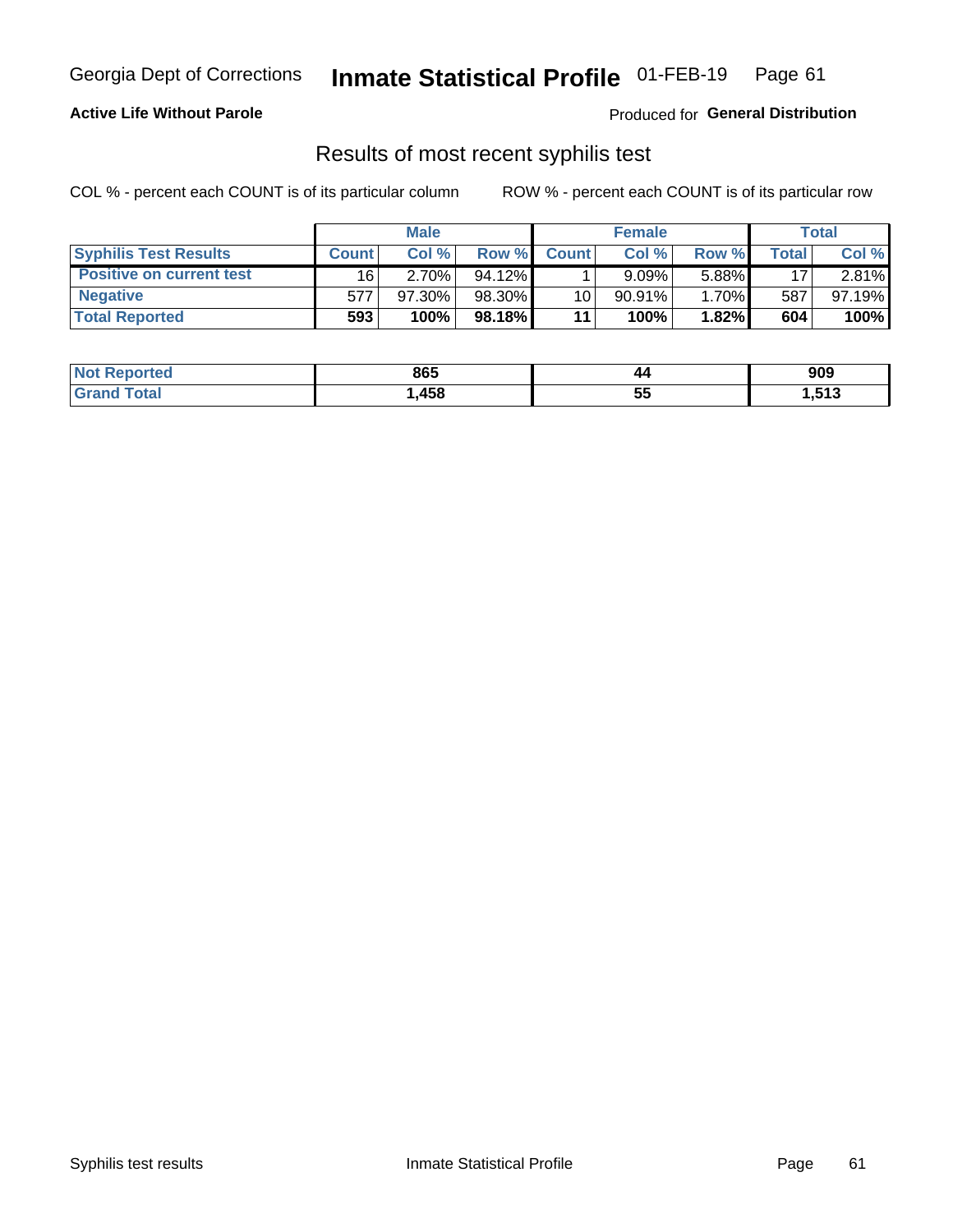## Georgia Dept of Corrections **Inmate Statistical Profile** 01-FEB-19 Page 61

### **Active Life Without Parole**

Produced for **General Distribution**

### Results of most recent syphilis test

COL % - percent each COUNT is of its particular column ROW % - percent each COUNT is of its particular row

|                                 | <b>Male</b>  |           |           | <b>Female</b> |           |       | Total |        |
|---------------------------------|--------------|-----------|-----------|---------------|-----------|-------|-------|--------|
| <b>Syphilis Test Results</b>    | <b>Count</b> | Col%      | Row %     | <b>Count</b>  | Col%      | Row % | Total | Col %  |
| <b>Positive on current test</b> | 16'          | $2.70\%$  | $94.12\%$ |               | 9.09%     | 5.88% | 17    | 2.81%  |
| <b>Negative</b>                 | 577          | $97.30\%$ | 98.30%    | 10            | $90.91\%$ | 1.70% | 587   | 97.19% |
| <b>Total Reported</b>           | 593          | 100%      | 98.18%    | 11            | 100%      | 1.82% | 604   | 100%   |

| <b>Not Reported</b> | 865  | 44       | 909  |
|---------------------|------|----------|------|
| <b>Grand Total</b>  | ,458 | 44<br>JJ | ,513 |